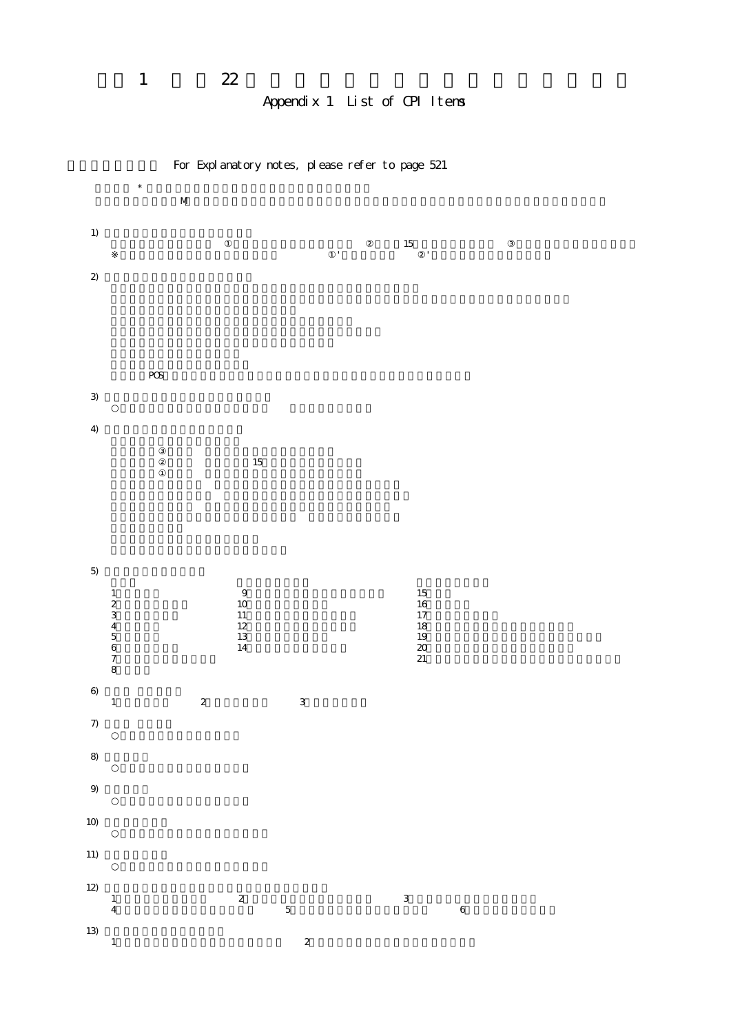# Appendix 1 List of CPI Items

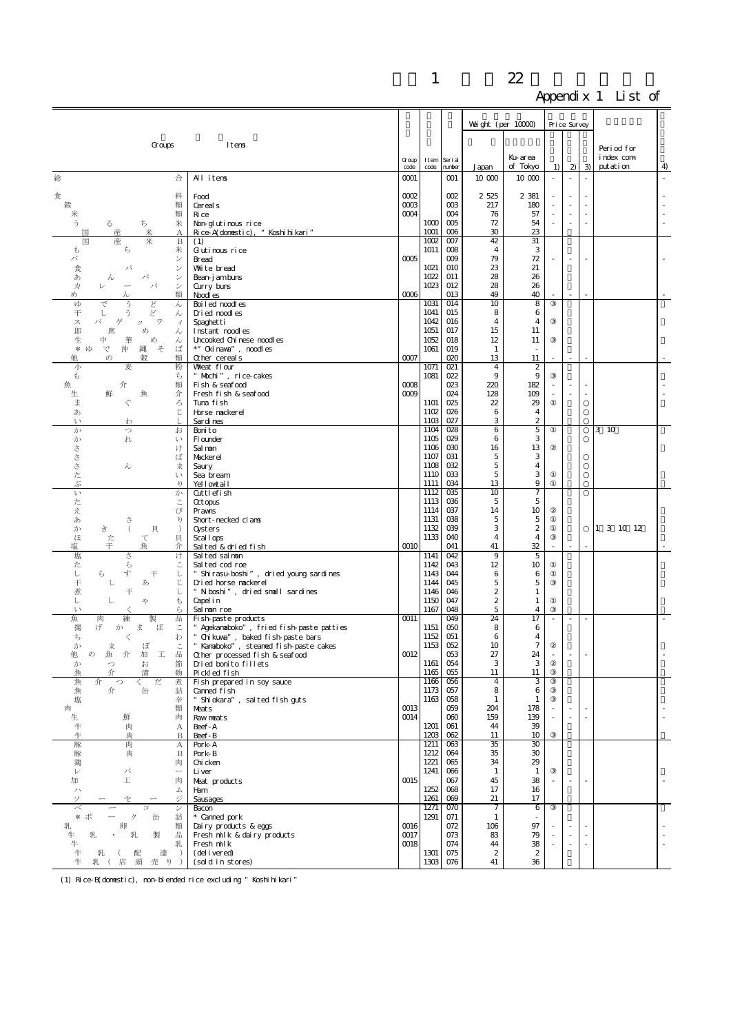|                                                     |                                                                          |                        |              |                              | Weight (per $10000$ ) |                               | Price Survey |                |               |                         |    |
|-----------------------------------------------------|--------------------------------------------------------------------------|------------------------|--------------|------------------------------|-----------------------|-------------------------------|--------------|----------------|---------------|-------------------------|----|
|                                                     | Itens                                                                    |                        |              |                              |                       |                               |              |                |               |                         |    |
| Groups                                              |                                                                          |                        |              |                              |                       | Ku-area                       |              |                |               | Period for<br>index com |    |
|                                                     |                                                                          | Group<br>code          | Item<br>code | Seri al<br>number            | Japan                 | of Tokyo                      | 1)           | $\mathfrak{D}$ | $\mathcal{B}$ | putation                | 4  |
| 総<br>合                                              | All items                                                                | 0001                   |              | $\infty$ 1                   | 10 000                | 10 000                        | $\bar{a}$    | $\bar{z}$      | ÷,            |                         | ä, |
| 料<br>食                                              | Food                                                                     | 0002                   |              | $\infty$                     | 2 525                 | 2 3 8 1                       |              |                |               |                         |    |
| 穀<br>類<br>類<br>⋇                                    | Cereal s<br>Ri ce                                                        | $\alpha\alpha$<br>0004 |              | $\alpha$<br>$\infty$         | 217<br>76             | 180<br>57                     |              |                |               |                         |    |
| う<br>米<br>る<br>ち                                    | Non-glutinous rice                                                       |                        | 1000         | 005                          | 72                    | 54                            | ÷,           | ÷.             |               |                         |    |
| 米<br>国<br>産<br>А<br>国<br>産<br>米<br>B                | Rice-A(donestic), "Koshihikari"<br>(1)                                   |                        | 1001<br>1002 | $\infty$<br>$\infty$         | 30<br>42              | 23<br>31                      |              |                |               |                         |    |
| t<br>ち<br>米                                         | Gutinous rice                                                            |                        | 1011         | $\infty$                     | 4                     | 3                             |              |                |               |                         |    |
| パ<br>ン<br>食<br>パ<br>ン                               | Bread<br>White bread                                                     | 0005                   | 1021         | $\infty$<br>010              | 79<br>23              | 72<br>21                      |              |                |               |                         |    |
| あ<br>パ<br>ン<br>h<br>パ<br>力<br>ン<br>₽                | Bean-jamburs                                                             |                        | 1022<br>1023 | 011<br>012                   | 28<br>28              | 26<br>26                      |              |                |               |                         |    |
| め<br>類                                              | Gurry buns<br>Noodl es                                                   | $\infty$               |              | 013                          | 49                    | 40                            |              | $\sim$         |               |                         |    |
| VΦ<br>ど<br>ん<br>で<br>う<br>干<br>ž,<br>ん<br>l         | Boi l ed noodl es<br>Dried noodles                                       |                        | 1031<br>1041 | 014<br>015                   | 10<br>8               | 8<br>6                        |              |                |               |                         |    |
| テ<br>ス<br>パ<br>ゲ<br>ッ<br>イ                          | Spaghetti                                                                |                        | 1042         | 016                          | 4                     | 4                             |              |                |               |                         |    |
| 即<br>め<br>席<br>ん<br>生<br>中<br>め<br>華<br>$\lambda$   | Instant noodles<br>Uncooked Chinese noodles                              |                        | 1051<br>1052 | 017<br>018                   | 15<br>12              | 11<br>11                      |              |                |               |                         |    |
| そ<br>ば<br>* ゆ<br>で<br>沖<br>縄                        | *" Cki nava", noodl es                                                   |                        | 1061         | 019                          | 1                     |                               |              |                |               |                         |    |
| 他<br>$\cal O$<br>穀<br>類<br>麦<br>粉<br>小              | Other cereals<br>Wheat flour                                             | 0007                   | 1071         | 020<br>021                   | 13<br>$\overline{4}$  | 11<br>$\overline{\mathbf{z}}$ |              | ÷.             |               |                         |    |
| t<br>ち                                              | " Mochi", rice-cakes                                                     |                        | 1081         | 022                          | 9                     | 9                             |              |                |               |                         |    |
| 魚<br>介<br>類<br>鮮<br>介<br>生<br>魚                     | Fish & seafood<br>Fresh fish & seafood                                   | 0008<br>0009           |              | 023<br>024                   | 220<br>128            | 182<br>109                    |              | ä,             | ÷,            |                         |    |
| ま<br>ろ                                              | Tuna fish                                                                |                        | 1101         | 025                          | 22                    | 29                            |              |                |               |                         |    |
| ľ<br>あ<br>$\mathcal{V}$<br>わ                        | Horse nackerel<br>Sardines                                               |                        | 1102<br>1103 | 026<br>027                   | 6<br>3                | 4<br>$\boldsymbol{2}$         |              |                |               |                         |    |
| か<br>お<br>っ<br>か<br>れ<br>ŀ١                         | Bonito<br>Fl ounder                                                      |                        | 1104<br>1105 | 028<br>029                   | 6<br>6                | 5<br>3                        |              |                |               | 3 10                    |    |
| \$<br>け                                             | Sal non                                                                  |                        | 1106         | $\infty$                     | 16                    | 13                            |              |                |               |                         |    |
| ŧ<br>ば<br>$\preceq$<br>$\lambda$<br>ま               | Mackerel<br>Saury                                                        |                        | 1107<br>1108 | C <sub>0</sub> 31<br>032     | 5<br>5                | 3<br>4                        |              |                |               |                         |    |
| た<br>い                                              | Sea bream                                                                |                        | 1110         | 033                          | 5                     | 3                             |              |                |               |                         |    |
| Š,<br>V<br>$\mathcal{V}$<br>か                       | Yellowtail<br>Cuttlefish                                                 |                        | 1111<br>1112 | 034<br>$\alpha$ <sub>5</sub> | 13<br>10              | 9<br>7                        |              |                |               |                         |    |
| た                                                   | <b>Qctopus</b>                                                           |                        | 1113         | 036                          | 5                     | 5                             |              |                |               |                         |    |
| え<br>び<br>あ<br>ŋ<br>ð                               | Prawns<br>Short-necked clans                                             |                        | 1114<br>1131 | 037<br>038                   | 14<br>5               | 10<br>5                       |              |                |               |                         |    |
| き<br>$\left($<br>貝<br>か<br>$\lambda$                | Oysters                                                                  |                        | 1132         | 039                          | 3                     | $\boldsymbol{2}$              |              |                |               | 1 3 10 12               |    |
| ほ<br>た<br>貝<br>て<br>干<br>塩<br>介<br>魚                | Scal lops<br>Salted & dried fish                                         | 0010                   | 1133         | 040<br>041                   | $\overline{4}$<br>41  | $\overline{4}$<br>32          |              | ×.             |               |                         |    |
| 塩<br>さ<br>け<br>ら                                    | Salted salmon                                                            |                        | 1141<br>1142 | 042<br>043                   | 9<br>12               | 5<br>10                       |              |                |               |                         |    |
| た<br>し<br>ら<br>す<br>干<br>し                          | Salted cod roe<br>" Shirasu-boshi", dried young sardines                 |                        | 1143         | 044                          | 6                     | 6                             |              |                |               |                         |    |
| 干<br>じ<br>し<br>あ<br>煮<br>干<br>レ                     | Dried horse nackerel<br>"N boshi", dried small sardines                  |                        | 1144<br>1146 | 045<br>046                   | 5<br>$\boldsymbol{2}$ | 5<br>1                        |              |                |               |                         |    |
| ι<br>t<br>し<br>や                                    | Capelin                                                                  |                        | 1150         | 047                          | 2                     | $\mathbf{1}$                  |              |                |               |                         |    |
| ら<br>ŀ١<br>魚<br>練<br>製<br>굡<br>肉                    | Sal non roe<br>Fish-paste products                                       | 0011                   | 1167         | 048<br>049                   | 5<br>24               | $\overline{4}$<br>17          |              |                |               |                         |    |
| 揚<br>げ<br>ま<br>ぼ<br>Ξ<br>か                          | " Agekanaboko", fried fish-paste patties                                 |                        | 1151         | 050                          | 8                     | 6                             |              |                |               |                         |    |
| ち<br>わ<br>≺<br>か<br>ま<br>ぼ                          | Chikuwa", baked fish-paste bars<br>" Kanaboko", steaned fish-paste cakes |                        | 1152<br>1153 | 051<br>052                   | 6<br>10               | 4<br>$\tau$                   |              |                |               |                         |    |
| 魚<br>品<br>I<br>他<br>$\sigma$<br>介<br>加              | Other processed fish & seafood                                           | $\omega$ <sup>12</sup> | 1161         | 053<br>054                   | $27\,$<br>3           | 24<br>3                       |              |                |               |                         |    |
| お<br>節<br>か<br>っ<br>漬<br>介<br>物<br>魚                | Dried bonito fillets<br>Pickled fish                                     |                        | 1165         | 055                          | 11                    | 11                            |              |                |               |                         |    |
| 魚<br>だ<br>介<br>煮<br>つ<br>≦<br>魚<br>介<br>缶<br>詰      | Fish prepared in soy sauce<br>Canned fish                                |                        | 1166<br>1173 | 056<br>057                   | $\overline{4}$<br>8   | 3<br>6                        |              |                |               |                         |    |
| 塩<br>辛                                              | "Shiokara", salted fish guts                                             |                        | 1163         | 058                          | $\mathbf{1}$          | 1                             |              |                |               |                         |    |
| 肉<br>類<br>肉<br>生<br>鮮                               | Meats<br>Raw neats                                                       | 0013<br>0014           |              | 059<br>000                   | 204<br>159            | 178<br>139                    |              | ÷,<br>$\sim$   |               |                         | ÷, |
| 牛<br>肉<br>А                                         | Beef-A                                                                   |                        | 1201         | 061                          | 44                    | 39                            |              |                |               |                         |    |
| 牛<br>肉<br>B<br>豚<br>肉<br>А                          | Beef-B<br>Pork-A                                                         |                        | 1203<br>1211 | 062<br>063                   | 11<br>35              | 10<br>$\overline{30}$         |              |                |               |                         |    |
| 豚<br>肉<br>B                                         | Pork-B                                                                   |                        | 1212         | 064                          | 35                    | $30^{\circ}$                  |              |                |               |                         |    |
| 鶏<br>肉<br>バ<br>V                                    | Chi cken<br>Li ver                                                       |                        | 1221<br>1241 | 065<br>066                   | 34<br>1               | 29<br>$\mathbf{1}$            |              |                |               |                         |    |
| I.<br>加<br>肉                                        | Meat products                                                            | 0015                   | 1252         | 067<br>068                   | 45                    | 38                            |              | $\sim$         |               |                         |    |
| 厶<br>ハ<br>ジ<br>ソ<br>セ                               | Ham<br>Sausages                                                          |                        | 1261         | 069                          | 17<br>21              | 16<br>17                      |              |                |               |                         |    |
| べ<br>$\equiv$<br>$\checkmark$<br>* ポ<br>ク<br>缶<br>詰 | Bacon<br>* Canned pork                                                   |                        | 1271<br>1291 | 070<br>071                   | $\tau$<br>1           | 6<br>×                        |              |                |               |                         |    |
| 乳<br>卵<br>類                                         | Dairy products & eggs                                                    | 0016                   |              | 072                          | 106                   | 97                            |              |                |               |                         |    |
| 牛<br>品<br>乳<br>製<br>乳<br>4<br>乳                     | Fresh milk & dairy products<br>Fresh milk                                | 0017<br>0018           |              | 073<br>074                   | 83<br>44              | 79<br>38                      |              | ÷,<br>ä,       |               |                         |    |
| 牛<br>達<br>乳<br>$\rightarrow$<br>配                   | (del i vered)                                                            |                        | 1301         | 075                          | $\boldsymbol{z}$      | $\boldsymbol{2}$              |              |                |               |                         |    |
| 牛<br>店 頭<br>売 り )                                   | (sold in stores)                                                         |                        | 1303         | 076                          | 41                    | 36                            |              |                |               |                         |    |

(1) Rice-B(domestic), non-blended rice excluding "Koshihikari"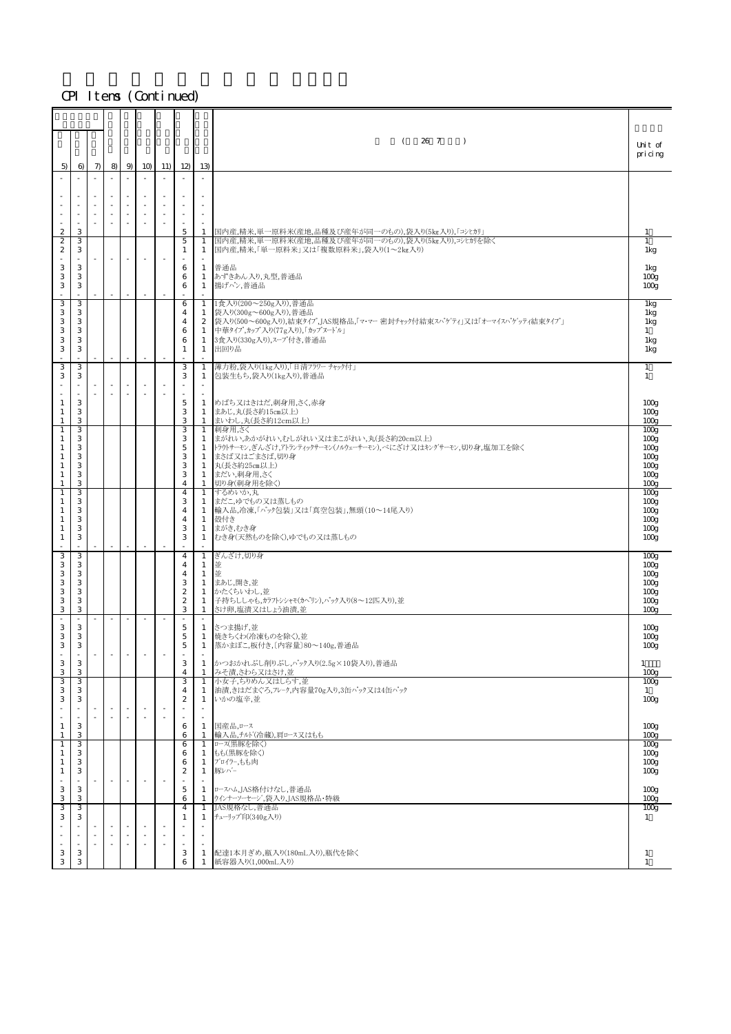|                                    |          |          |                          |        |                                                      |           |                                      |                                | 26 7<br>$\left($<br>$\rightarrow$                                                                      |                                      |
|------------------------------------|----------|----------|--------------------------|--------|------------------------------------------------------|-----------|--------------------------------------|--------------------------------|--------------------------------------------------------------------------------------------------------|--------------------------------------|
|                                    |          |          |                          |        |                                                      |           |                                      |                                |                                                                                                        | Unit of<br>pricing                   |
| 5)                                 | 6)<br>÷. | 7)<br>÷. | 8)<br>÷.                 | 9      | 10<br>×.                                             | 11)<br>÷. | 12<br>×.                             | 13)<br>÷.                      |                                                                                                        |                                      |
|                                    |          |          |                          |        |                                                      |           |                                      |                                |                                                                                                        |                                      |
|                                    |          |          |                          |        | $\sim$<br>$\overline{\phantom{a}}$                   |           |                                      | ×.<br>$\overline{\phantom{a}}$ |                                                                                                        |                                      |
|                                    |          |          |                          |        | $\overline{\phantom{a}}$<br>$\sim$                   |           |                                      | $\overline{\phantom{a}}$       |                                                                                                        |                                      |
| $\overline{c}$<br>$\boldsymbol{2}$ | 3<br>3   |          |                          |        |                                                      |           | 5<br>5                               | -1<br>$\mathbf{1}$             | 国内産,精米,単一原料米(産地,品種及び産年が同一のもの),袋入り(5kg入り),「コシヒカリ」<br>国内産,精米,単一原料米(産地,品種及び産年が同一のもの),袋入り(5kg入り),コシヒカリを除く  | 1<br>1                               |
| $\boldsymbol{2}$                   | 3        |          | $\overline{\phantom{a}}$ |        |                                                      |           | 1                                    | 1                              | 国内産,精米,「単一原料米」又は「複数原料米」,袋入り(1~2kg入り)                                                                   | 1kg                                  |
| 3<br>3                             | 3<br>3   |          |                          |        |                                                      |           | 6<br>6                               | 1<br>1                         | 普通品<br>あずきあん入り,丸型,普通品                                                                                  | 1kg<br>100 <sub>g</sub>              |
| $\,$ 3                             | 3        |          |                          |        |                                                      |           | 6                                    | 1                              | 揚げパン,普通品                                                                                               | 100 <sub>g</sub>                     |
| 3                                  | 3        |          |                          |        |                                                      |           | 6                                    | $\mathbf{1}$                   | 1食入り(200~250g入り),普通品                                                                                   | 1kg                                  |
| 3<br>3                             | 3<br>3   |          |                          |        |                                                      |           | 4<br>4                               | 1<br>$\mathbf{2}$              | 袋入り(300g~600g入り),普通品<br> 袋入り(500~600g入り),結束タイプ,JAS規格品,「マ・マー 密封チャック付結束スパゲティ」又は「オーマイスパゲッティ結束タイプ」         | 1kg<br>1kg                           |
| 3<br>3                             | 3<br>3   |          |                          |        |                                                      |           | 6<br>6                               | 1<br>1                         | 中華タイプ,カップ入り(77g入り),「カップヌードル」<br>3食入り(330g入り),スープ付き,普通品                                                 | $\mathbf{1}$<br>1kg                  |
| 3                                  | 3<br>÷   |          | $\overline{\phantom{a}}$ | $\sim$ | $\overline{\phantom{a}}$                             |           | 1<br>$\sim$                          | 1<br>$\sim$                    | 出回り品                                                                                                   | 1kg                                  |
| 3<br>3                             | 3<br>3   |          |                          |        |                                                      |           | 3<br>3                               | 1<br>1                         | 薄力粉,袋入り(1kg入り),「日清フラワー チャック付」<br>包装生もち,袋入り(1kg入り),普通品                                                  | 1<br>$\mathbf{1}$                    |
|                                    | ÷        |          | ×                        | $\sim$ | ×.                                                   | ÷.        | $\sim$                               | $\sim$<br>$\sim$               |                                                                                                        |                                      |
| 1<br>$\mathbf{1}$                  | 3<br>3   |          |                          |        |                                                      |           | 5<br>3                               | $\mathbf{1}$<br>1              | めばち又はきはだ,刺身用,さく,赤身<br>まあじ,丸(長さ約15cm以上)                                                                 | 100 <sub>g</sub><br>100 <sub>g</sub> |
| 1<br>1                             | 3<br>З   |          |                          |        |                                                      |           | 3<br>3                               | $\mathbf{1}$                   | まいわし,丸(長さ約12cm以上)<br>1 刺身用,さく                                                                          | 100 <sub>E</sub><br>100 <sub>g</sub> |
| 1                                  | 3<br>3   |          |                          |        |                                                      |           | 3<br>5                               | 1                              | まがれい,あかがれい,むしがれい又はまこがれい,丸(長さ約20cm以上)<br>トラウトサーモン、ぎんざけ、アトランティックサーモン(ノルウェーサーモン),べにざけ又はキングサーモン,切り身,塩加工を除く | 100 <sub>g</sub>                     |
| 1<br>1                             | 3        |          |                          |        |                                                      |           | 3                                    | 1<br>1                         | まさば又はごまさば,切り身                                                                                          | 100 <sub>g</sub><br>100 <sub>g</sub> |
| -1<br>1                            | 3<br>3   |          |                          |        |                                                      |           | 3<br>3                               | 1<br>1                         | 丸(長さ約25cm以上)<br>まだい,刺身用,さく                                                                             | 100 <sub>g</sub><br>100 <sub>g</sub> |
| 1                                  | 3<br>3   |          |                          |        |                                                      |           | $\overline{4}$<br>4                  | $\overline{1}$<br>$\mathbf{1}$ | 切り身(刺身用を除く)<br>するめいか、丸                                                                                 | 100 <sub>E</sub><br>100 <sub>g</sub> |
| 1                                  | 3<br>3   |          |                          |        |                                                      |           | 3<br>4                               | -1<br>1                        | まだこ,ゆでもの又は蒸しもの<br> 輸入品,冷凍,「パック包装」又は「真空包装」,無頭(10~14尾入り)                                                 | 100 <sub>g</sub><br>100 <sub>g</sub> |
| 1<br>1                             | 3<br>3   |          |                          |        |                                                      |           | 4<br>3                               | 1<br>1                         | 殻付き<br>まがき,むき身                                                                                         | 100 <sub>g</sub><br>100 <sub>g</sub> |
| 1                                  | 3        |          | ÷.                       |        | ×.                                                   |           | 3                                    | 1                              | むき身(天然ものを除く),ゆでもの又は蒸しもの                                                                                | 100 <sub>g</sub>                     |
| 3<br>3                             | 3<br>3   |          |                          |        |                                                      |           | 4<br>$\overline{4}$                  | $\mathbf{1}$<br>1              | ぎんざけ,切り身<br>並                                                                                          | 100 <sub>g</sub><br>100 <sub>g</sub> |
| 3<br>3                             | 3<br>3   |          |                          |        |                                                      |           | $\overline{4}$<br>3                  | 1<br>$\mathbf{1}$              | 並<br>まあじ,開き,並                                                                                          | 100 <sub>g</sub><br>100 <sub>g</sub> |
| 3<br>$\,$ 3                        | 3<br>3   |          |                          |        |                                                      |           | $\boldsymbol{2}$<br>$\boldsymbol{z}$ | 1<br>1                         | かたくちいわし,並<br>子持ちししゃも、カラフトシシャモ(カペリン),パック入り(8〜12匹入り)、並                                                   | 100 <sub>g</sub>                     |
| 3                                  | 3        |          |                          |        |                                                      |           | 3                                    | $\mathbf{1}$                   | さけ卵,塩漬又はしょう油漬,並                                                                                        | 100 <sub>g</sub><br>100 <sub>E</sub> |
| 3                                  | 3        |          |                          |        |                                                      |           | 5                                    | 1                              | さつま揚げ,並                                                                                                | 100 <sub>g</sub>                     |
| 3<br>$\,$ 3                        | 3<br>3   |          |                          |        |                                                      |           | 5<br>$\mathbf 5$                     | -1<br>1                        | 焼きちくわ(冷凍ものを除く),並<br> 蒸かまぼこ,板付き,〔内容量〕80~140g,普通品                                                        | 100 <sub>g</sub><br>100 <sub>g</sub> |
| 3                                  | 3        |          |                          |        |                                                      |           | 3                                    | 1                              | かつおかれぶし削りぶし, パック入り(2.5g×10袋入り), 普通品                                                                    | $\mathbf{1}$                         |
| 3<br>3                             | 3<br>3   |          |                          |        |                                                      |           | $\overline{4}$<br>3                  | 1<br>$\mathbf{1}$              | みそ漬,さわら又はさけ,並<br>小女子,ちりめん又はしらす,並                                                                       | 100 <sub>E</sub><br>100 <sub>g</sub> |
| 3<br>3                             | 3<br>3   |          |                          |        |                                                      |           | $\overline{4}$<br>$\boldsymbol{2}$   | 1<br>-1                        | 油漬,きはだまぐろ,フレーク,内容量70g入り,3缶パック又は4缶パック<br>いかの塩辛,並                                                        | $\mathbf{1}$<br>100 <sub>g</sub>     |
|                                    |          |          | $\sim$                   | ×      | $\overline{\phantom{a}}$<br>$\overline{\phantom{a}}$ |           | $\sim$<br>$\sim$                     | ×<br>$\overline{\phantom{a}}$  |                                                                                                        |                                      |
| 1<br>1                             | 3<br>3   |          |                          |        |                                                      |           | 6<br>6                               | 1<br>-1                        | 国産品,ロース<br>輸入品,チルト(冷蔵),肩ロース又はもも                                                                        | 100 <sub>g</sub><br>100 <sub>g</sub> |
| $\mathbf{1}$<br>1                  | 3<br>3   |          |                          |        |                                                      |           | 6<br>6                               | $\mathbf{1}$<br>1              | ロース(黒豚を除く)<br>もも(黒豚を除く)                                                                                | 100 <sub>g</sub><br>100 <sub>g</sub> |
| 1                                  | 3<br>3   |          |                          |        |                                                      |           | 6<br>$\boldsymbol{z}$                | $\mathbf{1}$<br>$\mathbf{1}$   | プロイラー,もも肉<br>豚レバー                                                                                      | 100 <sub>g</sub>                     |
| 1                                  |          |          | $\overline{\phantom{a}}$ |        | ٠                                                    |           | $\sim$                               | ÷                              |                                                                                                        | 100 <sub>g</sub>                     |
| 3<br>3                             | 3<br>3   |          |                          |        |                                                      |           | 5<br>6                               | $\mathbf{1}$<br>$\mathbf{1}$   | ロースハム,JAS格付けなし,普通品<br>ウインナーソーセージ,袋入り,JAS規格品・特級                                                         | 100 <sub>g</sub><br>100 <sub>g</sub> |
| 3<br>3                             | З<br>3   |          |                          |        |                                                      |           | $\overline{4}$<br>1                  | $\mathbf{1}$<br>1              | JAS規格なし,普通品<br>チューリップ印(340g入り)                                                                         | 100 <sub>g</sub><br>1                |
|                                    |          |          |                          |        | $\sim$                                               |           | ×,                                   | ×.<br>$\overline{\phantom{a}}$ |                                                                                                        |                                      |
| 3                                  | 3        |          |                          |        |                                                      |           | 3                                    | ×<br>1                         | 配達1本月ぎめ,瓶入り(180mL入り),瓶代を除く                                                                             | 1                                    |
| 3                                  | 3        |          |                          |        |                                                      |           | 6                                    | 1                              | 紙容器入り(1,000mL入り)                                                                                       | $\mathbf{1}$                         |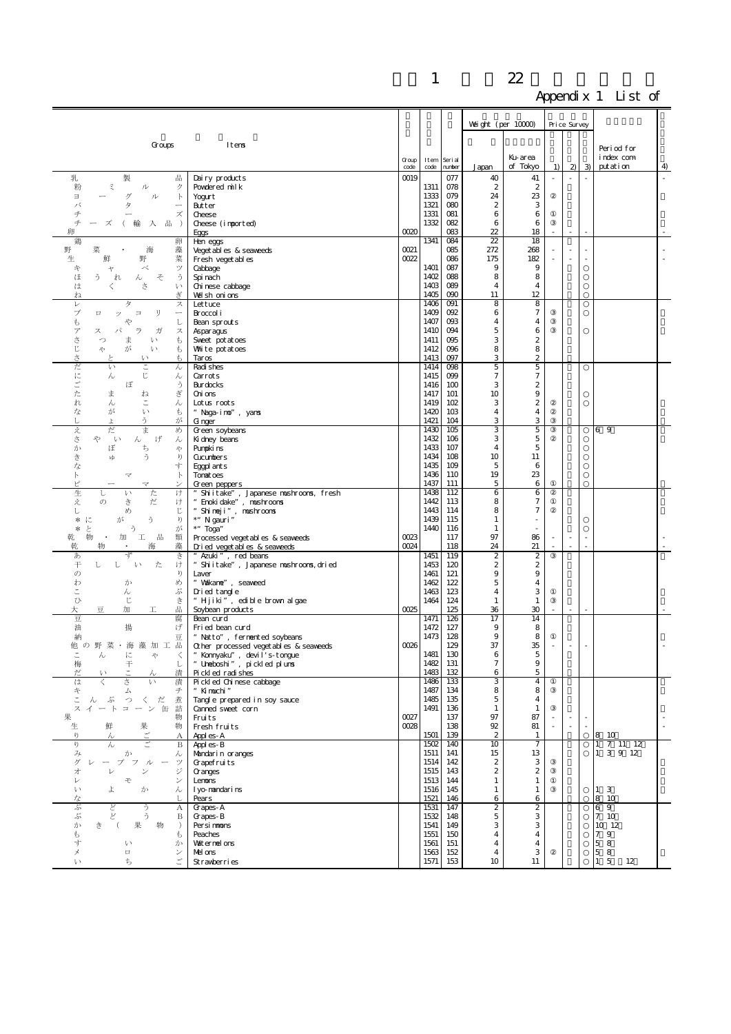|                                                                                                                                   |                                                                   |              |              |                 |                                           |                                  | TГ           |                                |                                |                          |   |
|-----------------------------------------------------------------------------------------------------------------------------------|-------------------------------------------------------------------|--------------|--------------|-----------------|-------------------------------------------|----------------------------------|--------------|--------------------------------|--------------------------------|--------------------------|---|
|                                                                                                                                   |                                                                   |              |              |                 | Weight (per $10000$ )                     |                                  | Price Survey |                                |                                |                          |   |
|                                                                                                                                   |                                                                   |              |              |                 |                                           |                                  |              |                                |                                |                          |   |
| Groups                                                                                                                            | Itens                                                             |              |              |                 |                                           |                                  |              |                                |                                | Period for               |   |
|                                                                                                                                   |                                                                   | Group        | Item         | Seri al         |                                           | Ku-area<br>of Tokyo              |              | 2)                             | $\overline{3}$                 | index com<br>put at i on |   |
| 乳<br>製<br>쀼                                                                                                                       | Dairy products                                                    | code<br>0019 | code         | number<br>077   | Japan<br>40                               | 41                               | 1)           | ÷,                             | $\bar{z}$                      |                          | 4 |
| 粉<br>ξ<br>ル<br>ク                                                                                                                  | Powdered milk                                                     |              | 1311         | 078             | $\boldsymbol{2}$                          | $\boldsymbol{2}$                 |              |                                |                                |                          |   |
| Е<br>ゲ<br>ル<br>$\mathbb{R}$<br>バ<br>タ                                                                                             | Yogurt<br>Butter                                                  |              | 1333<br>1321 | 079<br>080      | 24<br>2                                   | 23<br>3                          |              |                                |                                |                          |   |
| チ<br>ズ                                                                                                                            | Cheese                                                            |              | 1331         | 081             | 6                                         | 6                                |              |                                |                                |                          |   |
| $\neq$<br>入品<br>輸<br>$\rightarrow$<br>卵                                                                                           | Cheese (imported)                                                 | 0020         | 1332         | 082<br>083      | 6<br>22                                   | 6<br>18                          |              |                                |                                |                          |   |
| 鶏<br>卵                                                                                                                            | <b>Fggs</b><br>Hen eggs                                           |              | 1341         | 084             | 22                                        | 18                               |              |                                |                                |                          |   |
| 野<br>藻<br>菜<br>海<br>菜<br>鮮<br>野<br>生                                                                                              | Veget abl es & seaweeds                                           | 0021<br>0022 |              | 085<br>086      | 272<br>175                                | 268<br>182                       |              | ×,                             |                                |                          |   |
| べ<br>ツ<br>午<br>ャ                                                                                                                  | Fresh veget ables<br>Cabbage                                      |              | 1401         | 087             | 9                                         | 9                                |              |                                |                                |                          |   |
| う<br>う<br>そ<br>ほ<br>れ<br>ん                                                                                                        | Spi nach                                                          |              | 1402         | 088             | 8                                         | 8                                |              |                                |                                |                          |   |
| さ<br>は<br>ŀ١<br>ぎ<br>ね                                                                                                            | Chi nese cabbage<br>Well shonions                                 |              | 1403<br>1405 | 089<br>090      | 4<br>11                                   | 4<br>12                          |              |                                |                                |                          |   |
| $\, \nu$<br>タ<br>ス                                                                                                                | Lettuce                                                           |              | 1406         | O <sub>01</sub> | 8                                         | 8                                |              |                                |                                |                          |   |
| ブ<br>IJ<br>$\Box$<br>ッ<br>$\equiv$<br>$\overbrace{\qquad \qquad }$<br>t<br>や<br>し                                                 | Broccol i<br>Bean sprouts                                         |              | 1409<br>1407 | 092<br>093      | 6<br>4                                    | $\tau$<br>4                      |              |                                |                                |                          |   |
| $\overline{\mathcal{T}}$<br>パ<br>ラ<br>ガ<br>ス<br>ス                                                                                 | Asparagus                                                         |              | 1410         | 094             | 5                                         | 6                                |              |                                |                                |                          |   |
| さじ<br>ŧ<br>っ<br>ま<br>い<br>が<br>い<br>ŧ<br>や                                                                                        | Sweet pot at oes<br>Whate potatoes                                |              | 1411<br>1412 | 095<br>096      | 3<br>8                                    | $\boldsymbol{2}$<br>8            |              |                                |                                |                          |   |
| $\gtrsim$<br>P<br>い                                                                                                               | Taros                                                             |              | 1413         | 097             | 3                                         | $\boldsymbol{2}$                 |              |                                |                                |                          |   |
| だ<br>い<br>こ<br>ん<br>に<br>じ<br>ん<br>ん                                                                                              | Radi shes<br>Carrots                                              |              | 1414<br>1415 | 098<br>099      | 5<br>$\boldsymbol{7}$                     | 5<br>$\tau$                      |              |                                |                                |                          |   |
| ご<br>う<br>ぼ                                                                                                                       | Burdocks                                                          |              | 1416         | 100             | 3                                         | $\boldsymbol{2}$                 |              |                                |                                |                          |   |
| た<br>ま<br>ぎ<br>ね<br>れ<br>č,<br>ん                                                                                                  | Oni ons<br>Lotus roots                                            |              | 1417<br>1419 | 101<br>102      | 10<br>3                                   | 9<br>$\boldsymbol{2}$            |              |                                |                                |                          |   |
| h<br>な<br>が<br>ŧ<br>い                                                                                                             | "Naga-imo", yanns                                                 |              | 1420         | 103             | 4                                         | 4                                |              |                                |                                |                          |   |
| う<br>し<br>が<br>Ť.<br>ま                                                                                                            | G nger                                                            |              | 1421<br>1430 | 104<br>105      | 3<br>3                                    | 3<br>5                           |              |                                |                                | 69                       |   |
| 之<br>だ<br>め<br>\$<br>Ŷ.<br>げ<br>い<br>ん<br>h                                                                                       | Green soybeans<br>Ki dney beans                                   |              | 1432         | 106             | 3                                         | 5                                |              |                                |                                |                          |   |
| ち<br>か<br>ぼ<br>や                                                                                                                  | Pumpki ns                                                         |              | 1433         | 107             | 4                                         | 5                                |              |                                |                                |                          |   |
| ਣੇ<br>う<br>ŋ<br>νþ<br>な<br>す                                                                                                      | <b>Cucumbers</b><br>Eggpl ant s                                   |              | 1434<br>1435 | 108<br>109      | 10<br>5                                   | 11<br>6                          |              |                                |                                |                          |   |
| F<br>$\mathbb{R}$<br>7                                                                                                            | Tonat oes                                                         |              | 1436         | 110             | 19                                        | 23                               |              |                                |                                |                          |   |
| ピ<br>マ<br>生<br>た<br>け<br>ŀ١<br>ı                                                                                                  | Green peppers<br>Shiitake", Japanese mushrooms, fresh             |              | 1437<br>1438 | 111<br>112      | 5<br>6                                    | 6<br>6                           |              |                                |                                |                          |   |
| え<br>き<br>だ<br>$\sigma$<br>け                                                                                                      | Enoki dake", mushroons                                            |              | 1442         | 113             | 8<br>8                                    | $\tau$                           |              |                                |                                |                          |   |
| じ<br>め<br>レ<br>う<br>ŋ<br>*<br>に<br>が                                                                                              | Shi nej i", mushroons<br>*" N gauri"                              |              | 1443<br>1439 | 114<br>115      | $\mathbf{1}$                              | $\boldsymbol{7}$                 |              |                                |                                |                          |   |
| う<br>と<br>が<br>*                                                                                                                  | *" Toga"                                                          |              | 1440         | 116             | $\mathbf{1}$                              |                                  |              |                                |                                |                          |   |
| 物<br>乾<br>加<br>工<br>品<br>類<br>$\,$ .<br>藻<br>乾<br>物<br>海                                                                          | Processed veget abl es & seaweeds<br>Dried veget ables & seaveeds | 0023<br>0024 |              | 117<br>118      | 97<br>24                                  | 86<br>21                         |              | $\overline{\phantom{a}}$<br>÷, | $\overline{\phantom{a}}$<br>L. |                          |   |
| ず<br>あ<br>き                                                                                                                       | " Azuki", red beans                                               |              | 1451         | 119             | $\boldsymbol{z}$                          | $\boldsymbol{z}$                 |              |                                |                                |                          |   |
| 干<br>た<br>し<br>$\downarrow$<br>け<br>し<br>ŋ<br>$\sigma$                                                                            | Shiitake", Japanese mushroons, dried<br>Laver                     |              | 1453<br>1461 | 120<br>121      | 2<br>9                                    | 2<br>9                           |              |                                |                                |                          |   |
| め<br>わ<br>か                                                                                                                       | " Vakane", seaveed                                                |              | 1462         | 122             | 5                                         | 4                                |              |                                |                                |                          |   |
| ぷ<br>ん<br>U,<br>じ<br>き                                                                                                            | Dried tangle<br>" Hjiki", edible brown algae                      |              | 1463<br>1464 | 123<br>124      | 4<br>$\mathbf{1}$                         | 3<br>$\mathbf{1}$                |              |                                |                                |                          |   |
| 大<br>쀼<br>加<br>쿄<br>工                                                                                                             | Soybean products                                                  | 0025         |              | 125             | 36                                        | 30                               |              |                                |                                |                          |   |
| 豆<br>腐<br>油<br>揚<br>げ                                                                                                             | Bean curd<br>Fried bean curd                                      |              | 1471<br>1472 | 126<br>127      | 17<br>9                                   | 14<br>8                          |              |                                |                                |                          |   |
| 納<br>豆                                                                                                                            | " Natto", fernented soybeans                                      |              | 1473         | 128             | 9                                         | 8                                |              |                                |                                |                          |   |
| 他 の 野 菜・海 藻 加 工 品<br>$\lambda$<br>に<br>Ą,                                                                                         | Other processed veget ables & seaweeds                            | 0026         | 1481         | 129<br>130      | 37<br>6                                   | 35<br>5                          |              |                                |                                |                          |   |
| 梅<br>干<br>し                                                                                                                       | " Konnyaku", devil's-tongue<br>" Uneboshi", pickled plun <b>s</b> |              | 1482         | 131             | $\tau$                                    | 9                                |              |                                |                                |                          |   |
| だ<br>漬<br>は<br>漬<br>さ<br>$\mathbf{v}$                                                                                             | Pickled radishes<br>Pi ckl ed Chi nese cabbage                    |              | 1483<br>1486 | 132<br>133      | 6<br>3                                    | 5<br>$\overline{4}$              |              |                                |                                |                          |   |
| 午<br>チ<br>ム                                                                                                                       | " Ki muchi"                                                       |              | 1487         | 134             | 8                                         | 8                                |              |                                |                                |                          |   |
| こ<br>くだ<br>煮<br>ぶ<br>$\supset$<br>$\lambda$<br>ーン缶詰<br>ス<br>$\mathcal{A}$<br>$\overline{\phantom{a}}$<br>$\mathbb{R}$<br>$\equiv$ | Tangle prepared in soy sauce<br>Canned sweet corn                 |              | 1485<br>1491 | 135<br>136      | 5<br>$\mathbf{1}$                         | $\overline{4}$<br>$\mathbf{1}$   |              |                                |                                |                          |   |
| 果<br>物                                                                                                                            | Fruits                                                            | 0027         |              | 137             | 97                                        | 87                               |              | $\overline{\phantom{a}}$       | $\overline{\phantom{a}}$       |                          |   |
| 生<br>果<br>鮮<br>物<br>$\eta$<br>А<br>h                                                                                              | Fresh fruits<br>Appl es-A                                         | 0028         | 1501         | 138<br>139      | $92\,$<br>$\boldsymbol{2}$                | 81<br>1                          |              | $\overline{\phantom{a}}$       |                                | 8 10                     |   |
| $\sqrt{2}$<br>$\lambda$<br>$\mathbf B$                                                                                            | Appl es-B                                                         |              | 1502         | 140             | 10                                        | $\overline{7}$                   |              |                                |                                | $1 \t 7 \t 11 \t 12$     |   |
| み<br>か<br>ん<br>ザ<br>プ<br>フル<br>ツ                                                                                                  | Mandarin oranges<br>Grapefruits                                   |              | 1511<br>1514 | 141<br>142      | 15<br>$\mathbf{2}$                        | 13<br>3                          |              |                                |                                | 1 3 9 12                 |   |
| ジ<br>才<br>ン<br>レ                                                                                                                  | Granges                                                           |              | 1515         | 143             | $\boldsymbol{2}$                          | $\boldsymbol{2}$                 |              |                                |                                |                          |   |
| 乇<br>レ<br>ン<br>$\iota$<br>よ<br>か<br>h                                                                                             | Lenons<br>I yo-nandarins                                          |              | 1513<br>1516 | 144<br>145      | $\mathbf{1}$<br>$\mathbf{1}$              | $\mathbf{1}$<br>$\mathbf{1}$     |              |                                |                                | 1 3                      |   |
| な                                                                                                                                 | Pears                                                             |              | 1521         | 146             | 6                                         | 6                                |              |                                |                                | 8 10                     |   |
| ぷ<br>どど<br>$\boldsymbol{A}$<br>Ž<br>う<br>ぶ<br>B                                                                                   | Grapes-A<br>Grapes-B                                              |              | 1531<br>1532 | 147<br>148      | $\overline{2}$<br>5                       | $\overline{2}$<br>З              |              |                                |                                | 69<br>7 10               |   |
| か<br>果<br>物<br>き                                                                                                                  | Persimmons                                                        |              | 1541         | 149             | 3                                         | 3                                |              |                                |                                | 10 12                    |   |
| ŧ<br>ŧ<br>す                                                                                                                       | Peaches<br>Vaiternel ons                                          |              | 1551<br>1561 | 150<br>151      | $\overline{4}$<br>$\overline{\mathbf{4}}$ | $\overline{4}$<br>$\overline{4}$ |              |                                |                                | 79<br>5 8                |   |
| い<br>か<br>メ<br>$\Box$<br>ン                                                                                                        | Mel ons                                                           |              | 1563         | 152             | $\overline{\mathbf{4}}$                   | 3                                |              |                                |                                | 58                       |   |
| ÷,<br>$\mathcal{V}$<br>ち                                                                                                          | Strawberries                                                      |              | 1571         | 153             | 10                                        | 11                               |              |                                |                                | $\mathbf 5$<br>12<br>1   |   |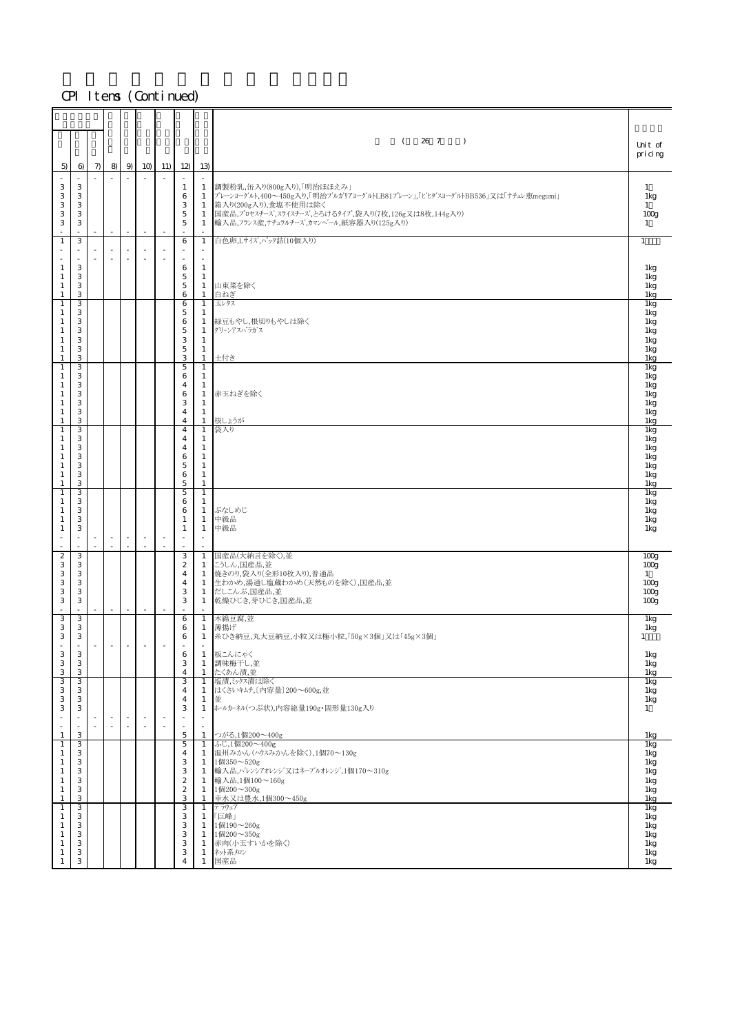| 5)                                                                                                | $\Theta$                                       | $\pi$ | 8 <sub>0</sub>                     | 9                              | 10                                 | 11) | 12                                                                                  | 13)                                                                                                               | 26 7<br>$\left($<br>$\rightarrow$                                                                                                                                                                                                        | Unit of<br>pricing                                                                                               |
|---------------------------------------------------------------------------------------------------|------------------------------------------------|-------|------------------------------------|--------------------------------|------------------------------------|-----|-------------------------------------------------------------------------------------|-------------------------------------------------------------------------------------------------------------------|------------------------------------------------------------------------------------------------------------------------------------------------------------------------------------------------------------------------------------------|------------------------------------------------------------------------------------------------------------------|
| ×.<br>3<br>3<br>3<br>3<br>3                                                                       | $\sim$<br>3<br>3<br>3<br>3<br>3                |       | $\sim$<br>$\overline{\phantom{a}}$ | $\sim$                         | $\sim$                             |     | $\mathbf{1}$<br>6<br>3<br>$\mathbf 5$<br>$\mathbf 5$                                | $\mathbf{1}$<br>$\mathbf{1}$<br>-1<br>1<br>-1                                                                     | 調製粉乳,缶入り(800g入り),「明治ほほえみ」<br> プレーンヨーグルト,400〜450g入り,「明治ブルカリアヨーグルトLB81プレーン」,「ビヒダスヨーグルトBB536」又は「ナチュレ恵megumi」<br>箱入り(200g入り),食塩不使用は除く<br>国産品,プロセスチーズ,スライスチーズ,とろけるタイプ,袋入り(7枚,126g又は8枚,144g入り)<br>輸入品, フランス産, ナチュラルチーズ, カマンヘ'ール, 紙容器入り(125g入り) | $\mathbf{1}$<br>1kg<br>1<br>100 <sub>g</sub><br>$\mathbf{1}$                                                     |
| $\mathbf{1}$<br>×,<br>$\mathbf{1}$<br>$\mathbf{1}$<br>$\mathbf{1}$<br>$\mathbf{1}$                | 3<br>٠<br>$\sim$<br>3<br>3<br>3<br>3           |       | ٠                                  |                                | $\sim$<br>$\sim$                   |     | 6<br>$\sim$<br>6<br>$\mathbf 5$<br>$\mathbf 5$<br>6                                 | $\mathbf{1}$<br>$\overline{\phantom{a}}$<br>×.<br>$\mathbf{1}$<br>-1<br>-1<br>1                                   | 白色卵,Lサイズ,ペック詰(10個入り)<br>山東菜を除く<br>白ねぎ                                                                                                                                                                                                    | $\mathbf{1}$<br>1kg<br>1kg<br>1kg<br>1kg                                                                         |
| $\mathbf{1}$<br>1<br>$\mathbf{1}$<br>$\mathbf{1}$<br>$\mathbf{1}$<br>1<br>1                       | 3<br>З<br>3<br>3<br>3<br>3<br>З                |       |                                    |                                |                                    |     | 6<br>5<br>6<br>$\mathbf 5$<br>3<br>$\mathbf 5$<br>3                                 | 1<br>1<br>$\mathbf{1}$<br>$\mathbf{1}$<br>$\mathbf{1}$<br>$\mathbf{1}$<br>$\mathbf{1}$                            | 玉レタス<br>緑豆もやし,根切りもやしは除く<br>グリーンアスハ゜ラガス<br>土付き                                                                                                                                                                                            | <b>Ikg</b><br>1kg<br>1kg<br>1kg<br>1kg<br>1kg<br>1kg                                                             |
| $\mathbf{1}$<br>1<br>$\mathbf{1}$<br>$\mathbf{1}$<br>$\mathbf{1}$<br>$\mathbf{1}$<br>$\mathbf{1}$ | 3<br>З<br>3<br>3<br>3<br>3<br>3                |       |                                    |                                |                                    |     | $\mathbf 5$<br>6<br>4<br>6<br>3<br>$\overline{4}$<br>$\overline{4}$                 | 1<br>1<br>-1<br>$\mathbf{1}$<br>$\mathbf{1}$<br>$\mathbf{1}$<br>$\mathbf{1}$                                      | 赤玉ねぎを除く<br>根しょうが                                                                                                                                                                                                                         | <b>Ikg</b><br>1kg<br>1kg<br>1kg<br>1kg<br>1kg<br>1kg                                                             |
| $\mathbf{1}$<br>$\mathbf{1}$<br>$\mathbf{1}$<br>1<br>$\mathbf{1}$<br>$\mathbf{1}$<br>$\mathbf{1}$ | З<br>3<br>3<br>3<br>3<br>3<br>3                |       |                                    |                                |                                    |     | $\overline{4}$<br>4<br>4<br>6<br>5<br>6<br>$\mathbf 5$                              | 1<br>$\mathbf{1}$<br>1<br>$\mathbf{1}$<br>$\mathbf{1}$<br>$\mathbf{1}$<br>$\mathbf{1}$                            | 袋入り                                                                                                                                                                                                                                      | 1 <sub>kg</sub><br>1kg<br>1kg<br>1kg<br>1kg<br>1kg<br>1kg                                                        |
| $1\,$<br>$\mathbf{1}$<br>1<br>$\mathbf{1}$<br>1                                                   | 3<br>3<br>3<br>3<br>3<br>×.                    |       | $\overline{\phantom{a}}$<br>$\sim$ | $\overline{\phantom{a}}$<br>÷. | $\overline{\phantom{a}}$<br>×.     |     | $\mathbf 5$<br>6<br>6<br>1<br>$\mathbf{1}$                                          | $\mathbf{1}$<br>1<br>1<br>$\mathbf{1}$<br>$\mathbf{1}$<br>$\overline{\phantom{a}}$                                | ぶなしめじ<br>中級品<br>中級品                                                                                                                                                                                                                      | 1kg<br>1kg<br>1kg<br>1kg<br>1kg                                                                                  |
| $\boldsymbol{2}$<br>3<br>3<br>3<br>3<br>3                                                         | 3<br>3<br>3<br>3<br>3<br>3                     |       | $\overline{\phantom{a}}$           | ä,                             | ×,                                 |     | 3<br>$\boldsymbol{2}$<br>$\overline{4}$<br>4<br>3<br>3                              | $\mathbf{1}$<br>1<br>1<br>1<br>-1<br>-1                                                                           | 国産品(大納言を除く),並<br>こうしん,国産品,並<br>焼きのり,袋入り(全形10枚入り),普通品<br>生わかめ,湯通し塩蔵わかめ(天然ものを除く),国産品,並<br>だしこんぶ、国産品、並<br>乾燥ひじき,芽ひじき,国産品,並                                                                                                                  | 100 <sub>g</sub><br>100 <sub>g</sub><br>$\mathbf{1}$<br>100 <sub>g</sub><br>100 <sub>g</sub><br>100 <sub>g</sub> |
| 3<br>3<br>3<br>$\omega$<br>3                                                                      | 3<br>3<br>3<br>$\sim$<br>3                     | ×.    | $\sim$                             | $\omega$                       | ×.                                 |     | 6<br>6<br>6<br>$\mathcal{L}_{\mathcal{A}}$<br>6<br>3                                | 1<br>1<br>$\mathbf{1}$<br>×<br>$\mathbf{1}$                                                                       | 木綿豆腐,並<br>薄揚げ<br>糸ひき納豆,丸大豆納豆,小粒又は極小粒,「50g×3個」又は「45g×3個」<br>板こんにゃく                                                                                                                                                                        | 1kg<br>1kg<br>$\mathbf{1}$<br>$1\mathrm{kg}$                                                                     |
| 3<br>3<br>3<br>3<br>3<br>3<br>$\sim$                                                              | 3<br>3<br>3<br>3<br>3<br>3<br>$\sim$<br>$\sim$ |       | $\sim$<br>×                        | $\bar{a}$                      | $\overline{\phantom{a}}$<br>$\sim$ |     | $\overline{4}$<br>3<br>$\overline{4}$<br>$\overline{4}$<br>3<br>$\bar{a}$<br>$\sim$ | -1<br>1<br>$\mathbf{1}$<br>$\mathbf{1}$<br>$\mathbf{1}$<br>$\mathbf{1}$<br>×<br>$\sim$                            | 調味梅干し,並<br>たくあん漬,並<br>塩漬、シクス漬は除く<br>はくさいキムチ, [内容量] 200~600g,並<br>並<br>ホールカーネル(つぶ状),内容総量190g・固形量130g入り                                                                                                                                    | 1kg<br>1kg<br>1kg<br>1kg<br>1kg<br>$\mathbf{1}$                                                                  |
| $1\,$<br>$\mathbf{1}$<br>1<br>1<br>$\mathbf{1}$<br>$\mathbf{1}$<br>$\mathbf{1}$<br>$\mathbf{1}$   | 3<br>3<br>З<br>3<br>3<br>3<br>3<br>3           |       |                                    |                                |                                    |     | $\overline{5}$<br>5<br>4<br>3<br>3<br>$\boldsymbol{2}$<br>$\boldsymbol{2}$<br>3     | $\mathbf{1}$<br>$\mathbf{1}$<br>1<br>$\mathbf{1}$<br>$\mathbf{1}$<br>$\mathbf{1}$<br>$\mathbf{1}$<br>$\mathbf{1}$ | つがる,1個200~400g<br>ふじ,1個200~400g<br>温州みかん(ハウスみかんを除く),1個70~130g<br>1個350~520g<br>輸入品, パレンシアオレンジ 又はネーブルオレンジ,1個170~310g<br>輸入品,1個100~160g<br>1個200~300g<br>幸水又は豊水,1個300~450g                                                                 | 1kg<br>1kg<br>1kg<br>1kg<br>1kg<br>1kg<br>1kg<br>1kg                                                             |
| $\mathbf{1}$<br>$\mathbf{1}$<br>$\mathbf{1}$<br>$\mathbf{1}$<br>1<br>1<br>$\mathbf{1}$            | 3<br>3<br>3<br>3<br>3<br>3<br>3                |       |                                    |                                |                                    |     | 3<br>3<br>3<br>3<br>3<br>3<br>$\overline{4}$                                        | $\mathbf{1}$<br>-1<br>1<br>1<br>$\mathbf{1}$<br>$\mathbf{1}$<br>$\mathbf{1}$                                      | デラウェア<br>「巨峰」<br>1個190~260g<br>1個200~350g<br>赤肉(小玉すいかを除く)<br>ネット系メロン<br>国産品                                                                                                                                                              | 1kg<br>1kg<br>1kg<br>1kg<br>1kg<br>1kg<br>1kg                                                                    |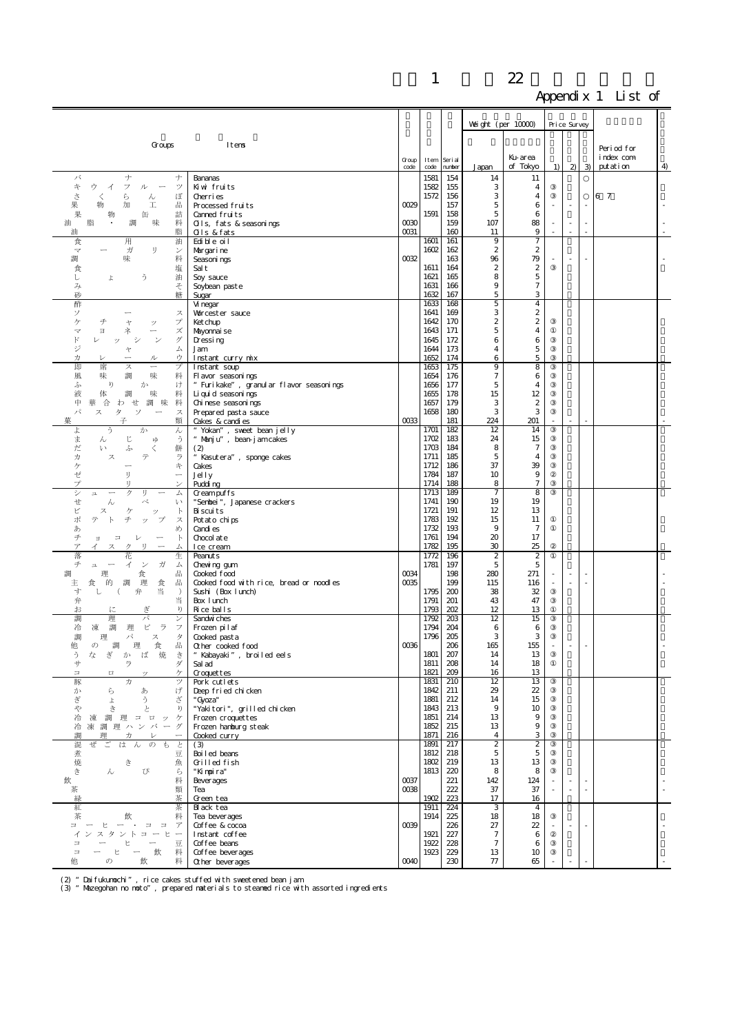|                                                                             |                                                               |               |              |                   |                               |                                    | <b>TT</b> |                |   |                       |    |
|-----------------------------------------------------------------------------|---------------------------------------------------------------|---------------|--------------|-------------------|-------------------------------|------------------------------------|-----------|----------------|---|-----------------------|----|
|                                                                             |                                                               |               |              |                   | Weight (per $10000$ )         |                                    |           | Price Survey   |   |                       |    |
|                                                                             |                                                               |               |              |                   |                               |                                    |           |                |   |                       |    |
| Groups                                                                      | Itens                                                         |               |              |                   |                               |                                    |           |                |   | Period for            |    |
|                                                                             |                                                               | Group<br>code | Item<br>code | Seri al<br>number | Japan                         | Ku-area<br>of Tokyo                | 1)        | $\mathfrak{D}$ | 3 | index com<br>putation | 4  |
| バ<br>ナ<br>ナ                                                                 | Bananas                                                       |               | 1581         | 154               | 14                            | 11                                 |           |                |   |                       |    |
| 午<br>ウ<br>フ<br>ツ<br>ル<br>-1<br>ð<br>ぼ<br>ぐ<br>6<br>ん                        | Kiwi fruits<br>Cherri es                                      |               | 1582<br>1572 | 155<br>156        | 3<br>3                        | $\overline{4}$<br>4                |           |                |   | 6 7                   |    |
| 品<br>果<br>加<br>I<br>物                                                       | Processed fruits                                              | 0029          |              | 157               | 5                             | 6                                  |           |                |   |                       |    |
| 果<br>詰<br>缶<br>物<br>脂<br>味<br>料<br>調<br>油                                   | Canned fruits<br>Olls, fats & seasonings                      | 0030          | 1591         | 158<br>159        | 5<br>107                      | 6<br>88                            | ÷         | $\sim$         |   |                       |    |
| 脂<br>油                                                                      | Qls & fats                                                    | 0031          |              | 160               | 11                            | 9                                  |           | $\sim$         |   |                       |    |
| 用<br>食<br>油<br>ガ<br>IJ<br>$\overline{\overline{\overline{X}}}$<br>ン         | Edi bl e oi l<br>Margarine                                    |               | 1601<br>1602 | 161<br>162        | 9<br>$\boldsymbol{2}$         | $\tau$<br>$\boldsymbol{z}$         |           |                |   |                       |    |
| 味<br>料<br>調                                                                 | Seasoni ngs                                                   | 0032          |              | 163               | 96                            | 79                                 |           | ÷,             |   |                       |    |
| 塩<br>食<br>ž<br>油<br>l<br>よ                                                  | Sal t<br>Soy sauce                                            |               | 1611<br>1621 | 164<br>165        | $\boldsymbol{z}$<br>8         | $\boldsymbol{2}$<br>$\overline{5}$ |           |                |   |                       |    |
| そ<br>み                                                                      | Soybean paste                                                 |               | 1631         | 166               | 9                             | $\tau$                             |           |                |   |                       |    |
| 砂<br>糖<br>酢                                                                 | Sugar<br>Vi negar                                             |               | 1632<br>1633 | 167<br>168        | 5<br>5                        | 3<br>$\overline{4}$                |           |                |   |                       |    |
| ソ<br>ス                                                                      | Worcester sauce                                               |               | 1641         | 169               | 3                             | $\mathbf{2}$                       |           |                |   |                       |    |
| ケ<br>チ<br>プ<br>ャ<br>ッ<br>ズ<br>Э<br>マ<br>ネ                                   | Ket chup<br>Mayonnai se                                       |               | 1642<br>1643 | 170<br>171        | 2<br>5                        | $\boldsymbol{2}$<br>4              |           |                |   |                       |    |
| $\mathbb{F}$<br>ザ<br>ŵ                                                      | Dressing                                                      |               | 1645         | 172               | 6                             | 6                                  |           |                |   |                       |    |
| ジ<br>厶<br>ャ<br>ゥ<br>力<br>ル                                                  | Jam<br>Instant curry mix                                      |               | 1644<br>1652 | 173<br>174        | 4<br>6                        | 5<br>$\mathbf 5$                   |           |                |   |                       |    |
| 即<br>席<br>プ<br>ス                                                            | Instant soup                                                  |               | 1653         | 175               | 9                             | 8                                  |           |                |   |                       |    |
| 風<br>味<br>味<br>調<br>料<br>ŋ<br>ふ<br>か<br>け                                   | Fl avor seasonings<br>" Furikake", granular flavor seasonings |               | 1654<br>1656 | 176<br>177        | 7<br>5                        | 6<br>4                             |           |                |   |                       |    |
| 料<br>液<br>体<br>味<br>調                                                       | Li qui d seasoni ngs                                          |               | 1655         | 178               | 15                            | 12                                 |           |                |   |                       |    |
| 中<br>合<br>せ調<br>味<br>料<br>華<br>わ<br>パ<br>ス<br>タ<br>ソ<br>ス                   | Chi nese seasoni ngs<br>Prepared past a sauce                 |               | 1657<br>1658 | 179<br>180        | 3<br>З                        | $\boldsymbol{z}$<br>3              |           |                |   |                       |    |
| 구<br>類<br>菓                                                                 | Cakes & candi es                                              | 0033          |              | 181               | 224                           | 201                                |           |                |   |                       |    |
| う<br>よ<br>か<br>ん<br>ま<br>じ<br>う<br>ん<br>νþ                                  | Yokan", sweet bean jelly<br>" Manju", bean-jamcakes           |               | 1701<br>1702 | 182<br>183        | 12<br>24                      | 14<br>15                           |           |                |   |                       |    |
| だ<br>ふ<br>餅<br>ŀ١<br>ぐ                                                      | (2)                                                           |               | 1703         | 184               | 8                             | $\tau$                             |           |                |   |                       |    |
| テ<br>ラ<br>カ<br>ス<br>ヶ<br>午                                                  | " Kasutera", sponge cakes<br>Cakes                            |               | 1711<br>1712 | 185<br>186        | 5<br>37                       | 4<br>39                            |           |                |   |                       |    |
| ゼ<br>IJ<br>$\overline{\phantom{0}}$                                         | Jelly                                                         |               | 1784         | 187               | 10                            | 9                                  |           |                |   |                       |    |
| プ<br>IJ<br>シ<br>ク<br>IJ<br>ム<br>$\mathfrak{m}$                              | Pudding<br><b>Greampuffs</b>                                  |               | 1714<br>1713 | 188<br>189        | 8<br>7                        | $\tau$<br>8                        |           |                |   |                       |    |
| せ<br>べ<br>い<br>hν                                                           | "Senbei", Japanese crackers                                   |               | 1741         | 190               | 19                            | 19                                 |           |                |   |                       |    |
| ビ<br>ヶ<br>$\mathbb{R}$<br>ス<br>ッ<br>ポ<br>プ<br>ス<br>ッ                        | Bi scuits<br>Potato chips                                     |               | 1721<br>1783 | 191<br>192        | 12<br>15                      | 13<br>11                           |           |                |   |                       |    |
| あ<br>め                                                                      | Candi es                                                      |               | 1732         | 193               | 9                             | $\tau$                             |           |                |   |                       |    |
| チ<br>$\mathbb{R}$<br>$\equiv$<br>レ<br>日<br>ア<br>IJ<br>ム                     | Chocol at e<br>Ice cream                                      |               | 1761<br>1782 | 194<br>195        | 20<br>30                      | 17<br>25                           |           |                |   |                       |    |
| 落<br>花<br>生                                                                 | Peanut <sub>s</sub>                                           |               | 1772<br>1781 | 196               | $\boldsymbol{2}$              | $\boldsymbol{z}$<br>5              |           |                |   |                       |    |
| チ<br>ガ<br>イ<br>ン<br>ム<br>$\mathbb Z$<br>品<br>調<br>理<br>食                    | Chewing gum<br>Cooked food                                    | 0034          |              | 197<br>198        | 5<br>280                      | 271                                |           |                |   |                       |    |
| 뭅<br>的<br>理<br>主<br>調<br>食<br>食                                             | Cooked food with rice, bread or noodles                       | 0035          | 1795         | 199<br>200        | 115                           | 116<br>32                          |           | ÷,             |   |                       |    |
| 当<br>寸<br>$\lambda$<br>弁<br>U<br>当<br>弁                                     | Sushi (Box lunch)<br>Box 1 unch                               |               | 1791         | 201               | 38<br>43                      | 47                                 |           |                |   |                       |    |
| ぎ<br>ŋ<br>お<br>調<br>理<br>パ<br>$\checkmark$                                  | Rice balls<br>Sandwiches                                      |               | 1793<br>1792 | 202<br>203        | 12<br>12                      | 13<br>15                           |           |                |   |                       |    |
| ピ<br>冷<br>調<br>ラ<br>フ<br>凍<br>理                                             | Frozen pil af                                                 |               | 1794         | 204               | 6                             | 6                                  |           |                |   |                       |    |
| タ<br>調<br>パ<br>ス<br>理<br>食<br>쀼<br>他<br>$\sigma$<br>調<br>理                  | Cooked past a<br>Other cooked food                            | 0036          | 1796         | 205<br>206        | 3<br>165                      | 3<br>155                           |           |                |   |                       |    |
| う<br>な<br>ぎ<br>か<br>ば<br>焼<br>ਣੇ                                            | " Kabayaki", broiled eels                                     |               | 1801         | $207\,$           | 14                            | 13                                 |           |                |   |                       |    |
| ラ<br>ダ<br>サ<br>ケ<br>$\overline{\phantom{a}}$<br>$\Box$<br>ツ                 | Sal ad<br>Croquettes                                          |               | 1811<br>1821 | 208<br>209        | 14<br>16                      | 18<br>13                           |           |                |   |                       |    |
| 豚<br>力<br>ツ                                                                 | Pork cutlets                                                  |               | 1831         | 210               | 12                            | 13                                 |           |                |   |                       |    |
| げ<br>か<br>5<br>あ<br>ぎ<br>ざ<br>う<br>よ                                        | Deep fried chicken<br>"Gyoza"                                 |               | 1842<br>1881 | 211<br>212        | 29<br>14                      | 22<br>15                           |           |                |   |                       |    |
| と<br>ŋ<br>Ŷ.<br>き                                                           | "Yakitori", grilled chicken                                   |               | 1843         | 213               | 9                             | 10                                 |           |                |   |                       |    |
| 冷<br>凍調理コロッ<br>ケ<br>冷<br>凍調理<br>ハンバ<br>$\overline{\phantom{m}}$<br>ザ        | Frozen croquettes<br>Frozen hanburg steak                     |               | 1851<br>1852 | 214<br>215        | 13<br>13                      | 9<br>9                             |           |                |   |                       |    |
| 調<br>理<br>力                                                                 | Cooked curry                                                  |               | 1871         | 216               | 4                             | 3                                  |           |                |   |                       |    |
| 混<br>ご<br>$\mathcal{O}$<br>ぜ<br>は<br>ん<br>P<br>と<br>煮<br>豆                  | (3)<br>Boiled beans                                           |               | 1891<br>1812 | 217<br>218        | $\overline{\mathcal{Z}}$<br>5 | $\overline{c}$<br>$\overline{5}$   |           |                |   |                       |    |
| 焼<br>き<br>魚                                                                 | Grilled fish                                                  |               | 1802         | 219               | 13                            | 13                                 |           |                |   |                       |    |
| き<br>$\lambda$<br>ぴ<br>ら<br>飲<br>料                                          | "Kimpira"<br>Beverages                                        | 0037          | 1813         | 220<br>221        | 8<br>142                      | 8<br>124                           |           |                |   |                       |    |
| 茶<br>類                                                                      | Tea                                                           | 0038          |              | 222               | 37                            | 37                                 |           | ×.             |   |                       | ÷, |
| 緑<br>茶<br>紅<br>茶                                                            | Green tea<br>Black tea                                        |               | 1902<br>1911 | 223<br>224        | 17<br>3                       | 16<br>$\overline{4}$               |           |                |   |                       |    |
| 飲<br>茶<br>料                                                                 | Tea beverages                                                 |               | 1914         | 225               | 18                            | 18                                 |           |                |   |                       |    |
| $\equiv$<br>$\Box$ $\Box$<br>ア<br>ヒ<br>$ \cdot$<br>$z - E$<br>スタ<br>ント<br>イ | Coffee & cocoa<br>Instant coffee                              | 0039          | 1921         | 226<br>227        | 27<br>$\overline{7}$          | 22<br>6                            |           | $\sim$         |   |                       |    |
| 豆<br>$\equiv$                                                               | Coffee beans                                                  |               | 1922         | 228               | $\overline{7}$                | 6                                  |           |                |   |                       |    |
| $\overline{\phantom{a}}$<br>飲<br>料<br>Ŀ<br>他<br>料<br>$\mathcal{D}$<br>飲     | Coffee beverages<br>Other beverages                           | 0040          | 1923         | 229<br>230        | 13<br>$77\,$                  | 10<br>65                           |           |                |   |                       |    |

(2) "Daifukumochi", rice cakes stuffed with sweetened bean jam (3) "Mazegohan no moto", prepared materials to steamed rice with assorted ingredients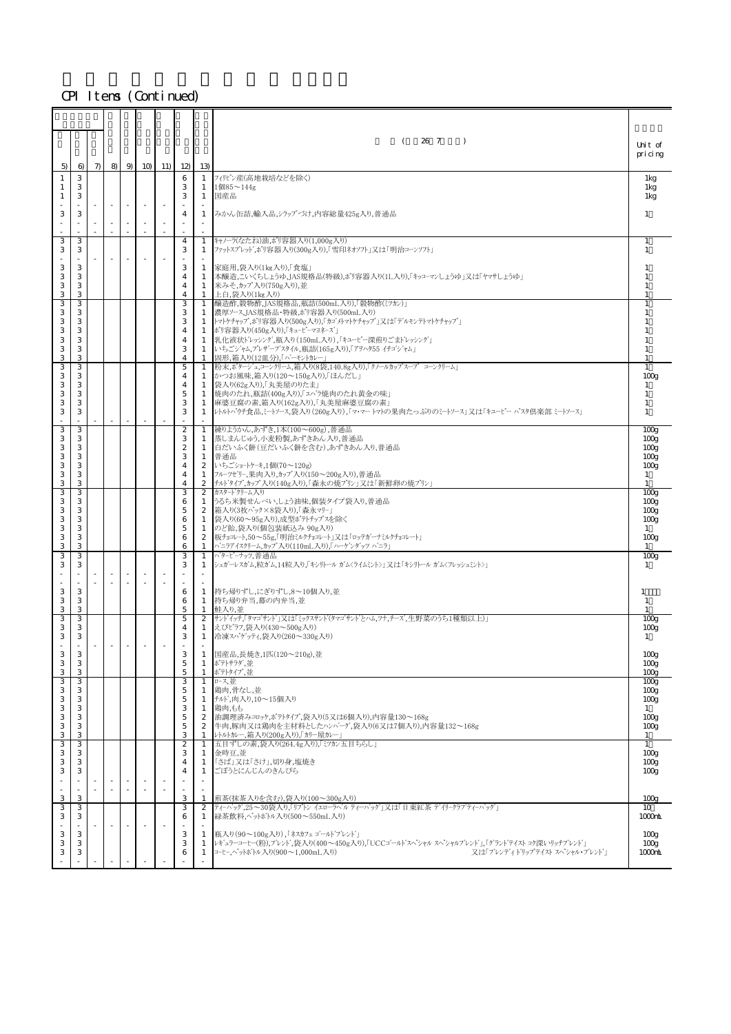|                    |             |        |                          |                          |                                  |                                  | 26 7<br>$\rightarrow$<br>- 1                                                                                            |                                      |
|--------------------|-------------|--------|--------------------------|--------------------------|----------------------------------|----------------------------------|-------------------------------------------------------------------------------------------------------------------------|--------------------------------------|
|                    |             |        |                          |                          |                                  |                                  |                                                                                                                         | Unit of<br>pricing                   |
| 5)<br>$\mathbf{1}$ | 6<br>3      | $\tau$ |                          | 8 9 10 11                | 12<br>6                          | 13)<br>1                         | フィリピン産(高地栽培などを除く)                                                                                                       |                                      |
| 1                  | 3           |        |                          |                          | 3<br>3                           | 1                                | $1$ 個85 $\sim$ 144g                                                                                                     | 1kg<br>1kg                           |
|                    | 3           |        | $\overline{\phantom{a}}$ | $\overline{\phantom{a}}$ |                                  | $\mathbf{1}$                     | 国産品                                                                                                                     | 1kg                                  |
| 3                  | 3<br>$\sim$ |        |                          | $\overline{\phantom{a}}$ | 4                                | $\mathbf{1}$<br>$\sim$           | みかん缶詰,輸入品,シラップづけ,内容総量425g入り,普通品                                                                                         | 1                                    |
| 3                  | 3           |        |                          | ×.                       | 4                                | $\mathbf{1}$                     | キャノーラ(なたね)油,ポリ容器入り(1,000g入り)                                                                                            | $\overline{1}$                       |
| 3                  | 3           |        |                          |                          | 3                                | 1                                | ファットスプレット、ポリ容器入り(300g入り)、「雪印ネオソフト」又は「明治コーンソフト」                                                                          | 1                                    |
| 3<br>3             | 3<br>3      |        |                          |                          | 3<br>$\overline{4}$              | 1<br>1                           | 家庭用,袋入り(1kg入り),「食塩」<br>本醸造,こいくちしょうゆ,JAS規格品(特級),ポリ容器入り(1L入り),「キッコーマンしょうゆ  又は「ヤマサしょうゆ                                     | $\overline{1}$<br>-1                 |
| 3<br>3             | 3<br>3      |        |                          |                          | $\overline{4}$<br>4              | $\mathbf{1}$<br>$\mathbf{1}$     | 米みそ,カップ入り(750g入り),並<br>上白,袋入り(1kg入り)                                                                                    | -1<br>$\overline{1}$                 |
| 3<br>3             | 3<br>З      |        |                          |                          | 3<br>3                           | $\mathbf{1}$<br>$\mathbf{1}$     | 醸造酢,穀物酢,JAS規格品,瓶詰(500mL入り),「穀物酢(ミツカン)」<br> 濃厚ソース,JAS規格品・特級,ポリ容器入り(500mL入り)                                              | $\overline{1}$<br>$\overline{1}$     |
| 3<br>3             | 3<br>3      |        |                          |                          | 3<br>4                           | 1<br>$\mathbf{1}$                | トマトケチャップ,ポリ容器入り(500g入り),「カゴメトマトケチャップ」又は「デルモンテトマトケチャップ」<br> ポリ容器入り(450g入り),「キューピーマヨネーズ」                                  | -1                                   |
| 3                  | 3           |        |                          |                          | $\overline{4}$                   | 1                                | 乳化液状ドレッシング,瓶入り(150mL入り),「キューピー深煎りごまドレッシング」                                                                              |                                      |
| 3<br>3             | 3<br>3      |        |                          |                          | 3<br>4                           | 1<br>1                           | いちごジャム,プレザーブスタイル,瓶詰(165g入り),「アヲハタ55 イチゴジャム」<br>固形,箱入り(12皿分),「ハ'ーモントカレー」                                                 | 1                                    |
| 3<br>3             | З<br>3      |        |                          |                          | 5<br>4                           | 1                                | 粉末,ポタージュ,コーンクリーム,箱入り(8袋,140.8g入り),「クノールカップスープ コーンクリーム」<br>1  かつお風味,箱入り(120〜150g入り),「ほんだし」                               | -1<br>100 <sub>g</sub>               |
| 3<br>3             | 3<br>3      |        |                          |                          | 4<br>$\overline{5}$              | 1<br>1                           | 袋入り(62g入り),「丸美屋のりたま」<br> 焼肉のたれ,瓶詰(400g入り),「エハ'ラ焼肉のたれ黄金の味」                                                               | 1<br>-1                              |
| 3<br>3             | 3<br>3      |        |                          |                          | 3<br>3                           | $\mathbf{1}$                     | 麻婆豆腐の素,箱入り(162g入り),「丸美屋麻婆豆腐の素」<br>1 レトルパ゚゚ヷチ食品、ミートソース、袋入り(260g入り)、「マ・マー トマトの果肉たっぷりのミートソース」又は「キューピー パスタ倶楽部 ミートソース」       | -1<br>1                              |
| 3                  | З           |        |                          |                          | $\boldsymbol{2}$                 | 1                                | 練りようかん,あずき,1本(100~600g),普通品                                                                                             |                                      |
| 3                  | 3           |        |                          |                          | 3                                | 1                                | 蒸しまんじゅう,小麦粉製,あずきあん入り,普通品                                                                                                | 100 <sub>g</sub><br>100 <sub>g</sub> |
| 3<br>3             | 3<br>3      |        |                          |                          | $\boldsymbol{2}$<br>3            | 1<br>1                           | 白だいふく餅(豆だいふく餅を含む),あずきあん入り,普通品<br> 普通品                                                                                   | 100 <sub>g</sub><br>100 <sub>g</sub> |
| 3<br>3             | 3<br>3      |        |                          |                          | $\overline{4}$<br>4              | $\boldsymbol{2}$<br>$\mathbf{1}$ | いちごショートケーキ,1個(70~120g)<br> フルーツゼリー,果肉入り,カップ入り(150~200g入り),普通品                                                           | 100 <sub>g</sub><br>$\mathbf{1}$     |
| 3<br>3             | 3<br>З      |        |                          |                          | 4<br>3                           | $\mathbf{2}$                     | 2 「チルドタイプ,カップ入り(140g入り),「森永の焼プリン」又は「新鮮卵の焼プリン」<br> カスタート゛クリーム入り                                                          | -1<br>100 <sub>g</sub>               |
| 3<br>3             | 3<br>3      |        |                          |                          | 6<br>5                           | 1                                | うるち米製せんべい,しょう油味,個装タイプ袋入り,普通品<br>2  箱入り(3枚パック×8袋入り),「森永マリー」                                                              | 100 <sub>g</sub><br>100 <sub>g</sub> |
| 3                  | 3           |        |                          |                          | 6                                | 1                                | 袋入り(60~95g入り),成型ポテトチップスを除く                                                                                              | 100 <sub>g</sub>                     |
| 3<br>3             | З<br>3      |        |                          |                          | 5<br>6                           | $\mathbf{1}$<br>$\boldsymbol{2}$ | のど飴,袋入り(個包装紙込み 90g入り)<br>板チョコレート,50~55g,「明治ミルクチョコレート」又は「ロッテガーナミルクチョコレート」                                                | 1<br>100 <sub>g</sub>                |
| 3<br>3             | 3<br>3      |        |                          |                          | 6<br>3                           | $\mathbf{1}$<br>$\mathbf{1}$     | ハニラアイスクリーム,カップ入り(110mL入り),「ハーケンダッツ パニラ」<br>パターピーナッツ、普通品                                                                 | -1<br>100 <sub>g</sub>               |
| 3                  | 3           |        |                          |                          | 3                                | 1                                | シュガーレスガム,粒ガム,14粒入り,「キシリトール ガムくライムミント>」 又は「キシリトール ガムくフレッシュミント>」                                                          | 1                                    |
| 3                  | 3           |        |                          |                          | 6                                | $\mathbf{1}$                     | 持ち帰りずし、にぎりずし、8〜10個入り、並                                                                                                  | 1                                    |
| 3<br>3             | 3<br>З      |        |                          |                          | 6<br>5                           | 1                                | 1 持ち帰り弁当,幕の内弁当,並<br> 鮭入り、並                                                                                              | 1                                    |
| 3<br>3             | 3<br>3      |        |                          |                          | 5<br>$\overline{4}$              | $\boldsymbol{2}$<br>1            | サント'イッチ「タマゴサンド」又は「ミックスサント'(タマゴサント'とハム,ツナ,チーズ,生野菜のうち1種類以上) <br> えびピラフ,袋入り(430〜500g入り)                                    | 100 <sub>E</sub><br>100 <sub>g</sub> |
| 3                  | 3<br>×.     |        | $\overline{\phantom{a}}$ |                          | 3                                | 1                                | │冷凍スパゲッティ,袋入り(260〜330g入り)                                                                                               | 1                                    |
| 3                  | 3           |        |                          |                          | 3                                |                                  | 1 国産品,長焼き,1匹(120~210g),並                                                                                                | 100 <sub>g</sub>                     |
| 3<br>3             | 3<br>3      |        |                          |                          | $\overline{5}$<br>$\overline{5}$ | 1<br>1                           | ポテトサラダ,並<br>ポテトタイプ,並                                                                                                    | 100 <sub>g</sub><br>100 <sub>E</sub> |
| 3<br>3             | 3<br>3      |        |                          |                          | 3<br>5                           | $\mathbf{1}$<br>1                | ロース,並<br> 鶏肉,骨なし,並                                                                                                      | 100 <sub>g</sub><br>100 <sub>g</sub> |
| 3<br>3             | 3<br>3      |        |                          |                          | $\overline{5}$<br>3              | $\mathbf{1}$<br>$\mathbf{1}$     | チルド,肉入り,10~15個入り<br>鶏肉、もも                                                                                               | 100 <sub>g</sub><br>1                |
| 3<br>3             | 3<br>3      |        |                          |                          | $\mathbf 5$<br>$\overline{5}$    | 2<br>$\mathbf{2}$                | 油調理済みコロッケ,ポテトタイプ,袋入り(5又は6個入り),内容量130~168g<br>牛肉,豚肉又は鶏肉を主材料としたハンハ'ーグ,袋入り(6又は7個入り),内容量132~168g                            | 100 <sub>g</sub><br>100 <sub>g</sub> |
| 3<br>3             | 3<br>3      |        |                          |                          | 3<br>$\overline{c}$              | $\mathbf{1}$<br>$\mathbf{1}$     | レトルトカレー,箱入り(200g入り),「カリー屋カレー」<br>五目ずしの素,袋入り(264.4g入り),「ミツカン五目ちらし」                                                       | 1<br>1                               |
| 3                  | З<br>3      |        |                          |                          | 3                                | 1                                | 金時豆,並<br>「さば」又は「さけ」,切り身,塩焼き                                                                                             | 100 <sub>g</sub>                     |
| 3<br>3             | 3           |        |                          |                          | 4<br>$\overline{4}$              | 1<br>$\mathbf{1}$                | ごぼうとにんじんのきんぴら                                                                                                           | 100 <sub>g</sub><br>100 <sub>g</sub> |
|                    |             |        | ×.                       | $\sim$<br>×.             |                                  | ×                                |                                                                                                                         |                                      |
| 3<br>3             | 3<br>3      |        |                          |                          | 3<br>3                           | 1<br>$\overline{c}$              | 煎茶(抹茶入りを含む),袋入り(100~300g入り)<br>ティーバッグ,25~30袋入り,「リプトン イエローラベル ティーバッグ  又は「日東紅茶 デイリークラブ ティーバッグ                             | 100 <sub>E</sub><br>10               |
| 3                  | 3           |        |                          |                          | 6                                | 1                                | 緑茶飲料,ペットボトル入り(500~550mL入り)                                                                                              | 1000nL                               |
| 3<br>3             | 3<br>3      |        |                          |                          | 3<br>3                           | 1<br>$\mathbf{1}$                | 瓶入り(90~100g入り),「ネスカフェゴールトフレント'」<br>レキ'ュラーコーヒー(粉),プレンド,袋入り(400~450g入り),「UCCコ'ールドスペシャル スペシャルプレンド」,「グランド'テイスト コク深いリッチブレンド」 | 100 <sub>g</sub><br>100 <sub>g</sub> |
| 3                  | 3           |        |                          |                          | 6                                | $\mathbf{1}$                     | コーヒー,ペットホトル入り(900〜1,000mL入り)<br>又は「ブレンディドリップテイスト スペシャル・ブレンド」                                                            | $1000$ nL                            |
|                    |             |        |                          |                          |                                  |                                  |                                                                                                                         |                                      |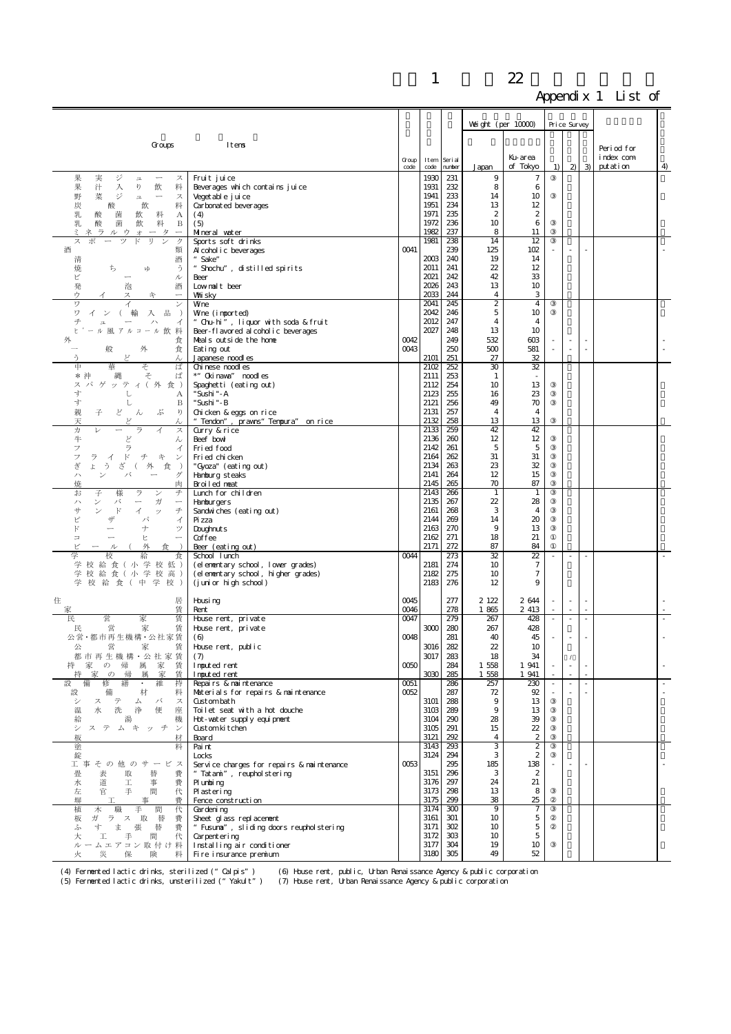|                                                                                                                                            |                                                                   |               |              |                   | Weight (per $10000$ )         |                                    | Price Survey             |                          |                          |                                     |                          |
|--------------------------------------------------------------------------------------------------------------------------------------------|-------------------------------------------------------------------|---------------|--------------|-------------------|-------------------------------|------------------------------------|--------------------------|--------------------------|--------------------------|-------------------------------------|--------------------------|
| Groups                                                                                                                                     | Itens                                                             |               |              |                   |                               |                                    |                          |                          |                          |                                     |                          |
|                                                                                                                                            |                                                                   | Group<br>code | Item<br>code | Seri al<br>number | Japan                         | Ku-area<br>of Tokyo                | 1)                       |                          | $2 \mid 3$               | Period for<br>index com<br>putation | 4                        |
| 果<br>実<br>ジ<br>ス<br>$\mathfrak{m}$<br>果<br>汁<br>飲<br>料<br>入<br>ŋ                                                                           | Fruit juice<br>Beverages which contains juice                     |               | 1930<br>1931 | 231<br>232        | 9<br>8                        | $\tau$<br>6                        |                          |                          |                          |                                     |                          |
| 野<br>菜<br>ジ<br>$\overline{\phantom{a}}$<br>$\mathfrak{p}$<br>ス                                                                             | Vegetable juice                                                   |               | 1941         | 233               | 14                            | 10                                 |                          |                          |                          |                                     |                          |
| 炭<br>料<br>飲<br>酸<br>乳<br>飲<br>料<br>酸<br>菌<br>А                                                                                             | Carbonated beverages<br>(4)                                       |               | 1951<br>1971 | 234<br>235        | 13<br>$\boldsymbol{2}$        | 12<br>$\boldsymbol{2}$             |                          |                          |                          |                                     |                          |
| 乳<br>酸<br>菌<br>飲<br>B<br>料                                                                                                                 | (5)                                                               |               | 1972         | 236               | 10                            | 6                                  |                          |                          |                          |                                     |                          |
| ラ<br>ルウ<br>タ<br>才<br>ス<br>ッ<br>IJ<br>ク                                                                                                     | Mineral water<br>Sports soft drinks                               |               | 1982<br>1981 | 237<br>238        | 8<br>14                       | 11<br>12                           |                          |                          |                          |                                     |                          |
| 酒<br>類                                                                                                                                     | Al cohol i c beverages                                            | 0041          |              | 239               | 125                           | 102                                |                          | $\sim$                   |                          |                                     |                          |
| 酒<br>清<br>焼<br>う<br>ち<br>κÞ                                                                                                                | Sake"<br>"Shochu", distilled spirits                              |               | 2003<br>2011 | 240<br>241        | 19<br>22                      | 14<br>12                           |                          |                          |                          |                                     |                          |
| ピ<br>ル<br>$\overline{\phantom{m}}$                                                                                                         | Beer                                                              |               | 2021<br>2026 | 242<br>243        | 42<br>13                      | 33<br>10                           |                          |                          |                          |                                     |                          |
| 泡<br>発<br>酒<br>ウ<br>ス<br>午                                                                                                                 | Lownalt beer<br>Whiisky                                           |               | 2033         | 244               | $\overline{4}$                | 3                                  |                          |                          |                          |                                     |                          |
| ヮ<br>ン<br>ワ<br>輸<br>入<br>굚<br>$\rightarrow$                                                                                                | Wne<br>Whe (imported)                                             |               | 2041<br>2042 | 245<br>246        | $\overline{\mathcal{Z}}$<br>5 | $\overline{4}$<br>10               |                          |                          |                          |                                     |                          |
| 千<br>イ                                                                                                                                     | "Chu-hi", liquor with soda & fruit                                |               | 2012         | 247               | 4                             | $\overline{4}$                     |                          |                          |                          |                                     |                          |
| ール風アルコール飲料<br>Ł<br>外<br>食                                                                                                                  | Beer-flavored alcoholic beverages<br>Meals outside the home       | 0042          | 2027         | 248<br>249        | 13<br>532                     | 10<br>$\cos$                       |                          |                          |                          |                                     |                          |
| 外<br>般<br>食                                                                                                                                | Eating out                                                        | 0043          |              | 250               | 500                           | 581                                |                          | ÷,                       | ×,                       |                                     |                          |
| う<br>ど<br>ん<br>₱<br>ば<br>華<br>そ                                                                                                            | Japanese noodles<br>Chi nese noodl es                             |               | 2101<br>2102 | 251<br>252        | 27<br>30                      | 32<br>32                           |                          |                          |                          |                                     |                          |
| そ<br>縄<br>ば<br>*沖                                                                                                                          | *" Oki nava" noodl es                                             |               | 2111         | 253               | 1                             |                                    |                          |                          |                          |                                     |                          |
| ス パ ゲ ッ テ ィ ( 外 食 )<br>す<br>レ<br>А                                                                                                         | Spaghetti (eating out)<br>"Sushi " - A                            |               | 2112<br>2123 | 254<br>255        | 10<br>16                      | 13<br>23                           |                          |                          |                          |                                     |                          |
| 寸<br>し<br>$\, {\bf B}$                                                                                                                     | "Sushi" - B                                                       |               | 2121         | 256               | 49                            | 70                                 |                          |                          |                          |                                     |                          |
| 親<br>子<br>ど<br>ぶ<br>ŋ<br>h<br>V<br>天                                                                                                       | Chicken & eggs on rice<br>"Tendon", prawns" Tempura" on rice      |               | 2131<br>2132 | 257<br>258        | 4<br>13                       | 4<br>13                            |                          |                          |                          |                                     |                          |
| 力<br>ラ<br>イ<br>ス<br>レ<br>牛<br>ど<br>ん                                                                                                       | Gurry & rice<br>Beef bowl                                         |               | 2133<br>2136 | 259<br>260        | 42<br>12                      | 42<br>12                           |                          |                          |                          |                                     |                          |
| フ<br>ラ<br>イ                                                                                                                                | Fried food                                                        |               | 2142         | 261               | 5                             | 5                                  |                          |                          |                          |                                     |                          |
| フ<br>ラ<br>$\mathbb{F}$<br>チ<br>午<br>$\overline{\mathcal{A}}$<br>$\checkmark$<br>ぎ<br>J.<br>う<br>ざ<br>食<br>$\rightarrow$<br>$\sqrt{2}$<br>外 | Fri ed chi cken<br>"Gyoza" (eating out)                           |               | 2164<br>2134 | 262<br>263        | 31<br>23                      | 31<br>32                           |                          |                          |                          |                                     |                          |
| バ<br>ハ<br>ゲ                                                                                                                                | Hamburg steaks                                                    |               | 2141         | 264               | 12                            | 15                                 |                          |                          |                          |                                     |                          |
| 焼<br>肉<br>お<br>子<br>様<br>ラ<br>$\checkmark$<br>チ                                                                                            | Broiled neat<br>Lunch for children                                |               | 2145<br>2143 | 265<br>266        | 70<br>1                       | 87<br>1                            |                          |                          |                          |                                     |                          |
| バ<br>ハ<br>ン<br>ガ<br>$\overbrace{\qquad \qquad }^{}$<br>$\overbrace{\qquad \qquad }$<br>サ<br>$\mathbb{F}$<br>チ                              | <b>Hanburgers</b>                                                 |               | 2135<br>2161 | 267<br>268        | 22<br>3                       | 28<br>$\overline{4}$               |                          |                          |                          |                                     |                          |
| ィ<br>ッ<br>ピ<br>ザ<br>イ<br>パ                                                                                                                 | Sandwiches (eating out)<br>Pi zza                                 |               | 2144         | 269               | 14                            | 20                                 |                          |                          |                          |                                     |                          |
| $\mathbb{F}$<br>ナ<br>ツ<br>$\equiv$<br>ヒ                                                                                                    | Doughnut s<br>Coffee                                              |               | 2163<br>2162 | 270<br>271        | 9<br>18                       | 13<br>21                           |                          |                          |                          |                                     |                          |
| ピ<br>外<br>ル                                                                                                                                | Beer (eating out)                                                 |               | 2171         | 272               | 87                            | 84                                 |                          |                          |                          |                                     |                          |
| 学<br>校<br>給<br>食<br>学校 給食(小学校低)                                                                                                            | School lunch<br>(elementary school, lower grades)                 | 0044          | 2181         | 273<br>274        | 32<br>10                      | 22<br>$\tau$                       |                          | $\overline{\phantom{a}}$ |                          |                                     |                          |
| 学校 給 食 (小学校高)<br>学校 給食(中学校)                                                                                                                | (elementary school, higher grades)<br>(junior high school)        |               | 2182<br>2183 | 275<br>276        | 10<br>12                      | $\tau$<br>9                        |                          |                          |                          |                                     |                          |
|                                                                                                                                            |                                                                   |               |              |                   |                               |                                    |                          |                          |                          |                                     |                          |
| 住<br>居<br>賃<br>家                                                                                                                           | Housing<br>Rent                                                   | 0045<br>0046  |              | 277<br>278        | 2 122<br>1865                 | 2644<br>2 4 13                     |                          | $\sim$<br>÷.             | $\overline{\phantom{a}}$ |                                     |                          |
| 民<br>営<br>家<br>賃<br>営<br>賃<br>民                                                                                                            | House rent, private<br>House rent, private                        | 0047          | 3000         | 279<br>280        | 267<br>267                    | 428<br>428                         | $\overline{\phantom{a}}$ | $\blacksquare$           |                          |                                     |                          |
| 家<br>公営·都市再生機構·公社家賃                                                                                                                        | (6)                                                               | 0048          |              | 281               | 40                            | 45                                 |                          |                          |                          |                                     |                          |
| 公<br>営<br>家<br>賃<br>都市再生機構·公社家賃                                                                                                            | House rent, public<br>(7)                                         |               | 3016<br>3017 | 282<br>283        | 22<br>18                      | 10<br>34                           |                          |                          |                          |                                     |                          |
| 家の帰属<br>家<br>賃<br>持                                                                                                                        | Inputed rent                                                      | 0050          |              | 284               | 1 558                         | 1 941                              |                          |                          |                          |                                     |                          |
| 家の帰<br>賃<br>持<br>属<br>家<br>設<br>持<br>修<br>繕<br>維<br>$\bullet$                                                                              | I nput ed rent<br>Repairs & naintenance                           | 0051          | 3030         | 285<br>286        | 1 558<br>257                  | 1 941<br>230                       | $\overline{\phantom{a}}$ | $\overline{\phantom{a}}$ | $\overline{\phantom{a}}$ |                                     | $\overline{\phantom{a}}$ |
| 設<br>備<br>材<br>料                                                                                                                           | Materials for repairs & naintenance                               | 0052          |              | 287               | 72                            | 92                                 |                          |                          |                          |                                     |                          |
| シ<br>テ<br>バ<br>ス<br>ス<br>ム<br>洗<br>便<br>座<br>温<br>水<br>浄                                                                                   | <b>Gist</b> ombath<br>Toilet seat with a hot douche               |               | 3101<br>3103 | 288<br>289        | 9<br>9                        | 13<br>13                           |                          |                          |                          |                                     |                          |
| 給<br>機<br>湯                                                                                                                                | Hot-water supply equipment                                        |               | 3104         | 290               | 28                            | 39                                 |                          |                          |                          |                                     |                          |
| シ<br>ステムキッチ<br>$\checkmark$<br>板<br>材                                                                                                      | Gust om kitchen<br>Board                                          |               | 3105<br>3121 | 291<br>292        | 15<br>$\overline{4}$          | 22<br>$\boldsymbol{2}$             |                          |                          |                          |                                     |                          |
| 塗<br>料<br>錠                                                                                                                                | Pai nt<br>Locks                                                   |               | 3143<br>3124 | 293<br>294        | 3<br>3                        | $\overline{c}$<br>$\boldsymbol{2}$ |                          |                          |                          |                                     |                          |
| 工事その他のサー<br>ビス                                                                                                                             | Service charges for repairs & naintenance                         | 0053          |              | 295               | 185                           | 138                                |                          |                          |                          |                                     |                          |
| 畳<br>費<br>表<br>取<br>替<br>費<br>水<br>道<br>工<br>事                                                                                             | "Tatami", reuphol stering<br>Plumbing                             |               | 3151<br>3176 | 296<br>297        | 3<br>24                       | $\boldsymbol{2}$<br>21             |                          |                          |                          |                                     |                          |
| 代<br>左<br>官<br>手<br>間                                                                                                                      | Plastering                                                        |               | 3173         | 298               | 13                            | 8                                  |                          |                          |                          |                                     |                          |
| 塀<br>事<br>費<br>工<br>植<br>職<br>手<br>間<br>代<br>木                                                                                             | Fence construction<br>Gardening                                   |               | 3175<br>3174 | 299<br>300        | 38<br>9                       | 25<br>$\tau$                       |                          |                          |                          |                                     |                          |
| 板<br>ガラス取替<br>費<br>費<br>す<br>ま<br>張<br>替<br>S.                                                                                             | Sheet glass replacement<br>"Fusuna", sliding doors reupholstering |               | 3161<br>3171 | 301<br>302        | 10<br>10                      | 5<br>5                             |                          |                          |                          |                                     |                          |
| 代<br>大<br>工<br>手<br>間                                                                                                                      | Carpent ering                                                     |               | 3172         | 303               | 10                            | 5                                  |                          |                          |                          |                                     |                          |
| ルームエアコン取付け料<br>火<br>災<br>保<br>険<br>料                                                                                                       | Installing air conditioner<br>Fire insurance premium              |               | 3177<br>3180 | 304<br>305        | 19<br>49                      | 10<br>52                           |                          |                          |                          |                                     |                          |

(4) Fermented lactic drinks, sterilized ("Calpis") (6) House rent, public, Urban Renaissance Agency & public corporation<br>(5) Fermented lactic drinks, unsterilized ("Yakult") (7) House rent, Urban Renaissance Agency & publi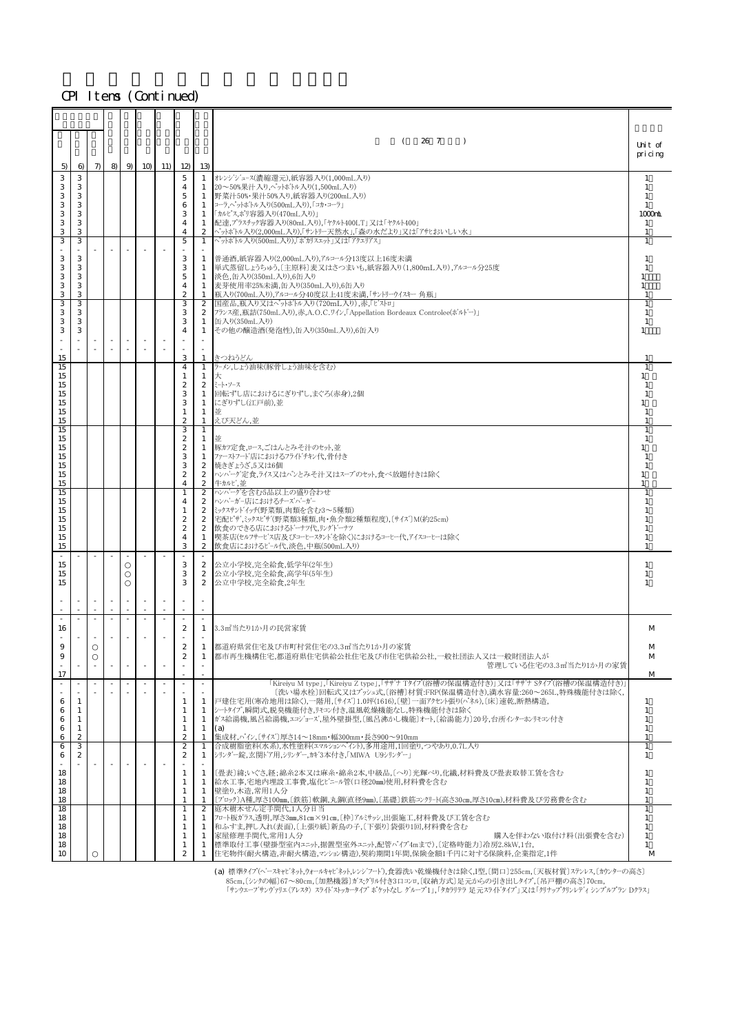|                                        |                                      |       |                          |           |                                                                                     |                                                        | 26 7<br>$\lambda$                                                                                                                                                                                                                                                                                      | Unit of                                                     |
|----------------------------------------|--------------------------------------|-------|--------------------------|-----------|-------------------------------------------------------------------------------------|--------------------------------------------------------|--------------------------------------------------------------------------------------------------------------------------------------------------------------------------------------------------------------------------------------------------------------------------------------------------------|-------------------------------------------------------------|
| 5)                                     | 6)                                   | $\pi$ |                          | 8 9 10 11 | 12                                                                                  | 13)                                                    |                                                                                                                                                                                                                                                                                                        | pricing                                                     |
| 3<br>3<br>3<br>3<br>3<br>3<br>3        | 3<br>3<br>3<br>3<br>3<br>3<br>3      |       |                          |           | 5<br>4<br>5<br>6<br>3<br>$\overline{4}$<br>$\overline{4}$                           | 1<br>$\mathbf{1}$<br>1<br>1<br>1<br>2                  | 1  オレンジジュース(濃縮還元),紙容器入り(1,000mL入り)<br> 20~50%果汁入り,ペットボトル入り(1,500mL入り)<br> 野菜汁50%・果汁50%入り,紙容器入り(200mL入り)<br>コーラ,ペットホトル入り(500mL入り), 「コカ・コーラ」<br>「カルピス,ポリ容器入り(470mL入り)<br>配達,プラスチック容器入り(80mL入り),「ヤクルト400LT」又は「ヤクルト400」<br>ペットボトル入り(2,000mL入り),「サントリー天然水」,「森の水だより」又は「アサヒおいしい水」                             | $\overline{1}$<br>1<br>$\overline{1}$<br>-1<br>1000mL<br>-1 |
| 3                                      | 3                                    |       |                          |           | 5                                                                                   | $\mathbf{1}$                                           | ペットボトル入り(500mL入り),「ポカリスエット  又は「アクエリアス」                                                                                                                                                                                                                                                                 | 1                                                           |
| 3<br>3<br>3<br>3<br>3                  | 3<br>3<br>3<br>3<br>3                |       |                          |           | 3<br>3<br>5<br>$\overline{4}$<br>$\boldsymbol{2}$                                   | 1<br>1<br>1<br>1<br>1                                  | 普通酒,紙容器入り(2,000mL入り),アルコール分13度以上16度未満<br>単式蒸留しょうちゅう,[主原料]麦又はさつまいも,紙容器入り(1,800mL入り),アルコール分25度<br> 淡色,缶入り(350mL入り),6缶入り<br> 麦芽使用率25%未満,缶入り(350mL入り),6缶入り<br>瓶入り(700mL入り),アルコール分40度以上41度未満,「サントリーウイスキー 角瓶」                                                                                                | -1<br>-1<br>1<br>-1                                         |
| 3<br>3<br>3<br>3                       | 3<br>3<br>3<br>3                     |       |                          |           | 3<br>3<br>3<br>4                                                                    | $\mathbf{2}$<br>$\mathbf{1}$<br>1                      | 国産品,瓶入り又はペットボトル入り(720mL入り),赤,「ビストロ」<br>2 フランス産,瓶詰(750mL入り),赤,A.O.C.ワイン,「Appellation Bordeaux Controlee(ボルドー)」<br>缶入り(350mL入り)<br>その他の醸造酒(発泡性),缶入り(350mL入り),6缶入り                                                                                                                                        | $\mathbf{1}$<br>$\overline{1}$<br>-1<br>1                   |
| 15<br>15                               |                                      |       |                          |           | 3<br>$\overline{4}$                                                                 | 1                                                      | 1 きつねうどん<br>ラーメン,しょう油味(豚骨しょう油味を含む)                                                                                                                                                                                                                                                                     |                                                             |
| 15<br>15<br>15<br>15<br>15<br>15       |                                      |       |                          |           | 1<br>$\boldsymbol{2}$<br>3<br>3<br>1<br>$\mathbf{z}$                                | 1<br>1<br>1  並<br>$\mathbf{1}$                         | $1 \times$<br>$2 \div y - x$<br>回転ずし店におけるにぎりずし,まぐろ(赤身),2個<br>にぎりずし(江戸前)、並<br>えび天どん,並                                                                                                                                                                                                                   | $\mathbf{1}$<br>$\overline{1}$<br>-1                        |
| 15<br>15<br>15<br>15<br>15<br>15<br>15 |                                      |       |                          |           | 3<br>$\mathbf{2}$<br>$\mathbf{2}$<br>3<br>3<br>$\mathbf{2}$<br>$\overline{4}$       | $\mathbf{1}$<br>1<br>1<br>$\mathbf{2}$<br>$\mathbf{2}$ | 1 豚カツ定食,ロース,ごはんとみそ汁のセット,並<br> ファーストフード店におけるフライドチキン代,骨付き<br>焼きぎょうざ,5又は6個<br>2  ハンバーグ定食,ライス又はパンとみそ汁又はスープのセット,食べ放題付きは除く<br>牛カルビ、並                                                                                                                                                                         |                                                             |
| 15<br>15<br>15<br>15<br>15<br>15<br>15 |                                      |       |                          |           | 1<br>$\overline{4}$<br>1<br>$\mathbf{2}$<br>$\boldsymbol{2}$<br>$\overline{4}$<br>3 | $\mathbf{2}$<br>$\mathbf{2}$<br>1                      | 2 ハンバーグを含む5品以上の盛り合わせ<br>2  ハンパーガー店におけるチーズハーガー<br>2 ミックスサント'イッチ(野菜類,肉類を含む3~5種類)<br> 宅配ピザ、ミックスピザ(野菜類3種類,肉・魚介類2種類程度),〔サイズ〕M(約25cm)<br>飲食のできる店におけるドーナツ代,リングドーナツ<br> 喫茶店(セルフサービス店及びコーヒースタンドを除く)におけるコーヒー代,アイスコーヒーは除く<br>2 飲食店におけるビール代,淡色,中瓶(500mL入り)                                                         | $\overline{1}$<br>-1<br>-1                                  |
| 15<br>15<br>15                         |                                      |       |                          |           | 3<br>3<br>3                                                                         |                                                        | 2 公立小学校,完全給食,低学年(2年生)<br>2 公立小学校,完全給食,高学年(5年生)<br>2 公立中学校,完全給食,2年生                                                                                                                                                                                                                                     | 1<br>1<br>1                                                 |
|                                        |                                      |       |                          |           |                                                                                     |                                                        |                                                                                                                                                                                                                                                                                                        |                                                             |
| 16                                     |                                      |       | $\overline{\phantom{a}}$ |           | $\boldsymbol{2}$                                                                    |                                                        | 1 3.3m <sup>2</sup> 当たり1か月の民営家賃                                                                                                                                                                                                                                                                        | M                                                           |
| 9<br>9                                 |                                      |       |                          |           | 2<br>$\boldsymbol{2}$                                                               | 1<br>1                                                 | 都道府県営住宅及び市町村営住宅の3.3㎡当たり1か月の家賃<br>都市再生機構住宅,都道府県住宅供給公社住宅及び市住宅供給公社,一般社団法人又は一般財団法人が<br>管理している住宅の3.3m2当たり1か月の家賃                                                                                                                                                                                             | M<br>М                                                      |
| 17                                     |                                      |       |                          |           |                                                                                     | $\omega$                                               | 「Kireiyu M type」,「Kireiyu Z type」,「サザナ Tタイプ(浴槽の保温構造付き)」又は「サザナ Sタイプ(浴槽の保温構造付き)」                                                                                                                                                                                                                         | M                                                           |
| 6<br>6<br>6<br>6<br>6                  | 1<br>1<br>1<br>1<br>$\boldsymbol{z}$ |       |                          |           | 1<br>$\mathbf{1}$<br>1<br>1<br>$\boldsymbol{2}$                                     | 1<br>$\overline{1}$<br>1<br>1<br>1                     | 〔洗い場水栓〕回転式又はプッシュ式.〔浴槽〕材質:FRP(保温構造付き),満水容量:260~265L,特殊機能付きは除く,<br>戸建住宅用(寒冷地用は除く),一階用,〔サイズ〕1.0坪(1616),〔壁〕一面アクセント張り(パネル),〔床〕速乾,断熱構造,<br>シートタイプ,瞬間式,脱臭機能付き,リモコン付き,温風乾燥機能なし,特殊機能付きは除く<br>ガス給湯機,風呂給湯機,エコジョーズ,屋外壁掛型,〔風呂沸かし機能〕オート,〔給湯能力〕20号,台所インターホンリモコン付き<br>(a)<br>集成材,パイン,〔サイズ〕厚さ14~18mm・幅300mm・長さ900~910mm | -1<br>1<br>1<br>1<br>1                                      |
| 6<br>6                                 | З<br>$\boldsymbol{2}$                |       |                          |           | $\boldsymbol{2}$<br>$\boldsymbol{2}$                                                | $\mathbf{1}$<br>1                                      | 合成樹脂塗料(水系),水性塗料(エマルションペイント),多用途用,1回塗り,つやあり,0.7L入り<br>シリンダー錠,玄関ドア用,シリンダー,カギ3本付き,「MIWA U9シリンダー」                                                                                                                                                                                                          | $\mathbf{1}$<br>$\mathbf{1}$                                |
| 18<br>18<br>18<br>18                   |                                      |       |                          |           | 1<br>$\mathbf{1}$<br>1<br>$\mathbf{1}$                                              | 1<br>1<br>1<br>1                                       | 〔畳表〕緯,いぐさ,経;綿糸2本又は麻糸・綿糸2本,中級品,〔へり〕光輝べり,化繊,材料費及び畳表取替工賃を含む<br>給水工事,宅地内埋設工事費,塩化ビニール管(口径20mm)使用,材料費を含む<br>壁塗り,木造,常用1人分<br>〔フ'ロック]A種,厚さ100mm,〔鉄筋〕軟鋼,丸鋼(直径9mm),〔基礎〕鉄筋コンクリート(高さ30cm,厚さ10cm),材料費及び労務費を含む                                                                                                       | -1<br>$\overline{1}$<br>1                                   |
| 18<br>18<br>18<br>18<br>18<br>10       |                                      |       |                          |           | 1<br>1<br>-1<br>$\mathbf{1}$<br>1<br>$\boldsymbol{2}$                               | $\mathbf{2}$<br>1<br>$\overline{1}$<br>1<br>1<br>1     | 庭木樹木せん定手間代,1人分日当<br> フロート板ガラス,透明,厚さ3mm,81cm×91cm,〔枠〕アルミサッシ,出張施工,材料費及び工賃を含む<br>和ふすま,押し入れ(表面), 〔上張り紙〕新鳥の子, 〔下張り〕袋張り1回,材料費を含む<br>家屋修理手間代,常用1人分<br>購入を伴わない取付け料(出張費を含む)<br>標準取付工事(壁掛型室内ユニット,据置型室外ユニット,配管パイプ4mまで),〔定格時能力〕冷房2.8kW,1台,<br>住宅物件(耐火構造,非耐火構造,マンション構造),契約期間1年間,保険金額1千円に対する保険料,企業指定,1件              | 1<br>$\mathbf{1}$<br>1<br>1<br>M                            |

(a) 標準タイブ(ベー-スキャビネット,ウォールキャビネット,レンジフード),食器洗い乾燥機付きは除く,エ型,〔間口〕255cm,〔天板材質〕ステンレス,〔カウンターの高さ〕<br>- 85cm,〔シンクの幅〕67〜80cm,〔加熱機器〕ガス;グリル付き3ロコンロ,〔収納方式〕足元からの引き出しタイブ,〔吊戸棚の高さ〕70cm,<br>「サンウェーブサンヴァリェ(アレスタ) スライドストッカータイブボケットなし グルー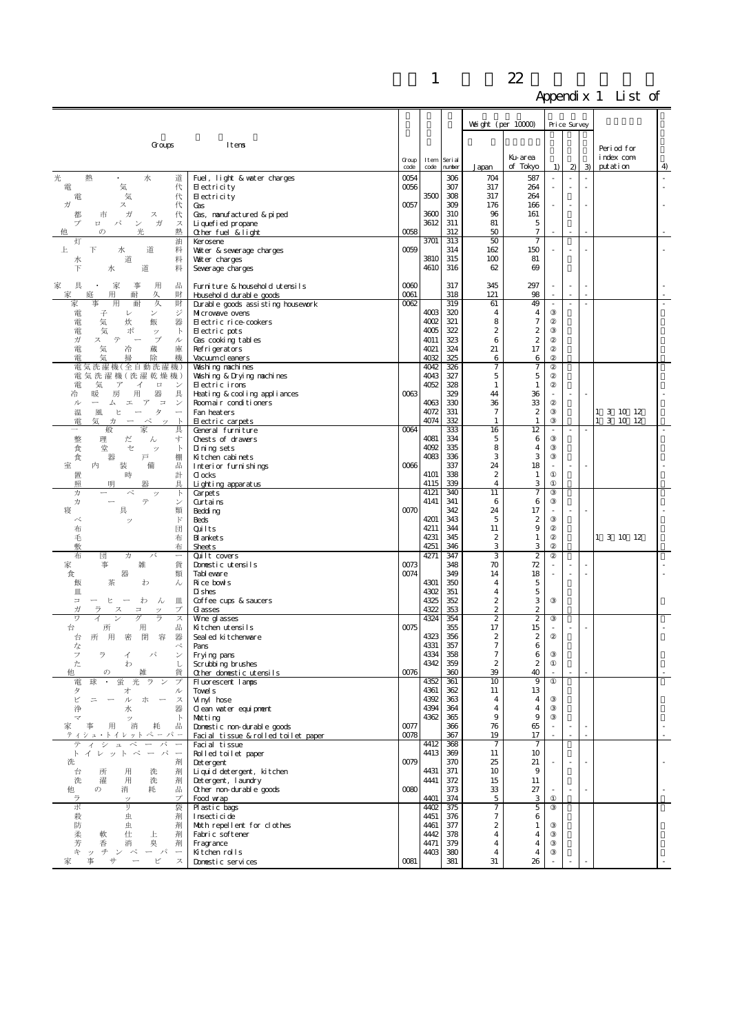|                                                                              |                                                              |                                |              |                   |                                           |                                  | . . |                          |               |                         |    |
|------------------------------------------------------------------------------|--------------------------------------------------------------|--------------------------------|--------------|-------------------|-------------------------------------------|----------------------------------|-----|--------------------------|---------------|-------------------------|----|
|                                                                              |                                                              |                                |              |                   | Weight (per $10000$ )                     |                                  |     | Price Survey             |               |                         |    |
|                                                                              |                                                              |                                |              |                   |                                           |                                  |     |                          |               |                         |    |
| Groups                                                                       | Itens                                                        |                                |              |                   |                                           |                                  |     |                          |               | Period for              |    |
|                                                                              |                                                              | $\operatorname{Group}$<br>code | Item<br>code | Seri al<br>number | Japan                                     | Ku-area<br>of Tokyo              | 1)  | 2)                       | $\mathcal{B}$ | index com<br>putation   | 4  |
| 光<br>熱<br>水<br>道                                                             | Fuel, light & vater charges                                  | 0054                           |              | 306               | 704                                       | 587                              | J.  |                          |               |                         | ÷, |
| 気<br>代<br>電<br>代<br>気<br>電                                                   | $E$ ectricity<br>$H$ ectricity                               | 0056                           | 3500         | 307<br>308        | 317<br>317                                | 264<br>264                       |     | ÷,                       | ×,            |                         |    |
| ガ<br>ス<br>代                                                                  | Gas                                                          | 0057                           |              | 309               | 176                                       | 166                              |     |                          |               |                         |    |
| ガ<br>代<br>市<br>ス<br>都<br>$\checkmark$<br>ガ<br>パ<br>ス<br>プ<br>$\Box$          | Gas, nanufactured & piped<br>Li quefi ed propane             |                                | 3600<br>3612 | 310<br>311        | 96<br>81                                  | 161<br>5                         |     |                          |               |                         |    |
| 光<br>熱<br>$\sigma$                                                           | Other fuel & light                                           | 0058                           |              | 312               | 50                                        | $\tau$                           |     |                          |               |                         |    |
| 油<br>灯<br>道<br>上<br>Ŧ<br>料<br>水                                              | Kerosene<br>Water & severage charges                         | 0059                           | 3701         | 313<br>314        | 50<br>162                                 | 7<br>150                         |     |                          |               |                         |    |
| 道<br>料<br>水                                                                  | Water charges                                                |                                | 3810         | 315               | 100                                       | 81                               |     |                          |               |                         |    |
| 道<br>Ŧ<br>水<br>料                                                             | Severage charges                                             |                                | 4610         | 316               | 62                                        | 69                               |     |                          |               |                         |    |
| 具<br>家<br>事<br>用<br>品<br>家                                                   | Furniture & household utensils                               | 0000                           |              | 317               | 345                                       | 297                              |     | $\sim$                   |               |                         |    |
| 財<br>庭<br>用<br>耐<br>久<br>冡<br>家<br>事<br>用<br>耐<br>久<br>財                     | Household durable goods<br>Durable goods assisting housework | 0061<br>0062                   |              | 318<br>319        | 121<br>61                                 | 98<br>49                         |     | ÷,                       | ä,            |                         |    |
| ジ<br>電<br>子<br>V<br>$\checkmark$                                             | Microwave overs                                              |                                | 4003<br>4002 | 320<br>321        | $\overline{4}$                            | 4                                |     |                          |               |                         |    |
| 飯<br>器<br>電<br>気<br>炊<br>ポ<br>電<br>気<br>$\mathbb{R}$<br>ッ                    | Electric rice-cookers<br>Electric pots                       |                                | 4005         | 322               | 8<br>$\boldsymbol{2}$                     | $\tau$<br>$\boldsymbol{2}$       |     |                          |               |                         |    |
| ガ<br>テ<br>ブ<br>ス<br>ル                                                        | Gas cooking tables                                           |                                | 4011<br>4021 | 323<br>324        | 6<br>21                                   | $\boldsymbol{2}$<br>17           |     |                          |               |                         |    |
| 電<br>気<br>蔵<br>庫<br>冷<br>電<br>機<br>除<br>気<br>掃                               | Refrigerators<br>Vacuum cleaners                             |                                | 4032         | 325               | 6                                         | 6                                |     |                          |               |                         |    |
| 電気洗濯機(全自動洗濯<br>機<br>電気洗濯機(洗濯乾燥機)                                             | Valshi ng nachi nes                                          |                                | 4042<br>4043 | 326<br>327        | $\overline{7}$<br>5                       | 7<br>5                           |     |                          |               |                         |    |
| 電<br>気<br>$\overline{\mathcal{T}}$<br>イ<br>$\Box$<br>ン                       | Washing & Drying nachines<br>Electric irons                  |                                | 4052         | 328               | $\mathbf{1}$                              | $\mathbf{1}$                     |     |                          |               |                         |    |
| 用<br>器<br>具<br>冷<br>房<br>暖<br>$\Box$<br>ル<br>ア<br>工                          | Heating & cooling appliances                                 | 0063                           | 4063         | 329<br>330        | 44<br>36                                  | 36<br>33                         |     | ×,                       |               |                         |    |
| $\checkmark$<br>厶<br>タ<br>温<br>風<br>Ŀ                                        | Roomair conditioners<br>Fan heat ers                         |                                | 4072         | 331               | $\overline{7}$                            | $\boldsymbol{2}$                 |     |                          |               | 1 3 10 12               |    |
| 雷<br>気<br>力<br>ぺ<br>$\mathcal{D}$<br>家<br>具<br>$\overline{\phantom{0}}$<br>般 | Electric carpets<br>General furniture                        | 0064                           | 4074         | 332<br>333        | $\mathbf{1}$<br>16                        | $\mathbf{1}$<br>12               |     | $\sim$                   |               | 3 10 12<br>$\mathbf{1}$ |    |
| 整<br>理<br>だ<br>す<br>ん                                                        | Chests of drawers                                            |                                | 4081         | 334               | 5                                         | 6                                |     |                          |               |                         |    |
| 堂<br>セ<br>食<br>$\mathbb{R}$<br>ッ<br>器<br>食<br>戸<br>棚                         | Di ning sets<br>Kitchen cabinets                             |                                | 4092<br>4083 | 335<br>336        | 8<br>3                                    | $\overline{4}$<br>3              |     |                          |               |                         |    |
| 室<br>内<br>装<br>備<br>出                                                        | Interior furnishings                                         | 0006                           |              | 337               | 24                                        | 18                               |     | $\sim$                   |               |                         |    |
| 計<br>置<br>時<br>昭<br>具<br>明<br>器                                              | $d$ ocks<br>Lighting apparatus                               |                                | 4101<br>4115 | 338<br>339        | $\boldsymbol{2}$<br>$\overline{4}$        | 1<br>3                           |     |                          |               |                         |    |
| 力<br>ぺ<br>$\mathbb{R}$<br>ッ                                                  | Carpet <sub>s</sub>                                          |                                | 4121         | 340               | 11                                        | 7                                |     |                          |               |                         |    |
| テ<br>力<br>ン<br>具<br>寝<br>類                                                   | Curtains<br>Bedding                                          | 0070                           | 4141         | 341<br>342        | 6<br>24                                   | 6<br>17                          |     | $\sim$                   |               |                         |    |
| $\mathbb{F}$<br>ベ<br>ッ                                                       | Beds                                                         |                                | 4201         | 343               | 5                                         | $\boldsymbol{2}$                 |     |                          |               |                         |    |
| 布<br>団<br>毛<br>布                                                             | Quilts<br><b>B</b> ankets                                    |                                | 4211<br>4231 | 344<br>345        | 11<br>2                                   | 9<br>$\mathbf{1}$                |     |                          |               | 1 3 10 12               |    |
| 敷<br>布                                                                       | <b>Sheets</b>                                                |                                | 4251         | 346               | 3                                         | 3                                |     |                          |               |                         |    |
| 布<br>団<br>力<br>バ<br>家<br>貨<br>事<br>雑                                         | Quilt covers<br>Domestic utensils                            | 0073                           | 4271         | 347<br>348        | 3<br>70                                   | $\overline{c}$<br>72             |     | ä,                       |               |                         |    |
| 器<br>食<br>類                                                                  | Tabl evare                                                   | 0074                           |              | 349               | 14                                        | 18                               |     |                          |               |                         |    |
| 飯<br>茶<br>ん<br>わ<br>皿                                                        | Rice bowls<br>D shes                                         |                                | 4301<br>4302 | 350<br>351        | $\overline{4}$<br>$\overline{4}$          | $\overline{5}$<br>$\overline{5}$ |     |                          |               |                         |    |
| $\Box$<br>わ<br>ん<br>Ш.<br>μ                                                  | Coffee cups & saucers                                        |                                | 4325<br>4322 | 352               | 2                                         | 3                                |     |                          |               |                         |    |
| ガ<br>プ<br>$\equiv$<br>ス<br>ワ<br>ゲ<br>ラ<br>ス<br>イ                             | <b>G</b> asses<br>Wne gl asses                               |                                | 4324         | 353<br>354        | $\boldsymbol{2}$<br>$\boldsymbol{2}$      | 2<br>$\boldsymbol{2}$            |     |                          |               |                         |    |
| 品<br>用<br>台<br>所<br>器                                                        | Kitchen utensils                                             | 0075                           | 4323         | 355<br>356        | 17<br>$\boldsymbol{2}$                    | 15<br>$\boldsymbol{2}$           |     |                          |               |                         |    |
| 容<br>用<br>閉<br>密<br>台<br>所<br>べ<br>な                                         | Seal ed kitchenware<br>Pans                                  |                                | 4331         | 357               | $\boldsymbol{7}$                          | 6                                |     |                          |               |                         |    |
| ラ<br>フ<br>ィ<br>た<br>L<br>わ                                                   | Frying pans<br>Scrubbing brushes                             |                                | 4334<br>4342 | 358<br>359        | $\overline{7}$<br>$\boldsymbol{z}$        | 6<br>$\boldsymbol{2}$            |     |                          |               |                         |    |
| 貨<br>他<br>の                                                                  | Other domestic utensils                                      | 0076                           |              | 360               | 39                                        | 40                               |     |                          |               |                         |    |
| 電<br>球<br>ラ<br>蛍<br>ブ<br>タ<br>才<br>ル                                         | Fluorescent lanps<br>Tovel s                                 |                                | 4352<br>4361 | 361<br>362        | 10<br>11                                  | 9<br>13                          |     |                          |               |                         |    |
| ピ<br>ル<br>ホ ー<br>ス<br>$=$                                                    | Vinyl hose                                                   |                                | 4392         | 363               | 4                                         | $\overline{4}$                   |     |                          |               |                         |    |
| 器<br>浄<br>水<br>$\mathbb{R}$<br>マ<br>ッ                                        | Clean water equipment<br>Matting                             |                                | 4394<br>4362 | 364<br>365        | 4<br>9                                    | 4<br>$9$                         |     |                          |               |                         |    |
| 用<br>品<br>消<br>耗<br>家                                                        | Donestic non-durable goods                                   | 0077                           |              | 366               | 76                                        | 65                               |     | $\overline{\phantom{a}}$ | $\sim$        |                         |    |
| ティシュ・トイレット ペー パ ー<br>テ<br>シ<br>$\mathfrak{A}$<br>ぺ<br>パ                      | Facial tissue & rolled toilet paper<br>Facial tissue         | 0078                           | 4412         | 367<br>368        | 19<br>$\overline{7}$                      | 17<br>$\tau$                     |     | ÷.                       |               |                         |    |
| ーパ<br>イレットペ<br>$\overline{\phantom{a}}$<br>$\mathbb{F}$                      | Rolled toilet paper                                          |                                | 4413         | 369               | 11                                        | 10                               |     |                          |               |                         |    |
| 洗<br>剤<br>用<br>剤<br>台<br>所<br>洗                                              | Detergent<br>Li qui d det ergent, kitchen                    | 0079                           | 4431         | 370<br>371        | 25<br>10                                  | 21<br>9                          |     |                          |               |                         |    |
| 洗<br>濯<br>用<br>洗<br>剤                                                        | Detergent, laundry                                           |                                | 4441         | $372\,$           | 15                                        | 11                               |     |                          |               |                         |    |
| $\sigma$<br>消<br>耗<br>出<br>他<br>ラ<br>プ<br>ッ                                  | Other non-durable goods<br>Food wrap                         | 0080                           | 4401         | 373<br>374        | 33<br>5                                   | 27<br>3                          |     |                          |               |                         |    |
| 尗<br>IJ<br>袋                                                                 | Plastic bags                                                 |                                | 4402         | 375               | 7                                         | 5                                |     |                          |               |                         |    |
| 殺<br>虫<br>剤<br>防<br>剤<br>虫                                                   | Insecticide<br>Moth repellent for clothes                    |                                | 4451<br>4461 | 376<br>377        | $\boldsymbol{7}$<br>2                     | 6<br>1                           |     |                          |               |                         |    |
| 柔<br>上<br>軟<br>仕<br>剤                                                        | Fabric softener                                              |                                | 4442<br>4471 | 378               | $\overline{\mathbf{4}}$<br>$\overline{4}$ | 4                                |     |                          |               |                         |    |
| 芳<br>臭<br>剤<br>香<br>消<br>午<br>チンペ<br>ーパ<br>$\overline{\phantom{0}}$<br>ッ     | Fragrance<br>Kitchen rolls                                   |                                | 4403         | 379<br>380        | 4                                         | 4<br>4                           |     |                          |               |                         |    |
| 事<br>サ<br>ピ<br>ス<br>冡                                                        | Domestic services                                            | 0081                           |              | 381               | $31\,$                                    | 26                               |     |                          |               |                         |    |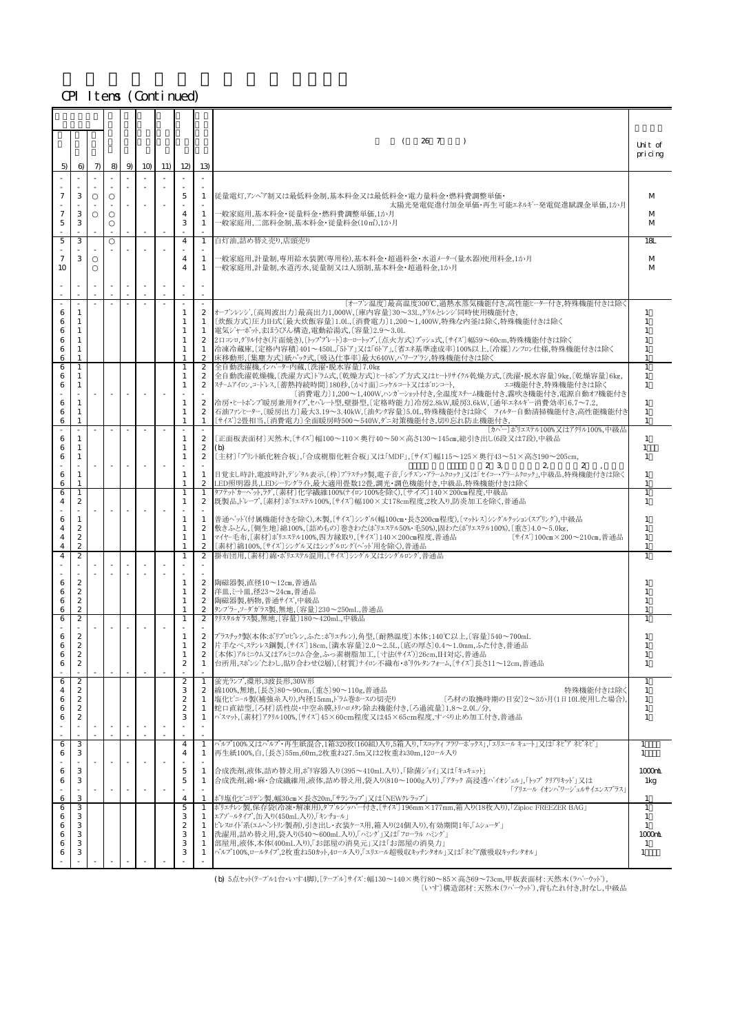|                            |                                                                                                  |       |                          |                          |                          |     |                                                                    |                                                                                           | 26 7<br>$\left($<br>$\rightarrow$                                                                                                                                                                                                                                                                                                                                                                                                                                    | Unit of<br>pricing                                  |
|----------------------------|--------------------------------------------------------------------------------------------------|-------|--------------------------|--------------------------|--------------------------|-----|--------------------------------------------------------------------|-------------------------------------------------------------------------------------------|----------------------------------------------------------------------------------------------------------------------------------------------------------------------------------------------------------------------------------------------------------------------------------------------------------------------------------------------------------------------------------------------------------------------------------------------------------------------|-----------------------------------------------------|
| 5)                         | $\Theta$                                                                                         | $\pi$ | $8 \mid$                 | $9 \mid$                 | 10 <sub>0</sub>          | 11) | 12                                                                 | 13)                                                                                       |                                                                                                                                                                                                                                                                                                                                                                                                                                                                      |                                                     |
|                            |                                                                                                  |       |                          |                          |                          |     |                                                                    |                                                                                           |                                                                                                                                                                                                                                                                                                                                                                                                                                                                      |                                                     |
| 7                          | 3<br>3                                                                                           |       |                          |                          |                          |     | 5                                                                  | 1                                                                                         | 従量電灯,アンペア制又は最低料金制,基本料金又は最低料金・電力量料金・燃料費調整単価・<br>太陽光発電促進付加金単価・再生可能エネルギー発電促進賦課金単価,1か月                                                                                                                                                                                                                                                                                                                                                                                   | M                                                   |
| 7<br>$\mathbf 5$           | 3                                                                                                |       |                          |                          |                          |     | $\overline{4}$<br>3                                                | 1<br>$\mathbf{1}$                                                                         | ー般家庭用,基本料金・従量料金・燃料費調整単価,1か月<br>一般家庭用,二部料金制,基本料金・従量料金(10㎡),1か月                                                                                                                                                                                                                                                                                                                                                                                                        | M<br>M                                              |
| 5                          | 3                                                                                                |       |                          |                          |                          |     | 4                                                                  | $\mathbf{1}$                                                                              | 白灯油,詰め替え売り,店頭売り                                                                                                                                                                                                                                                                                                                                                                                                                                                      | 18L                                                 |
| $\tau$<br>10               | 3                                                                                                |       |                          |                          |                          |     | 4<br>$\overline{4}$                                                | 1<br>$\mathbf{1}$                                                                         | ─般家庭用,計量制,専用給水装置(専用栓),基本料金・超過料金・水道メーター(量水器)使用料金,1か月<br>一般家庭用,計量制,水道汚水,従量制又は人頭制,基本料金・超過料金,1か月                                                                                                                                                                                                                                                                                                                                                                         | M<br>M                                              |
|                            |                                                                                                  |       |                          |                          |                          |     |                                                                    |                                                                                           |                                                                                                                                                                                                                                                                                                                                                                                                                                                                      |                                                     |
| 6<br>6<br>6<br>6<br>6<br>6 | 1<br>-1<br>1<br>-1<br>1<br>1                                                                     |       | $\overline{\phantom{a}}$ | $\sim$                   | $\sim$                   |     | $\mathbf{1}$<br>1<br>1<br>1<br>1<br>1                              | $\sim$<br>$\mathbf{2}$<br>1<br>$\mathbf{1}$<br>$\mathbf{2}$<br>1<br>$\mathbf{2}$          | 〔オープン温度〕最高温度300℃,過熱水蒸気機能付き,高性能ヒーター付き,特殊機能付きは除く<br> オープンレンジ.[高周波出力]最高出力1,000W,[庫内容量]30~33L,クリルとレンジ同時使用機能付き,<br>〔炊飯方式〕圧力IH式〔最大炊飯容量〕1.0L,〔消費電力〕1,200~1,400W,特殊な内釜は除く,特殊機能付きは除く<br>電気ジャーポット,まほうびん構造,電動給湯式,〔容量〕2.9~3.0L<br>2ロコンロ,グリル付き(片面焼き),〔トッププレート〕ホーロートップ,〔点火方式〕プッシュ式,〔サイズ〕幅59~60cm,特殊機能付きは除く<br>冷凍冷蔵庫,〔定格内容積〕401~450L,「5ドア」又は「6ドア」,〔省エネ基準達成率〕100%以上,〔冷媒〕ノンフロン仕様,特殊機能付きは除く<br>床移動形,〔集塵方式〕紙パック式,〔吸込仕事率〕最大640W,パワーブラン,特殊機能付きは除く                                         | $\overline{1}$<br>-1<br>$\mathbf{1}$<br>1<br>1      |
| 6<br>6<br>6<br>6<br>6<br>6 | 1<br>1<br>1<br>$\mathbf{1}$<br>1<br>$\mathbf{1}$                                                 |       | $\overline{\phantom{a}}$ | $\overline{\phantom{a}}$ | $\overline{\phantom{a}}$ |     | 1<br>1<br>1<br>1<br>1<br>1                                         | $\mathbf{2}$<br>2<br>$\mathbf{2}$<br>$\boldsymbol{2}$<br>$\boldsymbol{2}$<br>$\mathbf{1}$ | 全自動洗濯機,インバーター内蔵,〔洗濯・脱水容量〕7.0kg<br>全自動洗濯乾燥機,〔洗濯方式〕ドラム式,〔乾燥方式〕ヒートポンプ方式又はヒートリサイクル乾燥方式,〔洗濯・脱水容量〕9kg,〔乾燥容量〕6kg,<br>スチームアイロン、コードレス、〔蓄熱持続時間〕180秒、〔かけ面〕ニッケルコート又はボロンコート、<br>エコ機能付き,特殊機能付きは除く<br>〔消費電力〕1,200~1,400W,ハンガーショット付き,全温度スチーム機能付き,霧吹き機能付き,電源自動オフ機能付き<br>冷房・ヒートポンプ暖房兼用タイプ,セパレート型,壁掛型,〔定格時能力〕冷房2.8kW,暖房3.6kW,〔通年エネルギー消費効率〕6.7~7.2,<br> 石油ファンヒーター,〔暖房出力〕最大3.19~3.40kW,〔油タンク容量〕5.0L,特殊機能付きは除く フィルター自動清掃機能付き,高性能機能付き<br>[サイズ]2畳相当,[消費電力]全面暖房時500~540W,ダニ対策機能付き,切り忘れ防止機能付き, | 1<br>1<br>$\mathbf{1}$<br>-1<br>1<br>$\overline{1}$ |
| 6<br>6<br>6                | 1<br>-1<br>1                                                                                     |       | $\overline{\phantom{a}}$ |                          |                          |     | $\mathbf{1}$<br>1<br>1                                             | $\mathbf{2}$<br>$\boldsymbol{2}$<br>$\mathbf{2}$                                          | 「カハー」ポリエステル100%又はアクリル100%,中級品<br>「正面板表面材]天然木.[サイズ]幅100〜110×奥行40〜50×高さ130〜145㎝.総引き出し(6段又は7段).中級品<br>(b)<br>〔主材〕「プリント紙化粧合板」,「合成樹脂化粧合板」又は「MDF」,〔サイズ〕幅115~125×奥行43~51×高さ190~205cm,<br>2 3<br>$\mathbf{2}$<br>2                                                                                                                                                                                                                                                           | 1<br>$\mathbf{1}$<br>1                              |
| 6<br>6<br>6                | $\mathbf{1}$<br>$\mathbf{1}$<br>$\mathbf{1}$                                                     |       |                          |                          |                          |     | 1<br>1<br>1                                                        | $\mathbf{1}$<br>$\boldsymbol{2}$<br>1                                                     | 目覚まし時計,電波時計,デン゙タル表示,〔枠〕プラスチック製,電子音,「シチズン・アラームクロック」又は「セイコー・アラームクロック」,中級品,特殊機能付きは除く<br>LED照明器具,LEDシーリングライト,最大適用畳数12畳,調光・調色機能付き,中級品,特殊機能付きは除く<br>タフテッドカーペット,ラグ,〔素材〕化学繊維100%(ナイロン100%を除く),〔サイズ〕140×200㎝程度,中級品                                                                                                                                                                                                                                                            | 1<br>1<br>1                                         |
| 4<br>6<br>4<br>4           | 2<br>1<br>$\boldsymbol{2}$<br>$\mathbf{z}$                                                       |       |                          |                          |                          |     | 1<br>1<br>1<br>1                                                   | $\mathbf{2}$<br>1<br>$\boldsymbol{2}$<br>1                                                | 既製品,ドレープ,〔素材〕ポリェステル100%,〔サイズ〕幅100×丈178cm程度,2枚入り,防炎加工を除く,普通品<br>普通ベッド(付属機能付きを除く),木製,〔サイズ〕シングル(幅100㎝・長さ200㎝程度),〔マットレス〕シングルクッション(スプリング),中級品<br> 敷きふとん,[側生地]綿100%,[詰めもの]巻きわた(ポリェステル50%・毛50%),固わた(ポリェステル100%),[重さ]4.0~5.0kg,<br>マイヤ-毛布,〔素材〕ポリエステル100%,四方縁取り,〔サイズ〕140×200㎝程度,普通品<br>[サイズ] 100cm×200~210cm,普通品                                                                                                                                                              | 1<br>$\overline{1}$<br>-1<br>1                      |
| 4<br>4                     | $\overline{c}$<br>$\boldsymbol{2}$                                                               |       |                          |                          |                          |     | 1<br>$\mathbf{1}$                                                  | $\mathbf{2}$<br>2                                                                         | 〔素材〕綿100%,〔サイズ〕シングル又はシングルロング(ベッド用を除く),普通品<br>掛布団用,〔素材〕綿・ポリエステル混用,〔サイズ〕シングル又はシングルロング,普通品                                                                                                                                                                                                                                                                                                                                                                              | $\overline{1}$                                      |
| 6<br>6<br>6<br>6           | $\mathbf{2}$<br>$\mathbf{2}$<br>$\boldsymbol{2}$<br>$\boldsymbol{2}$                             |       |                          |                          |                          |     | 1<br>1<br>1<br>$\mathbf{1}$                                        | $\mathbf{2}$<br>$\mathbf{2}$<br>$\mathbf{2}$<br>$\mathbf{2}$                              | 陶磁器製,直径10~12cm,普通品<br>洋皿, ミート皿, 径23 ~ 24cm, 普通品<br>陶磁器製,柄物,普通サイズ,中級品<br>タンブラー,ソーダガラス製,無地,〔容量〕230~250mL,普通品                                                                                                                                                                                                                                                                                                                                                           |                                                     |
| 6                          | $\boldsymbol{2}$                                                                                 |       |                          |                          |                          |     | 1                                                                  | $\mathbf{2}$                                                                              | クリスタルガラス製,無地,〔容量〕180~420mL,中級品                                                                                                                                                                                                                                                                                                                                                                                                                                       |                                                     |
| 6<br>6<br>6                | $\boldsymbol{2}$<br>$\boldsymbol{2}$<br>$\mathfrak{D}$<br>$\boldsymbol{2}$                       |       |                          |                          |                          |     | 1<br>1<br>$\boldsymbol{2}$                                         | $\mathbf{2}$<br>2<br>2<br>1                                                               | プラスチック製(本体:ポリプロピレン,ふた:ポリエチレン),角型,[耐熱温度]本体;140℃以上,[容量]540~700mL<br> 片手なベ,ステンレス鋼製,〔サイズ〕18cm,〔満水容量〕2.0~2.5L,〔底の厚さ〕0.4~1.0mm,ふた付き,普通品<br>[本体]アルミ=ウム又はアルミ=ウム合金,ふっ素樹脂加工,[寸法(サイズ)]26cm,IH対応,普通品<br>台所用,スポンジたわし,貼り合わせ(2層),〔材質〕ナイロン不織布・ポリウレタンフォーム,〔サイズ〕長さ11〜12cm,普通品                                                                                                                                                                                                          | 1                                                   |
| 6<br>4<br>6<br>6<br>6      | $\boldsymbol{2}$<br>$\boldsymbol{2}$<br>$\boldsymbol{2}$<br>$\boldsymbol{2}$<br>$\boldsymbol{2}$ |       |                          |                          |                          |     | $\boldsymbol{2}$<br>3<br>$\boldsymbol{z}$<br>$\boldsymbol{2}$<br>3 | $\mathbf{1}$<br>$\mathbf{2}$<br>$\mathbf{1}$<br>1<br>1                                    | 蛍光ランプ,環形,3波長形,30W形<br>綿100%,無地,〔長さ〕80~90cm,〔重さ〕90~110g,普通品<br>特殊機能付きは除く<br>塩化ビニール製(補強糸入り),内径15mm,ドラム巻ホースの切売り<br>〔ろ材の取換時期の目安〕2~3か月(1日10L使用した場合),<br>蛇口直結型,〔ろ材〕活性炭・中空糸膜,トリハロメタン除去機能付き,〔ろ過流量〕1.8~2.0L/分,<br>バスマット,〔素材〕アクリル100%,〔サイズ〕45×60cm程度又は45×65cm程度,すべり止め加工付き,普通品                                                                                                                                                                                                  | 1<br>-1<br>1<br>1<br>1                              |
| 6<br>6                     | 3<br>3                                                                                           |       |                          |                          |                          |     | 4<br>4                                                             | $\mathbf{1}$<br>1                                                                         | パルプ100%又はパルプ・再生紙混合,1箱320枚(160組)入り,5箱入り,「スコッティ フラワーボックス」,「エリエール キュート  又は「ネピア ネピネピ <br>再生紙100%,白,〔長さ〕55m,60m,2枚重ね27.5m又は2枚重ね30m,12ロール入り                                                                                                                                                                                                                                                                                                                                | $\mathbf{1}$<br>1                                   |
| 6<br>6                     | 3<br>3                                                                                           |       |                          |                          |                          |     | 5<br>5                                                             | $\mathbf{1}$<br>1                                                                         | 合成洗剤,液体,詰め替え用,ポリ容器入り(395~410mL入り),「除菌ジョイ」又は「キュキュット」<br>合成洗剤,綿・麻・合成繊維用,液体,詰め替え用,袋入り(810~1000g入り),「アタック 高浸透バイオジェル」,「トップクリアリキッド」又は<br>「アリエール イオンハ°ワーシ'ェルサイエンスプ°ラス」                                                                                                                                                                                                                                                                                                      | 1000nL<br>1kg                                       |
| 6<br>6                     | 3<br>3                                                                                           |       |                          |                          |                          |     | $\overline{4}$<br>5                                                | 1<br>1                                                                                    | ポリ塩化ビニリデン製,幅30㎝×長さ20m,「サランラップ」又は「NEWクレラップ」<br>ポリエチレン製,保存袋(冷凍・解凍用),ダブルジッパー付き,〔サイズ〕196mm×177mm,箱入り(18枚入り),「Ziploc FREEZER BAG」                                                                                                                                                                                                                                                                                                                                         | п<br>$\mathbf{1}$                                   |
| 6<br>6                     | 3<br>3                                                                                           |       |                          |                          |                          |     | 3<br>$\boldsymbol{2}$                                              | 1<br>1                                                                                    | エアゾールタイプ,缶入り(450mL入り),「キンチョール」<br>ピレスロイド系(エムヘットリン製剤),引き出し・衣装ケース用,箱入り(24個入り),有効期間1年,「ムシューダ」                                                                                                                                                                                                                                                                                                                                                                           | 1<br>1                                              |
| 6<br>6                     | 3<br>3<br>3                                                                                      |       |                          |                          |                          |     | 3<br>3<br>3                                                        | 1<br>1<br>1                                                                               | 洗濯用,詰め替え用,袋入り(540~600mL入り),「ハミング」又は「フローラル バング」<br>部屋用,液体,本体(400mL入り),「お部屋の消臭元」又は「お部屋の消臭力」<br>パルプ100%,ロールタイプ,2枚重ね50カット,4ロール入り,「ェリェール超吸収キッチンタオル」又は「ネピア激吸収キッチンタオル」                                                                                                                                                                                                                                                                                                      | 1000mL<br>1<br>1                                    |
|                            |                                                                                                  |       |                          |                          |                          |     |                                                                    |                                                                                           |                                                                                                                                                                                                                                                                                                                                                                                                                                                                      |                                                     |

(b) 5点セット(テ-ブル1台・いす4脚),〔テーブル〕サイズ:幅130~140×奥行80~85×高さ69~73cm,甲板表面材:天然木(ラバーウッド), 〔いす〕構造部材:天然木(ラバーウッド),背もたれ付き,肘なし,中級品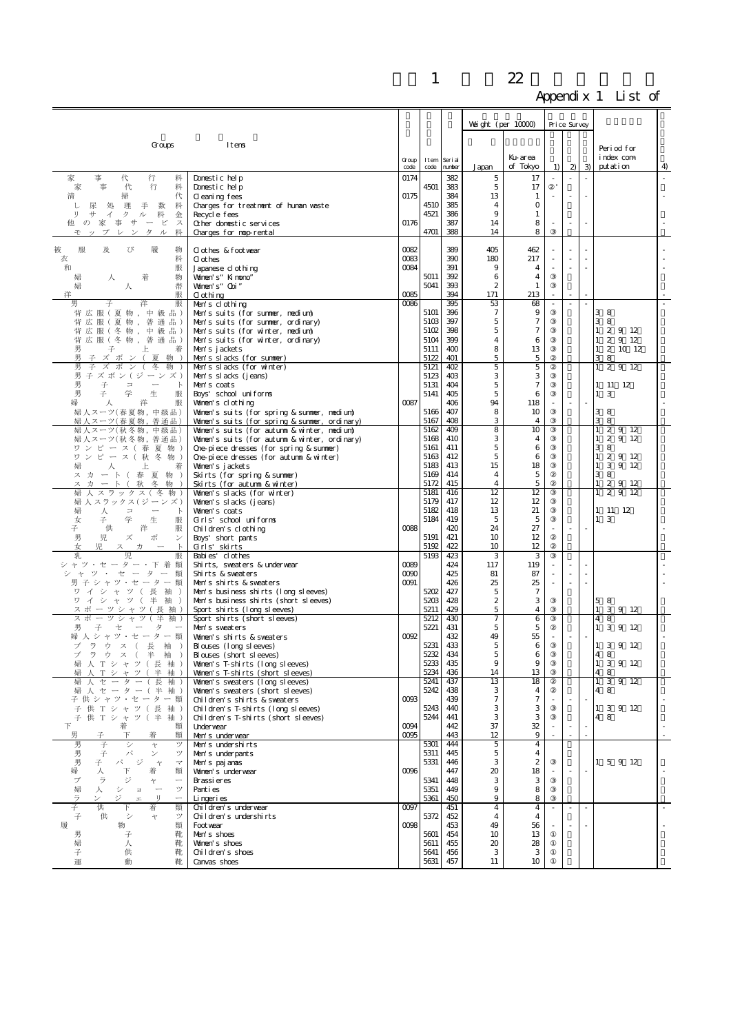|                                                                                                  |                                                                                              |               |                     |            | Weight (per $10000$ ) |                       |        | Price Survey |               |                            |    |
|--------------------------------------------------------------------------------------------------|----------------------------------------------------------------------------------------------|---------------|---------------------|------------|-----------------------|-----------------------|--------|--------------|---------------|----------------------------|----|
| Groups                                                                                           | Itens                                                                                        |               |                     |            |                       |                       |        |              |               |                            |    |
|                                                                                                  |                                                                                              |               |                     |            |                       | Ku-area               |        |              |               | Period for<br>index com    |    |
|                                                                                                  |                                                                                              | Group<br>code | Item Serial<br>code | number     | Japan                 | of Tokyo              | 1)     | $\mathbf{2}$ | $\mathcal{B}$ | putation                   | 4) |
| 家<br>行<br>事<br>代<br>料<br>家<br>事<br>代<br>行<br>料                                                   | Domestic help<br>Domestic help                                                               | 0174          | 4501                | 382<br>383 | 5<br>5                | 17<br>17              |        | L.           |               |                            |    |
| 清<br>掃<br>代                                                                                      | Cleaning fees                                                                                | 0175          |                     | 384        | 13                    | 1                     |        |              |               |                            |    |
| 尿<br>理<br>手 数<br>処<br>料<br>└<br>サ<br>ク<br>料                                                      | Charges for treatment of human waste                                                         |               | 4510<br>4521        | 385<br>386 | $\overline{4}$<br>9   | $\mathbf{O}$<br>1     |        |              |               |                            |    |
| IJ<br>$\overline{\mathcal{A}}$<br>金<br>ル<br>他の家事サービ<br>ス                                         | Recycle fees<br>Other domestic services                                                      | 0176          |                     | 387        | 14                    | 8                     |        | $\sim$       |               |                            |    |
| タル<br>モップ<br>レン<br>料                                                                             | Charges for nop-rental                                                                       |               | 4701                | 388        | 14                    | 8                     |        |              |               |                            |    |
| 服<br>及<br>履<br>被<br>び<br>物                                                                       | Clothes & footwear                                                                           | 0082          |                     | 389        | 405                   | 462                   |        |              |               |                            |    |
| 衣<br>料<br>和<br>服                                                                                 | <b>C</b> ot hes<br>Japanese clothing                                                         | 0083<br>0084  |                     | 390<br>391 | 180<br>9              | 217<br>4              |        | ×,           |               |                            |    |
| 物<br>婦<br>人<br>着                                                                                 | Volnen's" Kinono"                                                                            |               | 5011                | 392        | 6                     | 4                     |        |              |               |                            |    |
| 帯<br>婦<br>人<br>洋<br>服                                                                            | Women's" Obi"<br>0 othing                                                                    | 0085          | 5041                | 393<br>394 | $\mathbf{2}$<br>171   | 1<br>213              |        |              |               |                            |    |
| 男<br>子<br>洋<br>服                                                                                 | Men's clothing                                                                               | 0086          |                     | 395        | 53                    | 68                    | ×,     |              |               |                            |    |
| 背広服(夏物,中級品)<br>背広服(夏物,普通品)                                                                       | Men's suits (for summer, nedium).<br>Men's suits (for summer, ordinary)                      |               | 5101<br>5103        | 396<br>397 | 7<br>5                | 9<br>$\tau$           |        |              |               | 38<br>38                   |    |
| 背広服(冬物,中級品)                                                                                      | Men's suits (for winter, medium).                                                            |               | 5102                | 398        | 5                     | $\boldsymbol{7}$      |        |              |               | $1\ 2\ 9\ 12$              |    |
| 背広服(冬物,普通品)<br>男<br>子<br>上<br>着                                                                  | Men's suits (for winter, ordinary)<br>Men's jackets                                          |               | 5104<br>5111        | 399<br>400 | 4<br>8                | 6<br>13               |        |              |               | $1\ 2\ 9\ 12$<br>1 2 10 12 |    |
| 男<br>子 ズ ボ ン (夏物)                                                                                | Men's slacks (for summer)                                                                    |               | 5122                | 401        | 5                     | $\mathbf 5$           |        |              |               | 38                         |    |
| 男<br>子ズボン(冬<br>物<br>男 子 ズ ボ ン ( ジ ー ン ズ )                                                        | Men's slacks (for winter)<br>Men's slacks (jeans)                                            |               | 5121<br>5123        | 402<br>403 | 5<br>3                | 5<br>З                |        |              |               | 12912                      |    |
| 男<br>子<br>$\Box$<br>$\overline{\phantom{a}}$<br>$\mathbb{R}$                                     | Men's coats                                                                                  |               | 5131                | 404        | 5                     | $\tau$                |        |              |               | $1 \quad 11 \quad 12$      |    |
| 男<br>学<br>子<br>生<br>服<br>婦<br>人<br>洋<br>服                                                        | Boys' school uniforms<br>Women's clothing                                                    | 0087          | 5141                | 405<br>406 | 5<br>94               | 6<br>118              |        |              |               | $1\quad 3$                 |    |
| 婦人スーツ(春夏物,中級品)                                                                                   | Women's suits (for spring & summer, medium)                                                  |               | 5166<br>5167        | 407<br>408 | 8                     | 10                    |        |              |               | 3 8                        |    |
| 婦人スーツ(春夏物,普通品)<br>婦人スーツ(秋冬物,中級品)                                                                 | Women's suits (for spring & summer, ordinary)<br>Women's suits (for autumn & winter, medium) |               | 5162                | 409        | 3<br>8                | $\overline{4}$<br>10  |        |              |               | 3 8<br>$1 \t2 \t9 \t12$    |    |
| 婦人スーツ(秋冬物, 普通品)                                                                                  | Women's suits (for autumn & winter, ordinary)                                                |               | 5168<br>5161        | 410<br>411 | З<br>5                | 4<br>6                |        |              |               | $1\ 2\ 9\ 12$<br>3 8       |    |
| ワンピース (春夏物)<br>ワンピース (秋冬物)                                                                       | One-piece dresses (for spring & summer)<br>One-piece dresses (for autumn & winter)           |               | 5163                | 412        | 5                     | 6                     |        |              |               | $1\ 2\ 9\ 12$              |    |
| 人<br>上<br>婦<br>着<br>ス カ ー ト (春夏物)                                                                | Women's jackets<br>Skirts (for spring & summer)                                              |               | 5183<br>5169        | 413<br>414 | 15<br>$\overline{4}$  | 18<br>5               |        |              |               | 1 3 9 12<br>3 8            |    |
| ス カ ー ト (秋<br>冬<br>物                                                                             | Skirts (for autumn & winter)                                                                 |               | 5172                | 415        | $\overline{4}$        | 5                     |        |              |               | 2 9 12                     |    |
| 婦<br>人 スラックス ( 冬 物 )<br>婦人スラックス(ジーンズ)                                                            | Women's slacks (for winter)<br>Women's slacks (jeans)                                        |               | 5181<br>5179        | 416<br>417 | 12<br>12              | 12<br>12              |        |              |               | 29<br>12<br>$\mathbf{1}$   |    |
| 人 コ ー<br>婦<br>$\mathbb{R}$                                                                       | Women's coats                                                                                |               | 5182                | 418        | 13                    | 21                    |        |              |               | 1 11 12                    |    |
| 学<br>女<br>生<br>子<br>服<br>供<br>洋<br>子<br>服                                                        | Girls' school uniforms<br>Children's clothing                                                | 0088          | 5184                | 419<br>420 | 5<br>24               | 5<br>27               |        |              |               | $1\quad 3$                 |    |
| 男<br>児 ズ<br>ボ<br>$\checkmark$                                                                    | Boys' short pants                                                                            |               | 5191                | 421        | 10                    | 12                    |        |              |               |                            |    |
| 女<br>児 ス カ<br>乳<br>児<br>服                                                                        | Grls' skirts<br>Babi es' cl othes                                                            |               | 5192<br>5193        | 422<br>423 | 10<br>3               | 12<br>3               |        |              |               |                            |    |
| シャツ・セーター・下着類                                                                                     | Shirts, sweaters & underwear                                                                 | 0089          |                     | 424        | 117                   | 119                   |        |              |               |                            |    |
| シャツ・セーター<br>類<br>男子シャツ・セーター類                                                                     | Shirts & sweaters<br>Men's shirts & sweaters                                                 | 0090<br>0091  |                     | 425<br>426 | 81<br>25              | 87<br>25              | $\sim$ |              |               |                            |    |
| ワイシャツ (長袖)                                                                                       | Men's business shirts (long sleeves)                                                         |               | 5202                | 427        | 5                     | $\tau$                |        |              |               |                            |    |
| ワ イ シ ャ ツ ( 半 袖 )<br>スポーツシャツ (長袖)                                                                | Men's business shirts (short sleeves)<br>Sport shirts (long sleeves)                         |               | 5203<br>5211        | 428<br>429 | $\boldsymbol{2}$<br>5 | 3<br>$\overline{4}$   |        |              |               | 58<br>3 9 12               |    |
| スポーツシャツ (半<br>袖                                                                                  | Sport shirts (short sleeves)                                                                 |               | 5212<br>5221        | 430<br>431 | 7                     | 6                     |        |              |               | 4<br>8<br>1 3 9 12         |    |
| 男<br>子 セ ー タ<br>婦人シャツ・セーター類                                                                      | Men's sweaters<br>Women's shirts & sweaters                                                  | 0092          |                     | 432        | 5<br>49               | 5<br>55               |        |              |               |                            |    |
| ブラウス (長袖<br>$\rightarrow$<br>ブラウス(半袖                                                             | Blouses (long sleeves)<br>Blouses (short sleeves)                                            |               | 5231<br>5232        | 433<br>434 | 5<br>5                | 6<br>6                |        |              |               | 1 3 9 12                   |    |
| 婦 人 T シ ャ ツ ( 長 袖                                                                                | Women's T-shirts (long sleeves)                                                              |               | 5233                | 435        | 9                     | 9                     |        |              |               | 48<br>1 3 9 12             |    |
| 人 T シ ャ ツ ( 半 袖)<br>婦<br>セーター (長袖<br>人                                                           | Women's T-shirts (short sleeves)<br>Women's sweaters (long sleeves)                          |               | 5234<br>5241        | 436<br>437 | 14<br>13              | 13<br>18              |        |              |               | 48<br>$1 \t3 \t9 \t12$     |    |
| 婦人セーター (半袖)                                                                                      | Women's sweaters (short sleeves)                                                             |               | 5242                | 438        | 3                     | 4                     |        |              |               | 4 8                        |    |
| 子 供 シャツ・セーター 類<br>子 供 T シ ャ ツ ( 長<br>袖)                                                          | Children's shirts & sweaters<br>Children's T-shirts (long sleeves)                           | 0093          | 5243                | 439<br>440 | 7<br>3                | $\tau$<br>З           |        |              |               | 1 3 9 12                   |    |
| 子 供 T シ ャ ツ ( 半 袖)                                                                               | Children's T-shirts (short sleeves)                                                          |               | 5244                | 441        | 3                     | 3                     |        |              |               | 4 8                        |    |
| 下<br>着<br>類<br>男<br>下<br>類<br>子<br>着                                                             | Underwear<br>Men's underwear                                                                 | 0094<br>0095  |                     | 442<br>443 | 37<br>12              | 32<br>9               |        |              |               |                            |    |
| 男<br>子<br>シ<br>ツ<br>$\div$                                                                       | Men's undershirts                                                                            |               | 5301                | 444        | 5                     | $\overline{4}$        |        |              |               |                            |    |
| 男<br>子<br>パ<br>$\checkmark$<br>ツ<br>男<br>パ<br>ジ<br>子<br>$\rightarrow$<br>$\prec$                 | Men's underpants<br>Men's pajanas                                                            |               | 5311<br>5331        | 445<br>446 | 5<br>3                | 4<br>$\boldsymbol{2}$ |        |              |               | 1 5 9 12                   |    |
| 婦<br>下<br>人<br>着<br>類                                                                            | Women's underwear                                                                            | 0096          |                     | 447        | 20                    | 18                    |        |              |               |                            |    |
| ラ<br>ジ<br>ブ<br>$\ddot{\tau}$<br>$\overbrace{\qquad \qquad }^{}$<br>婦<br>ッ<br>人<br>シ<br>$\exists$ | Brassi eres<br>Pant i es                                                                     |               | 5341<br>5351        | 448<br>449 | 3<br>9                | 3<br>8                |        |              |               |                            |    |
| IJ<br>ラ<br>ジ<br>$\overbrace{\qquad \qquad }^{}$<br>$\mathbb{H}$                                  | Lingeries                                                                                    | 0097          | 5361                | 450        | 9                     | 8                     |        |              |               |                            |    |
| 子<br>供<br>F<br>着<br>類<br>子<br>供<br>ツ<br>シ<br>$\div$                                              | Children's underwear<br>Children's undershirts                                               |               | 5372                | 451<br>452 | $\overline{4}$<br>4   | $\overline{4}$<br>4   |        | ×.           |               |                            |    |
| 履<br>物<br>類<br>男<br>子<br>靴                                                                       | Foot year<br>Men's shoes                                                                     | 0098          | 5601                | 453<br>454 | 49<br>10              | 56<br>13              |        |              |               |                            |    |
| 婦<br>靴<br>人                                                                                      | Women's shoes                                                                                |               | 5611                | 455        | 20                    | 28                    |        |              |               |                            |    |
| 子<br>供<br>靴<br>運<br>動<br>靴                                                                       | Children's shoes<br>Canvas shoes                                                             |               | 5641<br>5631        | 456<br>457 | 3<br>11               | 3<br>10               |        |              |               |                            |    |
|                                                                                                  |                                                                                              |               |                     |            |                       |                       |        |              |               |                            |    |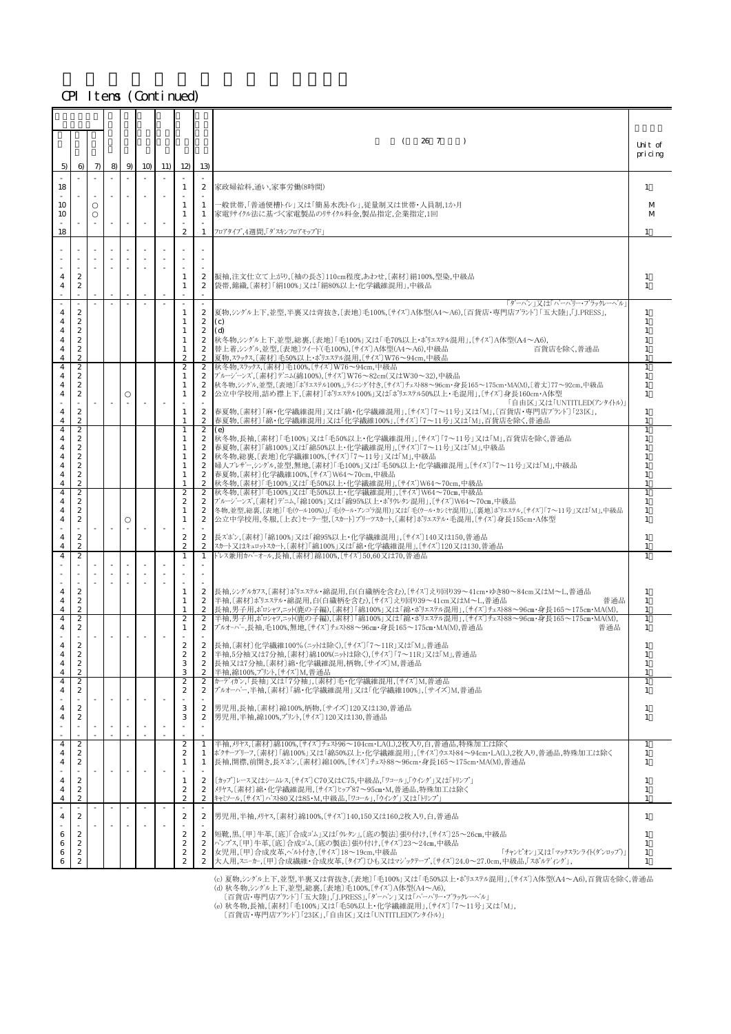|               |                                                  |       |        |   |                |     |                                                      |                                                      | 26 7<br>- (<br>$\lambda$                                                                                                                                                                                         | Unit of<br>pricing                     |
|---------------|--------------------------------------------------|-------|--------|---|----------------|-----|------------------------------------------------------|------------------------------------------------------|------------------------------------------------------------------------------------------------------------------------------------------------------------------------------------------------------------------|----------------------------------------|
| 5)            | 6)                                               | $\pi$ | 8)     | 9 | 1 <sub>O</sub> | 11) | 12)                                                  | 13)                                                  |                                                                                                                                                                                                                  |                                        |
| 18            |                                                  |       |        |   |                |     | $\mathbf{1}$                                         | $\boldsymbol{2}$                                     | 家政婦給料,通い,家事労働(8時間)                                                                                                                                                                                               | 1                                      |
| 10<br>10      |                                                  |       |        |   |                |     | 1<br>1                                               | 1<br>1                                               | 一般世帯,「普通便槽トイレ」又は「簡易水洗トイレ」,従量制又は世帯・人員制,1か月<br>家電リサイクル法に基づく家電製品のリサイクル料金,製品指定,企業指定,1回                                                                                                                               | M<br>M                                 |
| 18            |                                                  |       |        |   |                |     | $\mathbf{2}$                                         | 1                                                    | フロアタイプ,4週間,「ダスキンフロアモップF」                                                                                                                                                                                         |                                        |
|               |                                                  |       |        |   |                |     |                                                      |                                                      |                                                                                                                                                                                                                  |                                        |
|               | $\boldsymbol{2}$                                 |       |        |   |                |     | 1                                                    | $\boldsymbol{2}$                                     | 振袖,注文仕立て上がり,〔袖の長さ〕110cm程度,あわせ,〔素材〕絹100%,型染,中級品                                                                                                                                                                   | -1                                     |
| 4             | 2                                                |       |        |   |                |     | 1                                                    | $\boldsymbol{2}$                                     | 袋帯,錦織,〔素材〕「絹100%」又は「絹80%以上・化学繊維混用」,中級品<br>「ダーバン  又は「バーバリー・ブラックレーベル                                                                                                                                               | $\overline{1}$                         |
| 4<br>4        | $\mathbf{z}$<br>$\boldsymbol{2}$                 |       |        |   |                |     | 1                                                    | $\mathbf{2}$<br>$\mathbf{2}$                         | 夏物,シングル上下,並型,半裏又は背抜き,〔表地〕毛100%,〔サイズ〕A体型(A4〜A6),〔百貨店・専門店ブランド〕「五大陸」,「J.PRESS」,<br>(c)                                                                                                                              | 1                                      |
| 4<br>4        | $\boldsymbol{2}$<br>$\boldsymbol{2}$             |       |        |   |                |     | 1<br>1                                               | $\mathbf{2}$<br>$\boldsymbol{2}$                     | (d)<br>秋冬物,シングル上下,並型,総裏,〔表地〕「毛100%」又は「毛70%以上・ポリエステル混用」,〔サイズ〕A体型(A4〜A6),                                                                                                                                          | -1                                     |
| 4<br>4        | $\boldsymbol{2}$<br>$\mathbf{2}$                 |       |        |   |                |     | 1<br>$\boldsymbol{2}$                                | $\mathbf{2}$<br>$\mathbf{2}$                         | 替上着,シングル,並型,〔表地〕ツイード(毛100%),〔サイズ〕A体型(A4〜A6),中級品<br>百貨店を除く、普通品<br>夏物,スラックス,〔素材〕毛50%以上・ポリェステル混用,〔サイズ〕W76~94cm,中級品<br>秋冬物, スラックス, [素材] 毛100%, [サイズ] W76~94cm, 中級品                                                   | 1<br>$\overline{1}$                    |
| 4<br>4<br>4   | 2<br>2<br>$\boldsymbol{2}$                       |       |        |   |                |     | $\boldsymbol{2}$<br>1<br>1                           | $\mathbf{2}$<br>2<br>$\boldsymbol{2}$                | ブルージーンズ、[素材]デニム(綿100%)、[サイズ]W76~82cm(又はW30~32),中級品<br>秋冬物,シングル,並型,〔表地〕「ポリエステル100%」,ライニング付き,〔サイズ〕チェスト88~96cm・身長165~175cm・MA(M),〔着丈〕77~92cm,中級品                                                                    | 1<br>1                                 |
| 4             | 2                                                |       |        |   |                |     | 1                                                    | $\mathbf{2}$                                         | 公立中学校用,詰め襟上下,〔素材〕「ポリェステル100%」又は「ポリェステル50%以上・毛混用」,〔サイズ〕身長160cm・A体型<br>「自由区」又は「UNTITLED(アンタイトル)」                                                                                                                   | 1                                      |
| 4<br>4        | $\boldsymbol{2}$<br>$\boldsymbol{2}$             |       |        |   |                |     | $\mathbf{1}$                                         | $\mathbf{2}$<br>$\boldsymbol{2}$                     | 春夏物,〔素材〕「麻・化学繊維混用」又は「綿・化学繊維混用」,〔サイズ〕「7~11号」又は「M」,〔百貨店・専門店ブランド〕「23区」,<br>春夏物,〔素材〕「綿・化学繊維混用」又は「化学繊維100%」,〔サイズ〕「7~11号」又は「M」,百貨店を除く,普通品                                                                              | -1<br>$\overline{1}$<br>$\overline{1}$ |
| 4<br>4<br>4   | 2<br>2<br>2                                      |       |        |   |                |     | 1<br>1<br>1                                          | 2<br>$\mathbf{2}$<br>$\mathbf{2}$                    | (e)<br> 秋冬物,長袖,〔素材〕「毛100%」又は「毛50%以上・化学繊維混用」,〔サイズ〕「7〜11号」又は「M」,百貨店を除く,普通品<br>春夏物,〔素材〕「綿100%」又は「綿50%以上・化学繊維混用」,〔サイズ〕「7~11号」又は「M」,中級品                                                                               | $\mathbf{1}$                           |
| 4<br>4        | $\boldsymbol{2}$<br>$\boldsymbol{2}$             |       |        |   |                |     | 1<br>1                                               | $\boldsymbol{2}$<br>$\boldsymbol{2}$                 | 秋冬物,総裏,〔表地〕化学繊維100%,〔サイズ〕「7~11号」又は「M」,中級品<br> 婦人ブレザー,シングル,並型,無地,〔素材〕「毛100%」又は「毛50%以上・化学繊維混用」,〔サイズ〕「7〜11号」又は「M」,中級品                                                                                               | $\overline{1}$<br>$\overline{1}$       |
| 4<br>4        | $\boldsymbol{2}$<br>$\overline{c}$               |       |        |   |                |     | 1                                                    | $\mathbf{2}$<br>$\mathbf{2}$                         | 春夏物, [素材] 化学繊維100%, [サイズ] W64~70cm, 中級品<br>秋冬物, [素材]「毛100%」又は「毛50%以上・化学繊維混用」, [サイズ]W64~70cm,中級品                                                                                                                  | 1<br>$\mathbf{1}$                      |
| 4<br>4<br>4   | 2<br>$\boldsymbol{2}$<br>$\boldsymbol{2}$        |       |        |   |                |     | $\boldsymbol{2}$<br>$\boldsymbol{2}$<br>$\mathbf{1}$ | $\mathbf{2}$<br>2<br>$\boldsymbol{2}$                | 秋冬物,〔素材〕「毛100%」又は「毛50%以上・化学繊維混用」,〔サイズ〕W64~70㎝,中級品<br> ブルージーンズ,〔素材〕デニム,「綿100%」又は「綿95%以上・ポリウレタン混用」,〔サイズ〕W64〜70㎝,中級品<br>冬物,並型,総裏,〔表地〕「毛(ウール100%)」,「毛(ウール・アンゴラ混用)」又は「毛(ウール・カンミヤ混用)」,〔裏地〕ポリエステル,〔サイズ〕「ア〜11号」又は「M」,中級品 | $\mathbf{1}$<br>$\mathbf{1}$<br>1      |
| 4             | $\boldsymbol{2}$                                 |       | $\sim$ |   |                |     | 1                                                    | $\boldsymbol{2}$                                     | 公立中学校用,冬服,〔上衣〕セーラー型,〔スカート〕プリーツスカート,〔素材〕ポリェステル・毛混用,〔サイズ〕身長155cm・A体型                                                                                                                                               | $\overline{1}$                         |
| 4<br>4        | $\overline{c}$<br>$\mathbf{z}$                   |       |        |   |                |     | $\boldsymbol{z}$<br>$\boldsymbol{2}$                 | $\mathbf{2}$<br>$\boldsymbol{2}$                     | 長ズボン,〔素材〕「綿100%」又は「綿95%以上・化学繊維混用」,〔サイズ〕140又は150,普通品<br>スカート又はキュロットスカート,〔素材〕「綿100%」又は「綿・化学繊維混用」,〔サイズ〕120又は130,普通品                                                                                                 | 1<br>-1                                |
| 4             | $\boldsymbol{2}$                                 |       |        |   |                |     | 1                                                    | $\mathbf{1}$                                         | ドレス兼用カバーオール,長袖,〔素材〕綿100%,〔サイズ〕50,60又は70,普通品                                                                                                                                                                      |                                        |
|               | $\boldsymbol{2}$                                 |       |        |   |                |     |                                                      |                                                      | 長袖,シングルカフス,[素材]ポリエステル・綿混用,白(白織柄を含む),[サイズ]えり回り39~41cm・ゆき80~84cm又はM~L,普通品                                                                                                                                          |                                        |
| 4<br>4<br>4   | $\boldsymbol{2}$<br>$\mathbf{2}$                 |       |        |   |                |     | 1<br>1<br>1                                          | $\boldsymbol{2}$<br>$\mathbf{2}$                     | 半袖 [素材]ポリエステル・綿混用,白(白織柄を含オッ),[サイズ]えり回り39〜41cm又はM〜L,普通品<br>普通品<br>長袖,男子用,ポロシャツ,ニット(鹿の子編),〔素材〕「綿100%」又は「綿・ポリェステル混用」,〔サイズ〕チェスト88〜96㎝・身長165〜175㎝・MA(M),                                                              | -1<br>1<br>1                           |
| 4<br>4        | $\boldsymbol{2}$<br>2                            |       |        |   |                |     | $\boldsymbol{2}$<br>1                                | $\mathbf{2}$<br>2                                    | 半袖,男子用,ポロシャツニット(鹿の子編),〔素材〕「綿100%」又は「綿・ポリェステル混用」,〔サイズ〕チェスト88~96cm・身長165~175cm・MA(M),<br>プルオーハー,長袖,毛100%,無地,〔サイズ〕チェスト88~96cm・身長165~175cm・MA(M),普通品<br>普通品                                                          | 1<br>1                                 |
| 4             | $\boldsymbol{2}$                                 |       |        |   |                |     | $\boldsymbol{2}$                                     | $\mathbf{2}$                                         | 長袖, [素材] 化学繊維100% (ニットは除く), [サイズ]「7~11R」又は「M」,普通品                                                                                                                                                                |                                        |
| $\Delta$<br>4 | $\mathfrak{D}$<br>$\boldsymbol{2}$               |       |        |   |                |     | $\boldsymbol{2}$<br>3                                | $\mathbf{2}$<br>2                                    | 半袖,5分袖又は7分袖,〔素材〕綿100%(ニットは除く),〔サイズ〕「7〜11R」又は「M」,普通品<br>長袖又は7分袖, 〔素材〕綿・化学繊維混用,柄物, 〔サイズ〕M,普通品                                                                                                                      | 1                                      |
| 4<br>4<br>4   | $\mathbf{2}$<br>2<br>$\boldsymbol{2}$            |       |        |   |                |     | 3<br>$\overline{2}$<br>$\boldsymbol{2}$              | $\boldsymbol{2}$<br>2<br>$\boldsymbol{2}$            | 半袖,綿100%,プリント,〔サイズ〕M,普通品<br>カーディガン、「長袖」又は「7分袖」,〔素材〕毛・化学繊維混用,〔サイズ〕M,普通品<br>プルオーバー 半袖 [素材]「綿・化学繊維混用」又は「化学繊維100%」 [サイズ]M.普通品                                                                                        | $\overline{1}$<br>1                    |
| 4             | $\mathbf{2}$                                     |       |        |   |                |     | 3                                                    | $\mathbf{2}$                                         | 男児用,長袖,[素材]綿100%,柄物,[サイズ]120又は130,普通品                                                                                                                                                                            | 1                                      |
| 4             | $\boldsymbol{2}$                                 |       |        |   |                |     | 3                                                    | $\boldsymbol{2}$                                     | 男児用,半袖,綿100%,プリント,〔サイズ〕120又は130,普通品                                                                                                                                                                              | 1                                      |
| 4<br>4        | 2<br>$\mathbf{z}$                                |       |        |   |                |     | $\boldsymbol{2}$<br>$\boldsymbol{2}$                 | $\mathbf{1}$<br>1                                    | 半袖,刃ヤス,〔素材〕綿100%,〔サイズ〕チェスト96~104cm・LA(L),2枚入り,白,普通品,特殊加工は除く<br>ボクサーブリーフ,〔素材〕「綿100%」又は「綿50%以上・化学繊維混用」,〔サイズ〕ウェスト84~94cm・LA(L),2枚入り,普通品,特殊加工は除く                                                                     | 1                                      |
| 4             | $\boldsymbol{2}$                                 |       | $\sim$ |   | $\sim$         |     | 1                                                    | 1                                                    | 長袖,開襟,前開き,長ズボン,〔素材〕綿100%,〔サイズ〕チェスト88~96cm・身長165~175cm・MA(M),普通品                                                                                                                                                  | 1                                      |
| 4<br>4<br>4   | $\boldsymbol{2}$<br>$\mathbf{z}$<br>$\mathbf{z}$ |       |        |   |                |     | 1<br>$\boldsymbol{2}$<br>$\boldsymbol{2}$            | $\mathbf{2}$<br>$\boldsymbol{2}$<br>$\boldsymbol{2}$ | [カップ]レース又はシームレス, [サイズ] C70又はC75, 中級品, 「ワコール」, 「ウイング」又は「トリンプ」<br>メリヤス.〔素材〕綿・化学繊維混用.〔サイズ〕ヒップ87~95㎝・M,普通品,特殊加工は除く<br>キャミソール, 〔サイス゛〕ハ゛スト80又は85・M,中級品, 「ワコール」, 「ウイング」又は「トリンプ」                                         | -1<br>1<br>$\mathbf{1}$                |
| 4             | $\boldsymbol{2}$                                 |       |        |   | $\sim$         |     | $\boldsymbol{2}$                                     | $\mathbf{2}$                                         | 男児用,半袖,刃ヤス,〔素材〕綿100%,〔サイズ〕140,150又は160,2枚入り,白,普通品                                                                                                                                                                | 1                                      |
| 6             | $\boldsymbol{2}$<br>$\mathbf{z}$                 |       |        |   |                |     | $\boldsymbol{2}$<br>$\boldsymbol{2}$                 | $\mathbf{2}$<br>$\mathbf{2}$                         | 短靴,黒,〔甲〕牛革,〔底〕「合成ゴム」又は「ウレタン」,〔底の製法〕張り付け,〔サイズ〕25~26㎝,中級品                                                                                                                                                          | -1                                     |
| 6<br>6        | $\boldsymbol{2}$<br>$\boldsymbol{2}$             |       |        |   |                |     | $\boldsymbol{2}$<br>$\mathbf{2}$                     | $\mathbf{2}$<br>$\mathbf{2}$                         | パンプス.〔甲〕牛革.〔底〕合成ゴム.〔底の製法〕張り付け,〔サイズ〕23~24㎝,中級品<br>女児用, [甲] 合成皮革, ベハト付き, [サイズ] 18~19cm, 中級品<br>「チャンピオン」又は「マックスランライト(ダンロップ)」<br> 大人用,スニーカー.〔甲〕合成繊維・合成皮革.〔タイプ〕ひも又はマジックテープ.〔サイズ〕24.0~27.0cm,中級品.「スポルディング」,            | 1<br>-1<br>-1                          |
|               |                                                  |       |        |   |                |     |                                                      |                                                      | (△) 百物 シンノがゕト玉 並刑 平重又け投せき 〔事地〕[毛100%」又は「毛50%以上・ポリェァ۶テル混用」「#イブ)A体刑(A4~A6) 百貨庄を除く 英通具                                                                                                                              |                                        |

(c) 夏物,シングル上下,並型,半裏又は背抜き,〔表地〕「毛100%」又は「毛50%以上・ポリェステル混用」,〔サイズ〕A体型(A4〜A6),百貨店を除く,普通品<br>(d) 秋冬物,シングル上下,並型,総裏,〔表地〕「ミ100%,〔サイズ〕A体型(A4〜A6),<br>|百貨店・専門店ブランド〕「五大陸」,「J.PRESS」,「ダーハン」又は「ハーハ'リー・ブラックレーベル」

(e) 秋冬物,長袖,〔素材〕「毛100%」又は「毛50%以上・化学繊維混用」,〔サイズ〕「7~11号」又は「M」,

〔百貨店・専門店ブランド〕「23区」,「自由区」又は「UNTITLED(アンタイトル)」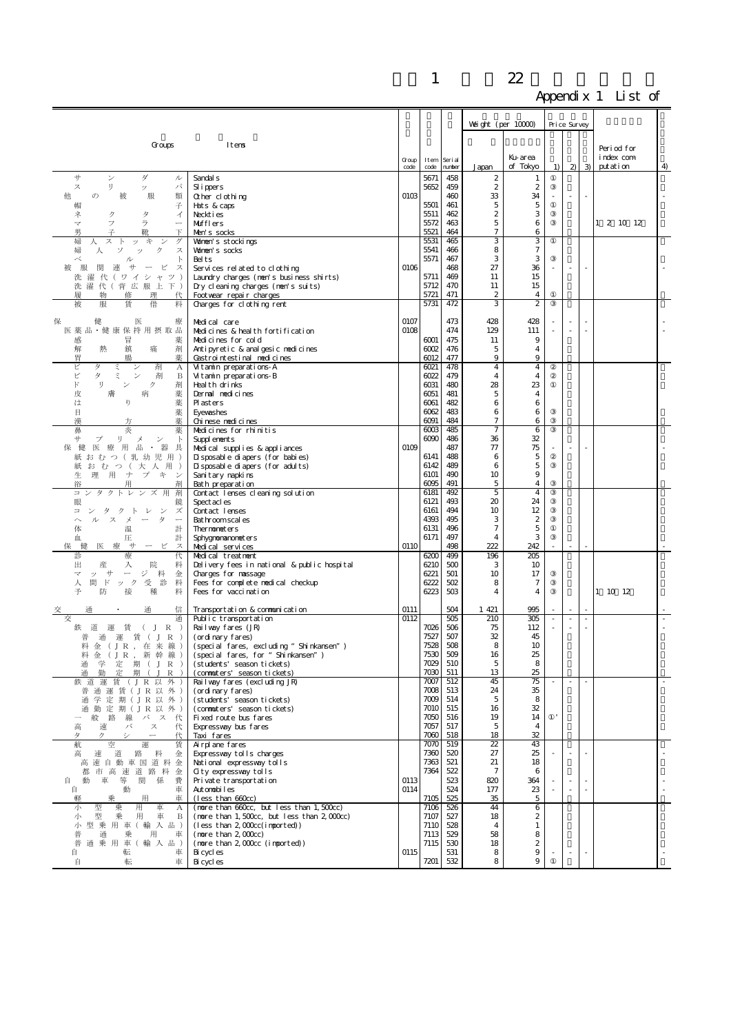|                                                                                                |                                                                                    |                 |              |                   |                                      |                                   | . .          |          |               |                         |   |
|------------------------------------------------------------------------------------------------|------------------------------------------------------------------------------------|-----------------|--------------|-------------------|--------------------------------------|-----------------------------------|--------------|----------|---------------|-------------------------|---|
|                                                                                                |                                                                                    |                 |              |                   | Weight (per $10000$ )                |                                   | Price Survey |          |               |                         |   |
|                                                                                                |                                                                                    |                 |              |                   |                                      |                                   |              |          |               |                         |   |
| Groups                                                                                         | Itens                                                                              |                 |              |                   |                                      | Ku-area                           |              |          |               | Period for<br>index com |   |
|                                                                                                |                                                                                    | $G$ oup<br>code | Item<br>code | Seri al<br>number | Japan                                | of Tokyo                          | 1)           | $2 \cup$ | $\mathcal{B}$ | putation                | 4 |
| サ<br>ン<br>ダ<br>ル<br>ス<br>IJ<br>パ                                                               | Sandal <sub>s</sub>                                                                |                 | 5671<br>5652 | 458<br>459        | $\boldsymbol{2}$<br>$\boldsymbol{2}$ | 1<br>$\boldsymbol{2}$             |              |          |               |                         |   |
| ッ<br>他<br>服<br>$\sigma$<br>被<br>類                                                              | Sl i ppers<br>Other clothing                                                       | 0103            |              | 460               | 33                                   | 34                                |              |          |               |                         |   |
| 帽<br>子<br>ク<br>タ                                                                               | Hats & caps<br>Neckties                                                            |                 | 5501<br>5511 | 461<br>462        | 5<br>2                               | 5<br>3                            |              |          |               |                         |   |
| ネ<br>イ<br>フ<br>ラ<br>マ<br>$\overbrace{\qquad \qquad }$                                          | Mufflers                                                                           |                 | 5572         | 463               | 5                                    | 6                                 |              |          |               | 1 2 10 12               |   |
| 男<br>下<br>婦<br>ス<br>午<br>グ<br>人<br><b>I</b><br>ッ                                               | Men's socks<br>Women's stockings                                                   |                 | 5521<br>5531 | 464<br>465        | 7<br>3                               | 6<br>3                            |              |          |               |                         |   |
| 婦<br>ス<br>人<br>ソ<br>ク<br>ッ                                                                     | Women's socks                                                                      |                 | 5541         | 466               | 8                                    | $\tau$                            |              |          |               |                         |   |
| べ<br>$\mathbb{R}$<br>ル<br>関連<br>服<br>サ<br>ピ<br>$\overline{\phantom{a}}$<br>ス                   | Belts<br>Services related to clothing                                              | 0106            | 5571         | 467<br>468        | 3<br>27                              | 3<br>36                           |              |          | $\sim$        |                         |   |
| 洗濯代(ワイシャツ)                                                                                     | Laundry charges (nen's business shirts)                                            |                 | 5711         | 469               | 11                                   | 15                                |              |          |               |                         |   |
| 洗濯代(背広服上下)<br>履<br>物<br>修<br>理<br>代                                                            | Dry cleaning charges (nen's suits)<br>Footwear repair charges                      |                 | 5712<br>5721 | 470<br>471        | 11<br>$\mathbf{z}$                   | 15<br>4                           |              |          |               |                         |   |
| 賃<br>借<br>被<br>服<br>料                                                                          | Charges for clothing rent                                                          |                 | 5731         | 472               | 3                                    | $\boldsymbol{2}$                  |              |          |               |                         |   |
| 保<br>療<br>健<br>医                                                                               | Medical care                                                                       | 0107            |              | 473               | 428                                  | 428                               |              |          |               |                         |   |
| 医薬品·健康保持用摂取品<br>感<br>冒<br>薬                                                                    | Medicines & health fortification<br>Medicines for cold                             | 0108            | 6001         | 474<br>475        | 129<br>11                            | 111<br>9                          |              |          |               |                         |   |
| 剤<br>解<br>熱<br>鎮<br>痛                                                                          | Antipyretic & analgesic nedicines                                                  |                 | 6002         | 476               | 5                                    | 4                                 |              |          |               |                         |   |
| 胃<br>腸<br>薬<br>剤<br>ビ<br>タ<br>ξ<br>$\boldsymbol{A}$                                            | Castrointestinal nedicines<br>Vitamin preparations-A                               |                 | 6012<br>6021 | 477<br>478        | 9<br>$\overline{4}$                  | 9<br>$\overline{4}$               |              |          |               |                         |   |
| タ<br>ビ<br>ξ<br>$\checkmark$<br>剤<br>B                                                          | Vitamin preparations-B                                                             |                 | 6022         | 479               | 4                                    | 4                                 |              |          |               |                         |   |
| IJ<br>$\mathbb{R}^*$<br>ク<br>剤<br>ン<br>薬<br>皮<br>膚<br>病                                        | Health drinks<br>Dernal nedicines                                                  |                 | 6031<br>6051 | 480<br>481        | 28<br>5                              | 23<br>4                           |              |          |               |                         |   |
| 薬<br>は<br>ŋ                                                                                    | <b>P</b> asters                                                                    |                 | 6061         | 482               | 6                                    | 6                                 |              |          |               |                         |   |
| 目<br>薬<br>漢<br>薬<br>方                                                                          | Eyevashes<br>Chi nese nedi ci nes                                                  |                 | 6062<br>6091 | 483<br>484        | 6<br>$\overline{7}$                  | 6<br>6                            |              |          |               |                         |   |
| 鼻<br>炎<br>薬<br>$+$<br>リー                                                                       | Medicines for rhinitis                                                             |                 | 6003<br>6090 | 485<br>486        | $\overline{7}$<br>36                 | 6<br>32                           |              |          |               |                         |   |
| プ<br>メ<br>$\checkmark$<br>$\mathbb{R}$<br>医療用品 · 器具<br>健<br>保                                  | Suppl enents<br>Medical supplies & appliances                                      | 0109            |              | 487               | 77                                   | 75                                |              |          |               |                         |   |
| 紙 お む つ (乳 幼 児 用)<br>紙おむつ(大人用)                                                                 | Disposable diapers (for babies)<br>Disposable diapers (for adults)                 |                 | 6141<br>6142 | 488<br>489        | 6<br>6                               | 5<br>5                            |              |          |               |                         |   |
| 生理用ナプキ<br>- 24                                                                                 | Sanitary napkins                                                                   |                 | 6101         | 490               | 10                                   | 9                                 |              |          |               |                         |   |
| $\equiv$<br>タクトレン<br>剤                                                                         | Bath preparation<br>Contact lenses cleaning solution                               |                 | 6095<br>6181 | 491<br>492        | 5<br>5                               | 4<br>$\overline{4}$               |              |          |               |                         |   |
| 眼<br>鏡                                                                                         | Spect acl es                                                                       |                 | 6121         | 493               | 20                                   | 24                                |              |          |               |                         |   |
| タクトレ<br>ズ<br>ン<br>$\equiv$<br>タ<br>ルスメー<br>$\widehat{\phantom{a}}$<br>$\overline{\phantom{a}}$ | Contact lenses<br>Bathroomscal es                                                  |                 | 6161<br>4393 | 494<br>495        | 10<br>3                              | 12<br>$\boldsymbol{2}$            |              |          |               |                         |   |
| 体<br>温<br>計                                                                                    | Thermometers                                                                       |                 | 6131         | 496<br>497        | 7<br>$\overline{4}$                  | $\mathbf 5$<br>3                  |              |          |               |                         |   |
| 圧<br>計<br>血<br>健<br>医 療<br>サ<br>保<br>ービ<br>ス                                                   | Sphygnonanoneters<br>Medical services                                              | O110            | 6171         | 498               | 222                                  | 242                               |              |          |               |                         |   |
| 診<br>療<br>代<br>出<br>産<br>入<br>院<br>料                                                           | Medical treatment<br>Delivery fees in national & public hospital                   |                 | 6200<br>6210 | 499<br>500        | 196<br>3                             | 205<br>10                         |              |          |               |                         |   |
| ジ料<br>ッサ<br>$\overline{\phantom{a}}$<br>マ<br>金                                                 | Charges for nassage                                                                |                 | 6221         | 501               | 10                                   | 17                                |              |          |               |                         |   |
| 間ド<br>受診<br>料<br>ック<br>人<br>予<br>防<br>接<br>種<br>料                                              | Fees for complete medical checkup<br>Fees for vaccination                          |                 | 6222<br>6223 | 502<br>503        | 8<br>4                               | 7<br>4                            |              |          |               | 1 10 12                 |   |
| 信<br>通                                                                                         |                                                                                    | 0111            |              | 504               | 1 421                                | 995                               |              |          |               |                         |   |
| 交<br>通                                                                                         | Transportation & communication<br>Public transportation                            | 0112            |              | 505               | 210                                  | 305                               |              |          |               |                         |   |
| 鉄道運賃(JR)<br>通運賃(JR)                                                                            | Railway fares (JR)<br>(ordinary fares)                                             |                 | 7026<br>7527 | 506<br>507        | 75<br>32                             | 112<br>45                         |              |          |               |                         |   |
| 料 金 (JR, 在 来 線)                                                                                | $\mbox{(speci al \,\, fares, \,\, excludi ng \,\, \mbox{``} Shi nkansen'' \,\, )}$ |                 | 7528         | 508               | 8                                    | 10                                |              |          |               |                         |   |
| 新幹線)<br>料 金 (JR,<br>学<br>定 期 ( J R )<br>通                                                      | (special fares, for "Shinkansen")<br>(students' season tickets)                    |                 | 7530<br>7029 | 509<br>510        | 16<br>5                              | 25<br>8                           |              |          |               |                         |   |
| 通<br>勤<br>定<br>期<br>$\mathbf{I}$<br>R                                                          | (commuters' season tickets)                                                        |                 | 7030<br>7007 | 511               | 13                                   | 25                                |              | $\sim$   | ×.            |                         |   |
| 鉄 道<br>運<br>賃<br>(JR以外<br>通 運 賃 ( J R 以 外 )<br>普                                               | Railway fares (excluding JR)<br>(ordinary fares)                                   |                 | 7008         | 512<br>513        | 45<br>24                             | 75<br>35                          |              |          |               |                         |   |
| 通学定期(JR以外)<br>通勤定期(JR以外)                                                                       | (students' season tickets)<br>(commuters' season tickets)                          |                 | 7009<br>7010 | 514<br>515        | 5<br>16                              | 8<br>32                           |              |          |               |                         |   |
| 般路線バス<br>代                                                                                     | Fixed route bus fares                                                              |                 | 7050         | 516               | 19                                   | 14                                |              |          |               |                         |   |
| バ<br>高<br>速<br>ス<br>代<br>$\overline{\phantom{0}}$<br>タ<br>シ<br>ク<br>代                          | Expressway bus fares<br>Taxi fares                                                 |                 | 7057<br>7060 | 517<br>518        | 5<br>18                              | $\overline{4}$<br>32              |              |          |               |                         |   |
| 航<br>空<br>運<br>賃                                                                               | Airplane fares                                                                     |                 | 7070         | 519               | 22                                   | 43                                |              |          |               |                         |   |
| 路<br>金<br>高<br>速<br>道<br>料<br>高速自動車国道料金                                                        | Expressway tolls charges<br>National expressway tolls                              |                 | 7360<br>7363 | 520<br>521        | 27<br>21                             | 25<br>18                          |              |          |               |                         |   |
| 市高速道路料<br>都<br>金                                                                               | Gity expressway tolls                                                              |                 | 7364         | 522               | 7                                    | 6                                 |              |          |               |                         |   |
| 車 等<br>関 係<br>自<br>動<br>費<br>動<br>車<br>自                                                       | Private transportation<br>Automobiles                                              | 0113<br>0114    |              | 523<br>524        | 820<br>177                           | 364<br>23                         |              |          |               |                         |   |
| 用<br>車<br>乗<br>軽<br>型<br>用<br>車<br>小<br>乗<br>А                                                 | (less than 660cc)<br>(nore than 660cc, but less than 1,500cc)                      |                 | 7105<br>7106 | 525<br>526        | 35<br>44                             | $\overline{5}$<br>$6\overline{6}$ |              |          |               |                         |   |
| 型<br>用<br>車<br>小<br>乗<br>B                                                                     | (nore than $1, 500$ cc, but less than $2, 000$ cc)                                 |                 | 7107         | 527               | 18                                   | 2                                 |              |          |               |                         |   |
| 型 乗 用 車 (輸 入 品)<br>小<br>普<br>通<br>乗<br>用<br>車                                                  | $(less than 2, 000c(i)$ mported)<br>$(n$ ore than $2,000$ c $c)$                   |                 | 7110<br>7113 | 528<br>529        | 4<br>58                              | $\mathbf{1}$<br>8                 |              |          |               |                         |   |
| 通 乗 用 車 (輸 入 品)<br>普                                                                           | (nore than 2, OOCc (imported))                                                     |                 | 7115         | 530               | 18                                   | 2                                 |              |          |               |                         |   |
| 自<br>転<br>車<br>自<br>転<br>車                                                                     | Bi cycl es<br>Bi cycl es                                                           | 0115            | 7201         | 531<br>532        | 8<br>8                               | 9<br>$\,9$                        |              |          |               |                         |   |
|                                                                                                |                                                                                    |                 |              |                   |                                      |                                   |              |          |               |                         |   |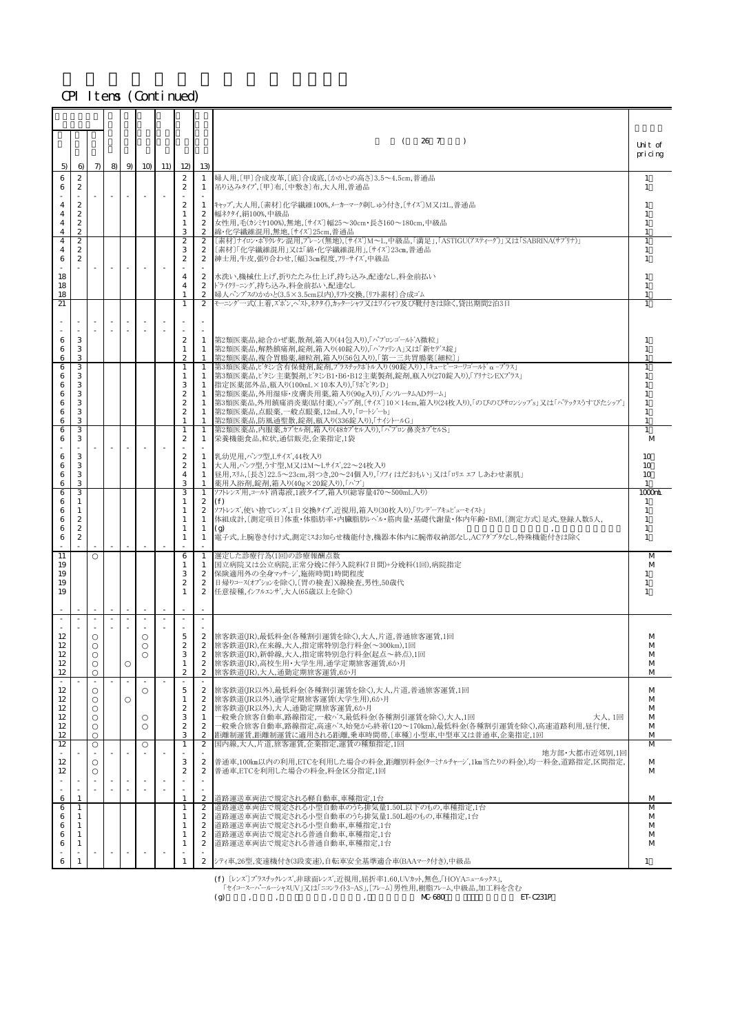|                          |                                                  |        |                          |                          |        |           |                                   |                                                        | 26 7<br>$\left($<br>$\overline{\phantom{a}}$                                                                                                                         | Unit of                        |
|--------------------------|--------------------------------------------------|--------|--------------------------|--------------------------|--------|-----------|-----------------------------------|--------------------------------------------------------|----------------------------------------------------------------------------------------------------------------------------------------------------------------------|--------------------------------|
| 5)                       | $\Theta$                                         | $\pi$  |                          |                          |        | 8 9 10 11 | 12)                               | 13)                                                    |                                                                                                                                                                      | pricing                        |
| 6<br>6                   | $\boldsymbol{2}$<br>2                            |        |                          |                          |        |           | $\mathbf{2}$<br>$\mathbf{2}$      | 1<br>$\mathbf{1}$                                      | 婦人用,〔甲〕合成皮革,〔底〕合成底,〔かかとの高さ〕3.5~4.5cm,普通品<br>吊り込みタイプ, [甲]布, [中敷き]布, 大人用, 普通品                                                                                          | 1<br>$\overline{1}$            |
| 4                        | $\boldsymbol{z}$                                 |        | $\sim$                   | $\overline{\phantom{a}}$ | $\sim$ |           | $\mathbf{2}$                      | $\mathbf{1}$                                           | キャップ,大人用,〔素材〕化学繊維100%,メーカーマーク刺しゅう付き,〔サイズ〕M又はL,普通品                                                                                                                    |                                |
| 4<br>4<br>$\overline{4}$ | $\boldsymbol{z}$<br>$\mathbf{2}$<br>$\mathbf{2}$ |        |                          |                          |        |           | 1<br>1<br>3                       | $\mathbf{2}$<br>$\boldsymbol{2}$<br>2                  | 幅ネクタイ,絹100%,中級品<br>女性用,毛(カシミヤ100%),無地,〔サイズ〕幅25~30cm・長さ160~180cm,中級品<br>綿·化学繊維混用,無地,〔サイズ〕25cm,普通品                                                                     |                                |
| 4<br>4                   | $\boldsymbol{2}$<br>$\mathbf{2}$                 |        |                          |                          |        |           | $\overline{2}$<br>3               | $\mathbf{2}$<br>$\mathbf{2}$                           | 〔素材〕ナイロン・ポリウレタン混用、プレーン(無地),〔サイズ〕M~L,中級品,「満足」,「ASTIGU(アスティーグ)」又は「SABRINA(サブリナ)」<br>〔素材〕「化学繊維混用」又は「綿・化学繊維混用」、〔サイズ〕23㎝,普通品                                              | $\mathbf{1}$                   |
| 6                        | $\boldsymbol{2}$                                 |        | $\overline{\phantom{a}}$ |                          |        |           | $\mathbf{2}$<br>$\overline{4}$    | $\mathbf{2}$<br>$\mathbf{2}$                           | 紳士用,牛皮,張り合わせ, 〔幅〕3cm程度, フリーサイズ,中級品                                                                                                                                   | -1                             |
| 18<br>18<br>18           |                                                  |        |                          |                          |        |           | $\overline{4}$                    | $\boldsymbol{2}$<br>$\mathbf{2}$                       | 水洗い,機械仕上げ,折りたたみ仕上げ,持ち込み,配達なし,料金前払い<br>トライクリーニング,持ち込み,料金前払い,配達なし<br> 婦人パンプスのかかと(3.5×3.5cm以内),リフト交換, 〔リフト素材〕合成ゴム                                                       |                                |
| 21                       |                                                  |        |                          |                          |        |           |                                   |                                                        | モーニング一式(上着,ズホン,ヘスト,ネクタイ),カッターシャツ又はワイシャツ及び靴付きは除く,貸出期間2泊3日                                                                                                             |                                |
| 6                        | 3                                                |        |                          |                          |        |           | $\boldsymbol{2}$                  | $\overline{\phantom{a}}$<br>$\sim$<br>1                | 第2類医薬品,総合かぜ薬,散剤,箱入り(44包入り),「パブロンゴール'A微粒」                                                                                                                             |                                |
| 6<br>6                   | 3<br>3                                           |        |                          |                          |        |           | 1<br>$\mathbf{2}$                 | $\mathbf{1}$<br>1                                      | 第2類医薬品,解熱鎮痛剤,錠剤,箱入り(40錠入り),「ハ'ファリンA」又は「新セテ'ス錠」<br> 第2類医薬品,複合胃腸薬,細粒剤,箱入り(56包入り),「第一三共胃腸薬〔細粒〕」                                                                         | 1                              |
| 6<br>6                   | 3<br>3                                           |        |                          |                          |        |           | 1<br>1                            | $\mathbf{1}$<br>1                                      | 第3類医薬品, ビタミン含有保健剤,錠剤, プラスチックホトル入り(90錠入り), 「キューピーコーワコ'ールト'α-プラス」<br> 第3類医薬品」ビタシ主薬製剤」ビタシB1・B6・B12主薬製剤、錠剤、瓶入り(270錠入り)「アリナミンEXプラス」                                       | -1                             |
| 6<br>6<br>6              | 3<br>3<br>3                                      |        |                          |                          |        |           | 3<br>$\mathbf{2}$<br>$\mathbf{2}$ | 1<br>1<br>1                                            | 指定医薬部外品,瓶入り(100mL×10本入り),「リポビタンD」<br>第2類医薬品,外用湿疹·皮膚炎用薬,箱入り(90g入り),「メンソレータムADクリーム」<br> 第3類医薬品,外用鎮痛消炎薬(貼付薬),ハップ剤,〔サイズ〕10×14cm,箱入り(24枚入り),「のびのびサロンシップs」又は「ハテックスうすびたシップ」 |                                |
| 6<br>6                   | 3<br>3                                           |        |                          |                          |        |           | $\boldsymbol{2}$<br>$\mathbf{1}$  | 1<br>1                                                 | 第2類医薬品,点眼薬,一般点眼薬,12mL入り,「ロートジーb」<br>第2類医薬品,防風通聖散,錠剤,瓶入り(336錠入り),「ナイシトールG」                                                                                            | $\mathbf{1}$                   |
| 6<br>6                   | 3<br>3                                           |        |                          |                          |        |           | 1<br>$\boldsymbol{2}$             | $\mathbf{1}$<br>1                                      | 第2類医薬品,内服薬,カプセル剤,箱入り(48カプセル入り),「パブロン鼻炎カプセルS」<br>栄養機能食品,粒状,通信販売,企業指定,1袋                                                                                               | M                              |
| 6<br>6                   | 3<br>3                                           |        |                          |                          |        |           | $\boldsymbol{2}$<br>$\mathbf{2}$  | 1                                                      | 1 乳幼児用, パンツ型, Lサイズ, 44枚入り<br>大人用, パンツ型, うす型, M又はM~Lサイズ, 22~24枚入り                                                                                                     | 10<br>10                       |
| 6<br>6                   | 3<br>3                                           |        |                          |                          |        |           | $\overline{4}$<br>3               | 1<br>1                                                 | 昼用,スリム,〔長さ〕22.5~23cm,羽つき,20~24個入り,「ソフィ はだおもい」 又は「ロリェ エフ しあわせ素肌」<br> 薬用入浴剤,錠剤,箱入り(40g×20錠入り),「ハブ」                                                                     | 10<br>$\mathbf{1}$             |
| 6<br>6<br>6              | 3<br>1<br>1                                      |        |                          |                          |        |           | 3<br>1<br>1                       | 1<br>$\mathbf{2}$<br>$\boldsymbol{2}$                  | ソフトレンズ用,コールド消毒液,1液タイプ,箱入り(総容量470~500mL入り)<br>(f)<br>ソフトレンズ,使い捨てレンズ,1日交換タイプ,近視用,箱入り(30枚入り),「ワンデーアキュビューモイスト」                                                           | $1000$ nL<br>1<br>$\mathbf{1}$ |
| 6<br>6                   | $\boldsymbol{2}$<br>$\boldsymbol{2}$             |        |                          |                          |        |           | 1<br>1                            | 1<br>1                                                 | 体組成計, 〔測定項目〕体重・体脂肪率・内臓脂肪レベル・筋肉量・基礎代謝量・体内年齢・BMI, 〔測定方式〕足式,登録人数5人,<br>(g)                                                                                              | $\mathbf{1}$<br>$\mathbf{1}$   |
| 6<br>11                  | $\mathbf{2}$                                     |        |                          |                          |        |           | 1<br>6                            | 1<br>1                                                 | 電子式,上腕巻き付け式,測定シスお知らせ機能付き,機器本体内に腕帯収納部なし,ACアダプタなし,特殊機能付きは除く<br> 選定した診療行為(1回)の診療報酬点数                                                                                    | $\mathbf{1}$<br>M              |
| 19<br>19                 |                                                  |        |                          |                          |        |           | 1<br>3                            | 1<br>$\mathbf{2}$                                      | 国立病院又は公立病院,正常分娩に伴う入院料(7日間)+分娩料(1回),病院指定<br>保険適用外の全身マッサージ,施術時間1時間程度                                                                                                   | M                              |
| 19<br>19                 |                                                  |        |                          |                          |        |           | $\boldsymbol{2}$                  | $\boldsymbol{2}$<br>$\overline{2}$                     | 日帰りコース(オプションを除く),[胃の検査] X線検査,男性,50歳代<br>任意接種,インフルエンザ,大人(65歳以上を除く)                                                                                                    | 1<br>$\mathbf{1}$              |
|                          |                                                  | $\sim$ | $\sim$                   |                          | $\sim$ |           |                                   |                                                        |                                                                                                                                                                      |                                |
| 12                       |                                                  |        |                          |                          |        |           | 5                                 | $\mathbf{2}$                                           | 旅客鉄道(JR),最低料金(各種割引運賃を除く),大人,片道,普通旅客運賃,1回                                                                                                                             | M                              |
| 12<br>12<br>12           |                                                  |        |                          |                          |        |           | $\mathbf{2}$<br>З<br>$\mathbf{1}$ | $\boldsymbol{2}$<br>$\overline{2}$<br>$\boldsymbol{2}$ | 旅客鉄道(JR),在来線,大人,指定席特別急行料金(~300km),1回<br> 旅客鉄道(JR),新幹線,大人,指定席特別急行料金(起点~終点),1回<br> 旅客鉄道(JR),高校生用・大学生用,通学定期旅客運賃,6か月                                                     | M<br>M<br>M                    |
| 12<br>÷.                 |                                                  |        |                          |                          |        |           | $\boldsymbol{2}$                  | $\boldsymbol{2}$                                       | 旅客鉄道(JR),大人,通勤定期旅客運賃,6か月                                                                                                                                             | M                              |
| 12<br>12                 |                                                  |        |                          |                          |        |           | 5<br>1<br>$\boldsymbol{2}$        | $\mathbf{2}$<br>$\mathbf{2}$<br>$\mathbf{2}$           | 旅客鉄道(JR以外),最低料金(各種割引運賃を除く),大人,片道,普通旅客運賃,1回<br>旅客鉄道(IR以外),通学定期旅客運賃(大学生用),6か月<br>旅客鉄道(IR以外),大人,通勤定期旅客運賃,6か月                                                            | М<br>M                         |
| 12<br>12<br>12           |                                                  |        |                          |                          |        |           | 3<br>$\boldsymbol{2}$             | 1<br>$\mathbf{2}$                                      | 一般乗合旅客自動車,路線指定,一般^'ス最低料金(各種割引運賃を除く),大人,1回<br>大人,1回<br>一般乗合旅客自動車,路線指定,高速バス,始発から終着(120〜170km),最低料金(各種割引運賃を除く),高速道路利用,昼行便,                                              | M<br>M<br>M                    |
| 12<br>12                 |                                                  |        |                          |                          |        |           | 3<br>1                            | $\boldsymbol{2}$<br>$\mathbf{2}$                       | 距離制運賃,距離制運賃に適用される距離,乗車時間帯, 〔車種〕小型車,中型車又は普通車,企業指定,1回<br>国内線,大人,片道,旅客運賃,企業指定,運賃の種類指定,1回                                                                                | M<br>M                         |
| 12<br>12                 |                                                  |        |                          |                          |        |           | 3<br>$\boldsymbol{2}$             | $\mathbf{2}$<br>$\mathbf{2}$                           | 地方部·大都市近郊別,1回<br>普通車,100km以内の利用,ETCを利用した場合の料金,距離別料金(ターミナルチャージ,1km当たりの料金),均一料金,道路指定,区間指定,<br>普通車,ETCを利用した場合の料金,料金区分指定,1回                                              | M<br>M                         |
|                          |                                                  |        |                          |                          |        |           |                                   | ×                                                      |                                                                                                                                                                      |                                |
| 6<br>6                   | $\overline{1}$<br>$\mathbf{1}$                   |        |                          |                          |        |           | $\mathbf{1}$<br>$\mathbf{1}$      | $\mathbf{2}$<br>$\boldsymbol{2}$                       | 道路運送車両法で規定される軽自動車,車種指定,1台<br>道路運送車両法で規定される小型自動車のうち排気量1.50L以下のもの,車種指定,1台                                                                                              | M<br>M                         |
| 6<br>6<br>6              | 1<br>1<br>1                                      |        |                          |                          |        |           | 1<br>1<br>1                       | $\mathbf{2}$<br>$\boldsymbol{2}$<br>$\mathbf{2}$       | 道路運送車両法で規定される小型自動車のうち排気量1.50L超のもの,車種指定,1台<br> 道路運送車両法で規定される小型自動車,車種指定,1台<br>道路運送車両法で規定される普通自動車,車種指定,1台                                                               | M<br>M<br>M                    |
| 6                        | -1                                               |        |                          |                          |        |           | 1                                 | $\mathbf{2}$                                           | 道路運送車両法で規定される普通自動車,車種指定,1台                                                                                                                                           | M                              |
| 6                        | $\mathbf{1}$                                     |        |                          |                          |        |           | 1                                 |                                                        | 2   シティ車, 26型, 変速機付き(3段変速), 自転車安全基準適合車(BAAマーク付き), 中級品                                                                                                                | 1                              |

(f) 〔レンズ〕プラスチックレンズ,非球面レンズ,近視用,屈折率1.60,UVカット,無色,「HOYAニュールックス」,

(g)電子式,一般用,予測・実測兼用,わき専用,「けんおんくん MC-680」又は「テルモ電子体温計 ET-C231P」 「セイコースーパールーシャスUV」又は「ニコンライト3-AS」,〔フレ-ム〕男性用,樹脂フレ-ム,中級品,加工料を含む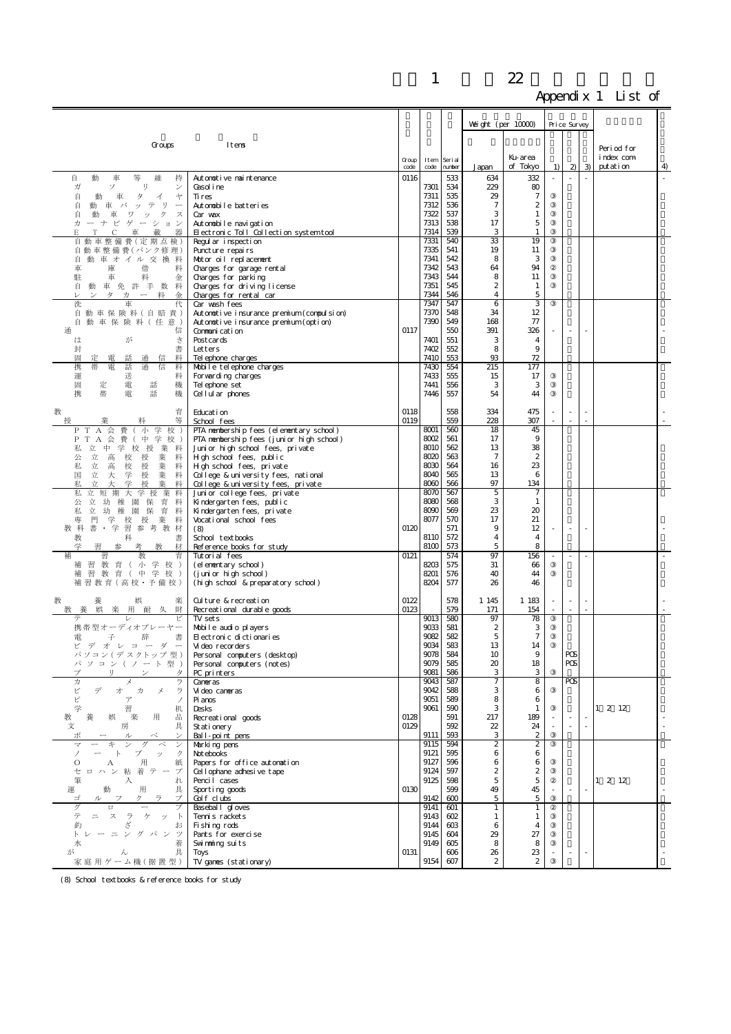|                                                                                       |                                                                                     |       |              |            |                       |                                      | . .          |                |                |              |   |
|---------------------------------------------------------------------------------------|-------------------------------------------------------------------------------------|-------|--------------|------------|-----------------------|--------------------------------------|--------------|----------------|----------------|--------------|---|
|                                                                                       |                                                                                     |       |              |            |                       |                                      | Price Survey |                |                |              |   |
|                                                                                       |                                                                                     |       |              |            |                       | Weight (per $10000$ )                |              |                |                |              |   |
| Groups                                                                                | Itens                                                                               |       |              |            |                       |                                      |              |                |                | Period for   |   |
|                                                                                       |                                                                                     | Group | Item         | Seri al    |                       | Ku-area                              |              |                |                | index com    |   |
|                                                                                       |                                                                                     | code  | code         | number     | Japan                 | of Tokyo                             | 1)           | $\mathbf{z}$   | $\mathcal{Z}$  | putation     | 4 |
| 自<br>動<br>持<br>車<br>等<br>維<br>ガ<br>IJ<br>ソ<br>$\checkmark$                            | Autonotive naintenance<br>Gasoline                                                  | 0116  | 7301         | 533<br>534 | 634<br>229            | 332<br>80                            |              |                |                |              |   |
| 自<br>動<br>車<br>タ<br>イ<br>ャ                                                            | Ti res                                                                              |       | 7311         | 535        | 29                    | $\tau$                               |              |                |                |              |   |
| 自<br>テ<br>IJ<br>動<br>車<br>バ<br>ッ<br>$\overline{\phantom{a}}$<br>自<br>ク<br>車<br>ス<br>ワ | Autonobile batteries<br>Car wax                                                     |       | 7312<br>7322 | 536<br>537 | $\overline{7}$<br>3   | $\boldsymbol{2}$<br>1                |              |                |                |              |   |
| 力<br>ゲーショ<br>ーナ<br>ビ<br>ン                                                             | Automobile navigation                                                               |       | 7313         | 538        | 17                    | $\mathbf 5$                          |              |                |                |              |   |
| E<br>車<br>載<br>C<br>車 整備 費 (定期点検)                                                     | Electronic Toll Collection systemtool                                               |       | 7314<br>7331 | 539<br>540 | 3<br>33               | 1<br>19                              |              |                |                |              |   |
| 自<br>自動車整備費(パンク修理)                                                                    | Regular inspection<br>Puncture repairs                                              |       | 7335         | 541        | 19                    | 11                                   |              |                |                |              |   |
| 車オイル交換料<br>自<br>動                                                                     | Motor oil replacement                                                               |       | 7341         | 542        | 8                     | 3                                    |              |                |                |              |   |
| 車<br>庫<br>借<br>料<br>車<br>料<br>駐<br>金                                                  | Charges for garage rental<br>Charges for parking                                    |       | 7342<br>7343 | 543<br>544 | 64<br>8               | 94<br>11                             |              |                |                |              |   |
| 動車免許手<br>自<br>数<br>料                                                                  | Charges for driving license                                                         |       | 7351         | 545        | $\boldsymbol{2}$      | 1                                    |              |                |                |              |   |
| タ カ ー<br>金<br>レ<br>料<br>車                                                             | Charges for rental car                                                              |       | 7344         | 546        | $\overline{4}$<br>6   | 5                                    |              |                |                |              |   |
| 洗<br>代<br>自動車保険料(自賠責)                                                                 | Car wash fees<br>Autonotive insurance premium (compulsion)                          |       | 7347<br>7370 | 547<br>548 | 34                    | 3<br>12                              |              |                |                |              |   |
| 動車保険料(任意)<br>自                                                                        | Autonotive insurance premium (option)                                               |       | 7390         | 549        | 168                   | 77                                   |              |                |                |              |   |
| 通<br>信<br>は<br>が<br>き                                                                 | Communication<br>Postcards                                                          | 0117  | 7401         | 550<br>551 | 391<br>3              | 326<br>4                             |              |                |                |              |   |
| 書<br>封                                                                                | Letters                                                                             |       | 7402         | 552        | 8                     | 9                                    |              |                |                |              |   |
| 固<br>料<br>電<br>話<br>通<br>信<br>疋                                                       | Tel ephone charges                                                                  |       | 7410         | 553        | 93                    | 72                                   |              |                |                |              |   |
| 携<br>電<br>話<br>通<br>信<br>料<br>運<br>送<br>料                                             | Mobile telephone charges<br>Forwarding charges                                      |       | 7430<br>7433 | 554<br>555 | 215<br>15             | 177<br>17                            |              |                |                |              |   |
| 機<br>固<br>電<br>定<br>話                                                                 | Tel ephone set                                                                      |       | 7441         | 556        | 3                     | 3                                    |              |                |                |              |   |
| 携<br>帯<br>電<br>話<br>機                                                                 | Cellular phones                                                                     |       | 7446         | 557        | 54                    | 44                                   |              |                |                |              |   |
| 教<br>育                                                                                | Educat i on                                                                         | 0118  |              | 558        | 334                   | 475                                  |              |                |                |              |   |
| 等<br>授<br>業<br>料                                                                      | School fees                                                                         | 0119  |              | 559        | 228                   | 307                                  |              | $\sim$         | $\overline{a}$ |              |   |
| $A \trianglelefteq$<br>費 (小学<br>P<br>$\mathbf T$<br>校 )<br>P T A 会 費 ( 中 学 校 )        | PTA nembership fees (elementary school)<br>PTA nembership fees (junior high school) |       | 8001<br>8002 | 560<br>561 | 18<br>17              | 45<br>9                              |              |                |                |              |   |
| 中学校授<br>立<br>業<br>料<br>私                                                              | Junior high school fees, private                                                    |       | 8010         | 562        | 13                    | 38                                   |              |                |                |              |   |
| 立<br>高<br>校 授<br>業<br>料<br>公<br>私<br>校<br>授<br>業<br>料<br>立<br>高                       | High school fees, public<br>H gh school fees, private                               |       | 8020<br>8030 | 563<br>564 | $\overline{7}$<br>16  | $\boldsymbol{2}$<br>23               |              |                |                |              |   |
| 業<br>国<br>立<br>大<br>学<br>授<br>料                                                       | College & university fees, national                                                 |       | 8040         | 565        | 13                    | 6                                    |              |                |                |              |   |
| 私<br>立<br>大<br>学<br>授<br>業<br>料                                                       | College & university fees, private                                                  |       | 8060         | 566        | 97                    | 134                                  |              |                |                |              |   |
| 私<br>大学授業<br>立短期<br>料<br>立<br>園 保<br>育<br>料<br>公<br>幼稚                                | Junior college fees, private<br>Kindergarten fees, public                           |       | 8070<br>8080 | 567<br>568 | 5<br>3                | $\tau$<br>1                          |              |                |                |              |   |
| 私<br>立 幼 稚 園 保<br>育<br>料                                                              | Kindergarten fees, private                                                          |       | 8090         | 569        | 23                    | 20                                   |              |                |                |              |   |
| 専<br>門<br>学校授<br>業<br>料<br>書 ・ 学 習 参 考 教 材<br>科<br>教                                  | Vocational school fees<br>(8)                                                       | 0120  | 8077         | 570<br>571 | 17<br>9               | 21<br>12                             |              | ÷.             |                |              |   |
| 科<br>書<br>教                                                                           | School text books                                                                   |       | 8110         | 572        | 4                     | 4                                    |              |                |                |              |   |
| 習<br>教                                                                                | Reference books for study                                                           | 0121  | 8100         | 573<br>574 | 5<br>97               | 8<br>156                             |              | $\blacksquare$ |                |              |   |
| 育<br>補<br>習 教 育 ( 小 学 校 )                                                             | Tutorial fees<br>(el enent ary school)                                              |       | 8203         | 575        | 31                    | 66                                   |              |                |                |              |   |
| 補 習 教 育 ( 中 学 校 )                                                                     | (junior high school)                                                                |       | 8201         | 576        | 40                    | 44                                   |              |                |                |              |   |
| 補 習 教 育 ( 高 校 · 予 備 校)                                                                | (high school & preparatory school)                                                  |       | 8204         | 577        | 26                    | 46                                   |              |                |                |              |   |
| 楽<br>教<br>養                                                                           | Culture & recreation                                                                | 0122  |              | 578        | 1 1 4 5               | 1 183                                |              | ×.             | $\sim$         |              |   |
| 娯<br>財<br>楽用<br>耐<br>久                                                                | Recreational durable goods<br><b>TV</b> set s                                       | 0123  | 9013         | 579<br>580 | 171<br>97             | 154<br>78                            |              |                |                |              |   |
| 携帯型オーディオプレーヤー                                                                         | Mobile audioplayers                                                                 |       | 9033         | 581        | 2                     | 3                                    |              |                |                |              |   |
| 子<br>電<br>辞<br>書<br>デオレコー<br>$\boldsymbol{\mathcal{F}}$                               | El ectronic dictionaries                                                            |       | 9082<br>9034 | 582<br>583 | 5<br>13               | $\overline{7}$                       |              |                |                |              |   |
| パソコン (デスクトップ型)                                                                        | Vi deo recorders<br>Personal computers (desktop)                                    |       | 9078         | 584        | 10                    | 14<br>9                              |              | POS            |                |              |   |
| パ ソ コ ン ( ノ ー ト 型 )                                                                   | Personal computers (notes)                                                          |       | 9079         | 585        | 20                    | 18                                   |              | POS            |                |              |   |
| IJ<br>プ<br>タ<br>力<br>ラ<br>メ                                                           | PC printers<br>Caneras                                                              |       | 9081<br>9043 | 586<br>587 | 3<br>$\tau$           | 3<br>8                               |              | RQ             |                |              |   |
| ピ<br>デ<br>オ<br>カ<br>ラ<br>ーメ                                                           | Vi deo caneras                                                                      |       | 9042         | 588        | 3                     | 6                                    |              |                |                |              |   |
| ピ<br>$\overline{\mathcal{T}}$<br>学<br>習                                               | Pi anos<br>Desks                                                                    |       | 9051<br>9061 | 589<br>590 | 8<br>3                | 6<br>1                               |              |                |                | $1 \t2 \t12$ |   |
| 机<br>娯<br>楽<br>用<br>品<br>教                                                            | Recreational goods                                                                  | 0128  |              | 591        | 217                   | 189                                  |              |                |                |              |   |
| 文<br>房<br>具                                                                           | St at i onery                                                                       | 0129  |              | 592        | $2\!2$                | 24                                   |              | $\sim$         | ÷.             |              |   |
| ボ<br>ル<br>夲<br>$\overline{\mathbf{v}}$<br>$\checkmark$<br>ゲ<br>ぺ<br>$\checkmark$      | Ball-point pens<br>Marking pens                                                     |       | 9111<br>9115 | 593<br>594 | 3<br>2                | $\boldsymbol{2}$<br>$\boldsymbol{z}$ |              |                |                |              |   |
| ブー<br>ク<br>ノ<br>$\mathcal{D}$<br>$\mathbb{R}$                                         | Not ebooks                                                                          |       | 9121         | 595        | 6                     | 6                                    |              |                |                |              |   |
| $\circ$<br>用<br>紙<br>A<br>セロハン粘着テー<br>プ                                               | Papers for office automation<br>Cell ophane adhesive tape                           |       | 9127<br>9124 | 596<br>597 | 6<br>$\boldsymbol{2}$ | 6<br>$\boldsymbol{2}$                |              |                |                |              |   |
| 筆<br>入<br>れ                                                                           | Pencil cases                                                                        |       | 9125         | 598        | 5                     | 5                                    |              |                |                | $1 \t2 \t12$ |   |
| 運<br>動<br>用<br>具                                                                      | Sporting goods                                                                      | 0130  |              | 599        | 49                    | 45                                   |              |                |                |              |   |
| ルフクラ<br>ゴ<br>ブ<br>ザ<br>$\Box$<br>ブ                                                    | Golf clubs<br>Baseball gloves                                                       |       | 9142<br>9141 | 600<br>601 | 5<br>$\mathbf{1}$     | 5<br>$\mathbf{1}$                    |              |                |                |              |   |
| ニスラケッ<br>テ<br>$\mathbb{R}$                                                            | Tennis rackets                                                                      |       | 9143         | 602        | -1                    | 1                                    |              |                |                |              |   |
| ーニ<br>ングパン<br>お<br>トレ<br>ツ                                                            | Fishing rods<br>Pants for exercise                                                  |       | 9144<br>9145 | 603<br>604 | 6<br>29               | 4<br>27                              |              |                |                |              |   |
| 水<br>着                                                                                | Swimming suits                                                                      |       | 9149         | 605        | 8                     | 8                                    |              |                |                |              |   |
| が<br>具<br>w                                                                           | Toys                                                                                | 0131  |              | $\infty$   | 26                    | 23                                   |              |                |                |              |   |
| 家 庭 用 ゲ ー ム 機 ( 据 置 型 )                                                               | TV games (stationary)                                                               |       | 9154         | 607        | $\boldsymbol{2}$      | $\overline{2}$                       |              |                |                |              |   |

(8) School textbooks & reference books for study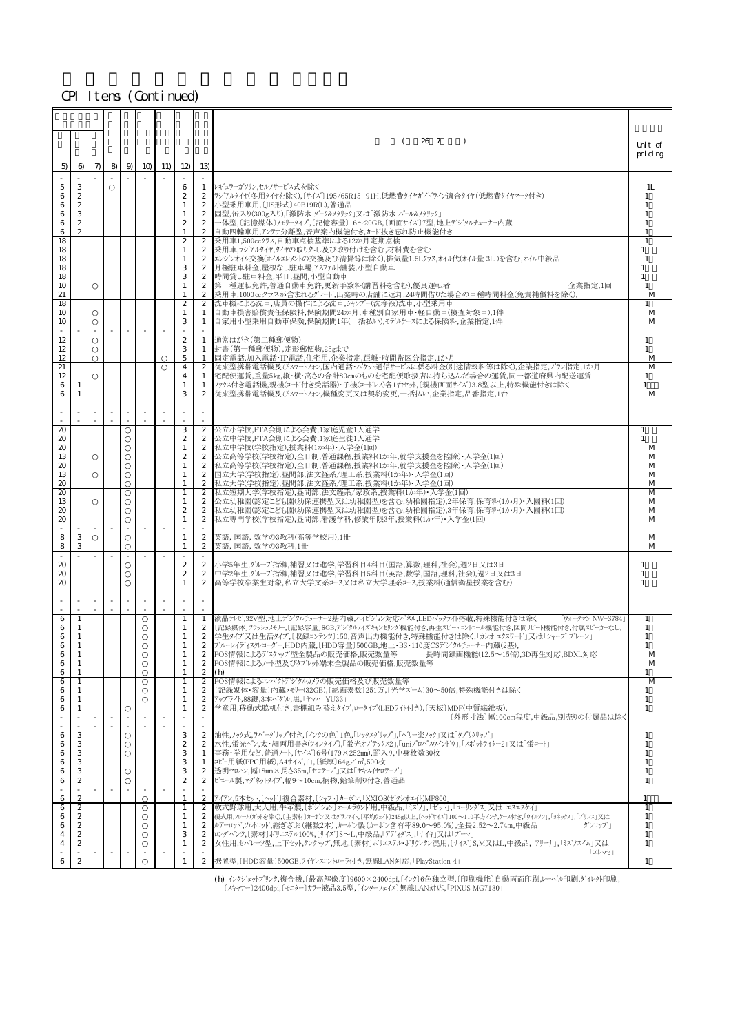|                           |                                      |       |          |             |     |                              |                                      | 26 7<br>- 1<br>$\lambda$                                                                                                                                                   | Unit of            |
|---------------------------|--------------------------------------|-------|----------|-------------|-----|------------------------------|--------------------------------------|----------------------------------------------------------------------------------------------------------------------------------------------------------------------------|--------------------|
|                           |                                      |       |          |             |     |                              |                                      |                                                                                                                                                                            | pricing            |
| 5)                        | 6                                    | $\pi$ | $8 \mid$ | $9 \mid 10$ | 11) | 12)                          | 13)                                  |                                                                                                                                                                            |                    |
|                           |                                      |       |          |             |     |                              |                                      |                                                                                                                                                                            |                    |
| 5<br>6                    | 3<br>2                               |       |          |             |     | 6<br>2                       | 1<br>2                               | レギュラーガソリン,セルフサービス式を除く<br> ランアルタイヤ(冬用タイヤを除く),〔サイズ〕195/65R15 91H,低燃費タイヤガイドライン適合タイヤ(低燃費タイヤマーク付き)                                                                              | 1L                 |
| 6                         | 2                                    |       |          |             |     | 1                            | 2                                    | 小型乗用車用,〔JIS形式〕40B19R(L),普通品                                                                                                                                                |                    |
| 6                         | 3                                    |       |          |             |     | 1                            | $\boldsymbol{2}$                     | 固型,缶入り(300g入り),「激防水 ダーク&メタリック」又は「激防水 パール&メタリック」                                                                                                                            |                    |
| 6<br>6                    | 2<br>$\overline{c}$                  |       |          |             |     | 2                            | $\boldsymbol{2}$                     | 一体型,〔記憶媒体〕メモリータイプ,〔記憶容量〕16~20GB,〔画面サイズ〕7型,地上デン゙タルチューナー内蔵<br>自動四輪車用,アンテナ分離型,音声案内機能付き,カード抜き忘れ防止機能付き                                                                          |                    |
| 18                        |                                      |       |          |             |     | $\boldsymbol{2}$             | 2                                    | 乗用車1,500ccクラス,自動車点検基準による12か月定期点検                                                                                                                                           |                    |
| 18<br>18                  |                                      |       |          |             |     | 1<br>1                       | 2<br>2                               | 乗用車,ラジアルタイヤ,タイヤの取り外し及び取り付けを含む,材料費を含む<br>エンジンオイル交換(オイルエレメントの交換及び清掃等は除く),排気量1.5Lクラス,オイル代(オイル量 3L )を含む,オイル中級品                                                                 | $\mathbf{1}$<br>-1 |
| 18                        |                                      |       |          |             |     | 3                            | $\boldsymbol{2}$                     | 月極駐車料金,屋根なし駐車場,アスファル舗装,小型自動車                                                                                                                                               |                    |
| 18                        |                                      |       |          |             |     | 3                            | $\boldsymbol{2}$                     | 時間貸し駐車料金,平日,昼間,小型自動車                                                                                                                                                       |                    |
| 10<br>21                  |                                      |       |          |             |     | $\mathbf{1}$                 | $\mathbf{2}$<br>$\boldsymbol{2}$     | 第一種運転免許,普通自動車免許,更新手数料(講習料を含む),優良運転者 <br>企業指定,1回<br>乗用車,1000ccクラスが含まれるグレード,出発時の店舗に返却,24時間借りた場合の車種時間料金(免責補償料を除く),                                                            | 1<br>M             |
| 18                        |                                      |       |          |             |     | $\boldsymbol{2}$             | 2                                    | 洗車機による洗車,店員の操作による洗車,シャンプー(洗浄液)洗車,小型乗用車                                                                                                                                     | 1                  |
| 10                        |                                      |       |          |             |     | 1                            | 1                                    | 自動車損害賠償責任保険料,保険期間24か月,車種別自家用車・軽自動車(検査対象車),1件                                                                                                                               | M                  |
| 10                        |                                      |       |          |             |     | 3                            | 1                                    | 自家用小型乗用自動車保険,保険期間1年(一括払い),モデルケースによる保険料,企業指定,1件                                                                                                                             | M                  |
| 12                        |                                      |       |          |             |     | $\boldsymbol{2}$             | 1                                    | 通常はがき(第二種郵便物)                                                                                                                                                              | 1                  |
| 12<br>12                  |                                      |       |          |             |     | З<br>5                       | 1                                    | 封書(第一種郵便物),定形郵便物,25gまで                                                                                                                                                     | $\mathbf{1}$       |
| $\overline{21}$           |                                      |       |          |             |     | $\overline{4}$               | 1<br>$\mathbf{2}$                    | 固定電話,加入電話・IP電話,住宅用,企業指定,距離・時間帯区分指定,1か月<br> 従来型携帯電話機及びスマートフォン,国内通話・パケット通信サービスに係る料金(別途情報料等は除く),企業指定,プラン指定,1か月                                                                | M<br>M             |
| 12                        |                                      |       |          |             |     | 4                            | 1                                    | 宅配便運賃,重量5kg,縦・横・高さの合計80㎝のものを宅配便取扱店に持ち込んだ場合の運賃,同一都道府県内配送運賃                                                                                                                  | $\mathbf{1}$       |
| 6<br>6                    | -1<br>-1                             |       |          |             |     | 1<br>3                       | 1<br>2                               | ファクス付き雷話機.親機(コード付き受話器)・子機(コードレス)各1台セット [親機画面サイズ]3.8型以上.特殊機能付きは除く<br> 従来型携帯電話機及びスマートフォン,機種変更又は契約変更,一括払い,企業指定,品番指定,1台                                                        | 1<br>M             |
|                           |                                      |       |          |             |     |                              |                                      |                                                                                                                                                                            |                    |
|                           |                                      |       |          |             |     |                              |                                      |                                                                                                                                                                            |                    |
| 20                        |                                      |       |          |             |     | З                            | 2                                    | 公立小学校,PTA会則による会費,1家庭児童1人通学                                                                                                                                                 | 1                  |
| 20                        |                                      |       |          |             |     | 2                            | 2                                    | 公立中学校,PTA会則による会費,1家庭生徒1人通学                                                                                                                                                 | 1                  |
| 20<br>13                  |                                      |       |          |             |     | 1<br>$\boldsymbol{2}$        | $\mathbf{2}$<br>2                    | 私立中学校(学校指定),授業料(1か年)・入学金(1回) <br>公立高等学校(学校指定),全日制,普通課程,授業料(1か年,就学支援金を控除)・入学金(1回)                                                                                           | M<br>M             |
| 20                        |                                      |       |          |             |     | 1                            | $\mathbf{2}$                         | 私立高等学校(学校指定),全日制,普通課程,授業料(1か年,就学支援金を控除)・入学金(1回)                                                                                                                            | M                  |
| 13                        |                                      |       |          |             |     |                              | $\boldsymbol{2}$                     | 国立大学(学校指定),昼間部,法文経系/理工系,授業料(1か年)・入学金(1回)                                                                                                                                   | M                  |
| 20<br>$\boldsymbol{\chi}$ |                                      |       |          |             |     | $\mathbf{1}$                 | $\boldsymbol{2}$<br>2                | 私立大学(学校指定),昼間部,法文経系/理工系,授業料(1か年)・入学金(1回)<br>私立短期大学(学校指定),昼間部,法文経系/家政系,授業料(1か年)・入学金(1回)                                                                                     | M<br>M             |
| 13                        |                                      |       |          |             |     | 1                            | 2                                    | 公立幼稚園(認定こども園(幼保連携型又は幼稚園型)を含む,幼稚園指定),2年保育,保育料(1か月)・入園料(1回)                                                                                                                  | M                  |
| 20                        |                                      |       |          |             |     | 2<br>1                       | $\boldsymbol{2}$<br>$\boldsymbol{2}$ | 私立幼稚園(認定こども園(幼保連携型又は幼稚園型)を含む,幼稚園指定),3年保育,保育料(1か月)・入園料(1回)<br>私立専門学校(学校指定),昼間部,看護学科,修業年限3年,授業料(1か年)・入学金(1回)                                                                 | M                  |
| 20                        |                                      |       |          |             |     |                              |                                      |                                                                                                                                                                            | M                  |
| 8                         | 3                                    |       |          |             |     | 1                            | $\boldsymbol{2}$                     | 英語, 国語, 数学の3教科(高等学校用),1冊                                                                                                                                                   | M                  |
| 8                         | 3                                    |       |          |             |     |                              | $\boldsymbol{2}$                     | 英語, 国語, 数学の3教科,1冊                                                                                                                                                          | M                  |
| 20                        |                                      |       |          |             |     | 2                            | $\mathbf{2}$                         | 小学5年生,グループ指導,補習又は進学,学習科目4科目(国語,算数,理科,社会),週2日又は3日                                                                                                                           | 1                  |
| 20<br>20                  |                                      |       |          |             |     | 2<br>1                       | $\mathbf{2}$<br>$\mathbf{2}$         | 中学2年生,グループ指導,補習又は進学,学習科目5科目(英語,数学,国語,理科,社会),週2日又は3日<br> 高等学校卒業生対象,私立大学文系コース又は私立大学理系コース,授業料(通信衛星授業を含む)                                                                      | $\mathbf{1}$<br>1  |
|                           |                                      |       |          |             |     |                              |                                      |                                                                                                                                                                            |                    |
|                           |                                      |       |          |             |     |                              |                                      |                                                                                                                                                                            |                    |
| 6                         | 1                                    |       |          |             |     | -1                           | 1                                    | 液晶テレビ,32V型,地上デジタルチューナー2基内蔵,ハイビジョン対応パネル,LEDバックライト搭載,特殊機能付きは除く<br>「ウォークマン NW-S784」                                                                                           | 1                  |
| 6                         | -1                                   |       |          |             |     | -1                           | 2                                    | 〔記録媒体〕フラッシュメモリー,〔記録容量〕8GB,デジタルノイズキャンセリング'機能付き,再生スピードコントロール機能付き,区間リピート機能付き,付属スピーカーなし,                                                                                       | 1                  |
| 6                         | -1                                   |       |          |             |     |                              | 2                                    | 学生タイプ又は生活タイプ、〔収録コンテンツ〕150,音声出力機能付き、特殊機能付きは除く、「カシオ エクスワート'」又は「シャープ ブレーン」                                                                                                    | 1                  |
| 6<br>R                    | 1                                    |       |          |             |     | 1                            | $\boldsymbol{2}$<br>$\mathbf{2}$     | ブルーーレイディスクレコーダー,HDD内蔵,〔HDD容量〕500GB,地上・BS・110度CSデジタルチューナー内蔵(2基),<br>POS情報によるデス外ップ型全製品の販売価格,販売数量等 長時間録画機能(12.5~15倍),3D再生対応,BDXL対応                                            | -1<br>M            |
| 6                         | 1                                    |       |          |             |     | $\mathbf{1}$                 | $\boldsymbol{z}$                     | POS情報によるノート型及びタブレット端末全製品の販売価格,販売数量等                                                                                                                                        | M                  |
| 6<br>6                    | $\overline{1}$<br>1                  |       |          |             |     | 1<br>$\mathbf{1}$            | $\boldsymbol{2}$<br>$\overline{2}$   | (h)<br>POS情報によるコンパクトデジタルカメラの販売価格及び販売数量等                                                                                                                                    | 1<br>M             |
| 6                         | -1                                   |       |          |             |     |                              | $\mathbf{2}$                         | [記録媒体・容量]内蔵メモリー(32GB),[総画素数]251万,[光学ズーム]30〜50倍,特殊機能付きは除く                                                                                                                   | 1                  |
| 6                         | -1                                   |       |          |             |     | $\overline{1}$               | $\boldsymbol{2}$                     | アップライト,88鍵,3本ペダル,黒,「ヤマハ YU33」                                                                                                                                              | $\mathbf{1}$       |
|                           | $\mathbf{1}$                         |       |          |             |     |                              | $\boldsymbol{2}$                     | 学童用,移動式脇机付き,書棚組み替えタイプ,ロータイプ(LEDライト付き),〔天板〕MDF(中質繊維板),<br>[外形寸法]幅100cm程度,中級品,別売りの付属品は除く                                                                                     | $\mathbf{1}$       |
|                           |                                      |       |          |             |     |                              |                                      |                                                                                                                                                                            |                    |
| 6                         | 3<br>3                               |       |          |             |     | 3<br>$\overline{\mathbf{z}}$ | $\mathbf{2}$<br>$\boldsymbol{2}$     | 油性,ノック式,ラバーグリップ付き,〔インクの色〕1色,「レックスグリップ」,「ベリー楽ノック」又は「タプリクリップ」<br>水性:蛍光ペン,太・細両用書き(ツインタイプ)「蛍光オプテックス2」「uniプロパスウインドウ」「スポットライター2」又は「蛍コート」                                         | $\overline{1}$     |
| 6<br>6                    | 3                                    |       |          |             |     | 3                            | 1                                    | 事務・学用など,普通ノート,〔サイズ〕6号(179×252㎜),罫入り,中身枚数30枚                                                                                                                                | 1                  |
| 6                         | 3                                    |       |          |             |     | 3                            | 1                                    | コピー用紙(PPC用紙),A4サイズ,白,[紙厚]64g/m2,500枚                                                                                                                                       | 1                  |
| 6<br>6                    | 3<br>$\boldsymbol{z}$                |       |          |             |     | 3<br>$\boldsymbol{2}$        | $\boldsymbol{2}$<br>$\boldsymbol{2}$ | 透明セロハン,幅18mm×長さ35m,「セロテープ」又は「セキスイセロテープ」<br>ビニール製,マグネットタイプ,幅9~10cm,柄物,鉛筆削り付き,普通品                                                                                            | 1<br>$\mathbf{1}$  |
|                           |                                      |       |          |             |     |                              |                                      |                                                                                                                                                                            |                    |
| 6                         | $\boldsymbol{2}$                     |       |          |             |     | $\mathbf{1}$                 | $\mathbf{2}$                         | アイアン,5本セット,[ヘット`]複合素材,[シャフト]カーボン,「XXIO8(セ゛クシオエイト)MP800」                                                                                                                    | 1                  |
| 6<br>6                    | $\boldsymbol{2}$<br>2                |       |          |             |     | 1<br>1                       | $\boldsymbol{2}$<br>2                | 軟式野球用,大人用,牛革製,〔ポン゙ション〕オールラウンド用,中級品,「ミズノ」,「ゼット」,「ローリングス」又は「エスエスケイ」<br>硬式用,フレーム(ガyトを除く),[主素材]カーボン又はグラファイト,[平均ウェイト]245g以上,[ヘッドサイズ]100~110平方インチ,ケース付き,「ウイルソン」,「ヨネックス」,「プリンス」又は | -1                 |
| 6                         | $\boldsymbol{z}$                     |       |          |             |     | 1                            | $\mathbf{2}$                         | ルアーロット、ソルトロット、継ぎざお(継数2本)、カーホン製(カーホン含有率89.0~95.0%)、全長2.52~2.74m、中級品<br>「ダンロップ」                                                                                              | -1                 |
|                           | $\boldsymbol{z}$<br>$\boldsymbol{z}$ |       |          |             |     | 3                            | $\boldsymbol{2}$<br>$\boldsymbol{2}$ | ロングパンツ, [素材]ポリエステル100%, [サイズ] S~L,中級品, 「アディダス」, 「ナイキ」又は「プーマ」<br>女性用,セパレーツ型,上下セット,タンクトップ,無地,〔素材〕ポリエステルポリウレタン混用,〔サイズ〕S,M又はL,中級品,「アリーナ」,「ミズノスイム」又は                            | 1<br>$\mathbf{1}$  |
|                           |                                      |       |          |             |     |                              |                                      | 「エレッセ」                                                                                                                                                                     |                    |
| 6                         | $\boldsymbol{z}$                     |       |          |             |     |                              | $\mathbf{2}$                         | 据置型, [HDD容量] 500GB, ワイヤレスコントローラ付き, 無線LAN対応, 「PlayStation 4」                                                                                                                | $\mathbf{1}$       |
|                           |                                      |       |          |             |     |                              |                                      |                                                                                                                                                                            |                    |

(h) インクジェットプリンタ,複合機,〔最高解像度〕9600×2400dpi,〔インク〕6色独立型,〔印刷機能〕自動両面印刷,レーヘ\*ル印刷,ダイレクト印刷,<br>〔スキャナー〕2400dpi,〔モニター〕カラー液晶3.5型,〔インターフェイス〕無線LAN対応,「PIXUS MG7130」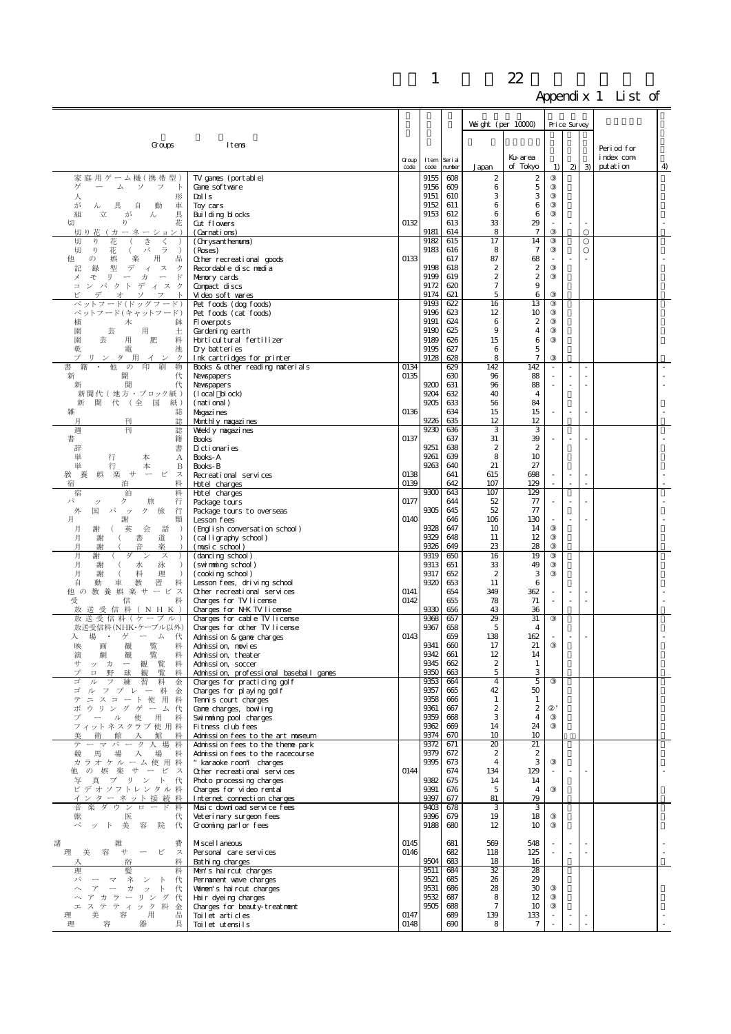|                                                                                                                    |                                                                      |               |              |                   | Weight (per 10000)                  |                         |                          | Price Survey             |            |                         |    |
|--------------------------------------------------------------------------------------------------------------------|----------------------------------------------------------------------|---------------|--------------|-------------------|-------------------------------------|-------------------------|--------------------------|--------------------------|------------|-------------------------|----|
| Groups                                                                                                             | Itens                                                                |               |              |                   |                                     | Ku-area                 |                          |                          |            | Period for<br>index com |    |
|                                                                                                                    |                                                                      | Group<br>code | Item<br>code | Seri al<br>number | Japan                               | of Tokyo                | 1)                       |                          | $2 \mid 3$ | putation                | 4) |
| 家庭用ゲーム機(携帯型)                                                                                                       | TV games (portable)                                                  |               | 9155         | 608<br>609        | 2<br>6                              | $\boldsymbol{2}$        |                          |                          |            |                         |    |
| ゲ<br>ム<br>ソ<br>フ<br>$\mathbb{R}$<br>形<br>人                                                                         | Cane software<br>Dolls                                               |               | 9156<br>9151 | 610               | 3                                   | 5<br>3                  |                          |                          |            |                         |    |
| が<br>具<br>車<br>自<br>動<br>w                                                                                         | Toy cars                                                             |               | 9152<br>9153 | 611<br>612        | 6<br>6                              | 6<br>6                  |                          |                          |            |                         |    |
| 具<br>組<br>立<br>が<br>ん<br>花<br>切<br>ŋ                                                                               | Building blocks<br>Cut flowers                                       | 0132          |              | 613               | 33                                  | 29                      |                          | $\sim$                   |            |                         |    |
| 切り花<br>ーネー<br>(カ<br>ション)<br>切<br>ŋ<br>き                                                                            | (Carnations)                                                         |               | 9181<br>9182 | 614<br>615        | 8<br>17                             | $\overline{7}$<br>14    |                          |                          |            |                         |    |
| 花<br>く<br>切<br>V)<br>花<br>バ<br>ラ<br>€.<br>$\rightarrow$                                                            | (Chrysanthenums)<br>(Roses)                                          |               | 9183         | 616               | 8                                   | $\overline{7}$          |                          |                          |            |                         |    |
| 他<br>娯<br>楽<br>用<br>出<br>の<br>型<br>録<br>デ                                                                          | Other recreational goods                                             | 0133          | 9198         | 617<br>618        | 87<br>2                             | 68<br>$\boldsymbol{2}$  |                          |                          |            |                         |    |
| 記<br>ス<br>ク<br>$\overline{A}$<br>メ<br>$\cup$ $\qquad$<br>$\mathbb{F}$<br>壬<br>力<br>$\overline{\phantom{m}}$        | Recordable disc nedia<br>Memory cards                                |               | 9199         | 619               | $\boldsymbol{2}$                    | $\boldsymbol{2}$        |                          |                          |            |                         |    |
| パクトディスク<br>$\equiv$<br>才                                                                                           | Compact discs                                                        |               | 9172<br>9174 | 620<br>621        | $\tau$<br>5                         | 9<br>6                  |                          |                          |            |                         |    |
| ペットフード(ドッグフード)                                                                                                     | Video soft wares<br>Pet foods (dog foods)                            |               | 9193         | 622               | 16                                  | 13                      |                          |                          |            |                         |    |
| ペットフード(キャットフード)                                                                                                    | Pet foods (cat foods)                                                |               | 9196<br>9191 | 623<br>624        | 12<br>6                             | 10<br>$\boldsymbol{2}$  |                          |                          |            |                         |    |
| 植<br>木<br>鉢<br>園<br>芸<br>用<br>土                                                                                    | Fl overpots<br>Gardening earth                                       |               | 9190         | 625               | 9                                   | $\overline{\mathbf{4}}$ |                          |                          |            |                         |    |
| 園<br>芸<br>用<br>肥<br>料                                                                                              | Horticultural fertilizer                                             |               | 9189<br>9195 | 626<br>627        | 15                                  | 6<br>5                  |                          |                          |            |                         |    |
| 乾<br>電<br>池<br>プ<br>リンタ用イ<br>ク<br>ン                                                                                | Dry batteries<br>Ink cartridges for printer                          |               | 9128         | 628               | 6<br>8                              | $\tau$                  |                          |                          |            |                         |    |
| 他<br>$\mathcal{O}$<br>印<br>刷<br>物                                                                                  | Books & other reading materials                                      | 0134<br>0135  |              | 629<br>630        | 142<br>96                           | 142                     |                          | $\overline{\phantom{a}}$ |            |                         |    |
| 新<br>聞<br>代<br>聞<br>代<br>新                                                                                         | Newspapers<br>Newspapers                                             |               | 9200         | 631               | 96                                  | 88<br>88                |                          |                          |            |                         |    |
| 新聞代(地方・ブロック紙)                                                                                                      | $(1 \nccal \nblock)$                                                 |               | 9204         | 632               | 40                                  | $\overline{4}$          |                          |                          |            |                         |    |
| 聞 代 (全 国<br>紙)<br>新<br>雑<br>誌                                                                                      | (national)<br>Magazi nes                                             | 0136          | 9205         | 633<br>634        | 56<br>15                            | 84<br>15                |                          |                          |            |                         |    |
| 刊<br>誌<br>月                                                                                                        | Mont hly nagazi nes                                                  |               | 9226         | 635               | 12                                  | 12                      |                          |                          |            |                         |    |
| 週<br>刊<br>誌<br>書<br>籍                                                                                              | Wekly nagazi nes<br><b>Books</b>                                     | 0137          | 9230         | 636<br>637        | 3<br>31                             | 3<br>39                 |                          |                          |            |                         |    |
| 書<br>辞                                                                                                             | Dictionaries                                                         |               | 9251         | 638               | $\boldsymbol{2}$                    | $\boldsymbol{z}$        |                          |                          |            |                         |    |
| 単<br>行<br>本<br>А<br>単<br>行<br>本<br>B                                                                               | Books-A<br>Books-B                                                   |               | 9261<br>9263 | 639<br>640        | 8<br>21                             | 10<br>27                |                          |                          |            |                         |    |
| 楽<br>艹<br>ビ<br>養<br>ス                                                                                              | Recreational services                                                | 0138          |              | 641               | 615                                 | 698                     |                          | $\sim$<br>×.             |            |                         |    |
| 宿<br>料<br>泊<br>泊<br>宿<br>料                                                                                         | Hotel charges<br>Hotel charges                                       | 0139          | 9300         | 642<br>643        | 107<br>107                          | 129<br>129              |                          |                          |            |                         |    |
| パ<br>ク<br>旅<br>行<br>ッ                                                                                              | Package tours                                                        | 0177          | 9305         | 644               | 52                                  | 77                      |                          |                          |            |                         |    |
| 外<br>国<br>パ<br>ク<br>旅<br>行<br>ッ<br>月<br>類<br>謝                                                                     | Package tours to overseas<br>Lesson fees                             | 0140          |              | 645<br>646        | 52<br>106                           | 77<br>130               |                          |                          |            |                         |    |
| 会<br>話<br>月<br>英<br>$\rightarrow$<br>謝                                                                             | (English conversation school)                                        |               | 9328         | 647               | 10                                  | 14                      |                          |                          |            |                         |    |
| 月<br>書<br>道<br>謝<br>$\rightarrow$<br>音<br>楽<br>月<br>謝                                                              | (calligraphy school)<br>(music school)                               |               | 9329<br>9326 | 648<br>649        | 11<br>23                            | 12<br>28                |                          |                          |            |                         |    |
| 月<br>Ħ<br>ン<br>ス<br>月<br>$\rightarrow$                                                                             | (dancing school)                                                     |               | 9319<br>9313 | 650<br>651        | 16<br>33                            | 19<br>49                |                          |                          |            |                         |    |
| 泳<br>謝<br>水<br>月<br>料<br>理<br>謝<br>- (<br>$\rightarrow$                                                            | (swimming school)<br>(cooking school)                                |               | 9317         | 652               | $\boldsymbol{2}$                    | 3                       |                          |                          |            |                         |    |
| 自<br>習<br>料<br>動<br>車<br>教<br>他 の 教 養 娯 楽 サ ー ビ ス                                                                  | Lesson fees, driving school                                          | 0141          | 9320         | 653<br>654        | 11<br>349                           | 6<br>362                |                          |                          |            |                         |    |
| 受<br>信<br>料                                                                                                        | Other recreational services<br>Charges for TV license                | 0142          |              | 655               | 78                                  | 71                      | $\overline{\phantom{a}}$ | ×.                       | ×.         |                         |    |
| 放 送 受 信 料 ( N H K )<br>放 送 受 信 料 (ケ ー ブ ル)                                                                         | Charges for N-K TV license<br>Charges for cable TV license           |               | 9330<br>9368 | 656<br>657        | 43<br>29                            | 36<br>31                |                          |                          |            |                         |    |
| 放送受信料(NHK・ケーブル以外)                                                                                                  | Charges for other TV license                                         |               | 9367         | 658               | 5                                   | 4                       |                          |                          |            |                         |    |
| 場<br>入<br>・ゲーム<br>代<br>観<br>覧<br>料<br>映<br>画                                                                       | Admission & game charges<br>Adminission, nowies                      | 0143          | 9341         | 659<br>660        | 138<br>17                           | 162<br>21               |                          |                          |            |                         |    |
| 劇<br>覧<br>演<br>観<br>料                                                                                              | Admission, theater                                                   |               | 9342         | 661               | 12                                  | 14                      |                          |                          |            |                         |    |
| 覧<br>サ<br>$\overline{\phantom{m}}$<br>観<br>料<br>ッカ<br>覧<br>球<br>観<br>料<br>プ<br>$\Box$<br>野                         | Admission, soccer<br>Admission, professional baseball games          |               | 9345<br>9350 | 662<br>663        | $\boldsymbol{2}$<br>5               | $\mathbf{1}$<br>3       |                          |                          |            |                         |    |
| 習<br>料<br>ゴ<br>金<br>ル                                                                                              | Charges for practicing golf                                          |               | 9353         | 664               | $\overline{4}$                      | 5                       |                          |                          |            |                         |    |
| ゴ<br>ルフプレー料<br>金<br>テ<br>ニスコート使用<br>料                                                                              | Charges for playing golf<br>Tennis court charges                     |               | 9357<br>9358 | 665<br>666        | 42<br>$\mathbf{1}$                  | 50<br>1                 |                          |                          |            |                         |    |
| ボ ウリング ゲーム代                                                                                                        | Cane charges, bowling                                                |               | 9361         | 667               | $\boldsymbol{z}$                    | $\boldsymbol{z}$        |                          |                          |            |                         |    |
| プ<br>ー ル 使 用 料<br>フィットネスクラブ 使用料                                                                                    | Swimming pool charges<br>Fitness club fees                           |               | 9359<br>9362 | 668<br>669        | 3<br>14                             | 4<br>24                 |                          |                          |            |                         |    |
| 館<br>術<br>入館<br>料                                                                                                  | Admission fees to the art museum                                     |               | 9374         | 670               | 10                                  | 10                      |                          |                          |            |                         |    |
| テ<br>ーマパーク入場<br>料<br>馬<br>競<br>場<br>入場料                                                                            | Admission fees to the thene park<br>Admission fees to the racecourse |               | 9372<br>9379 | 671<br>672        | $\overline{20}$<br>$\boldsymbol{2}$ | 21<br>$\boldsymbol{z}$  |                          |                          |            |                         |    |
| カラオケルーム使用料                                                                                                         | " karaoke room" charges                                              |               | 9395         | 673               | $\overline{4}$                      | 3                       |                          |                          |            |                         |    |
| 他の娯楽サービス<br>写真プリント<br>代                                                                                            | Other recreational services<br>Photo processing charges              | 0144          | 9382         | 674<br>675        | 134<br>14                           | 129<br>14               |                          | ×.                       |            |                         |    |
| ビデオソフトレンタル料                                                                                                        | Charges for video rental                                             |               | 9391         | 676               | 5                                   | $\overline{4}$          |                          |                          |            |                         |    |
| インターネット接続料<br>音楽ダウンロード料                                                                                            | Internet connection charges<br>Music download service fees           |               | 9397<br>9403 | 677<br>678        | 81<br>3                             | 79<br>3                 |                          |                          |            |                         |    |
| 医<br>代<br>獣                                                                                                        | Veteri nary surgeon fees                                             |               | 9396         | 679               | 19                                  | 18                      |                          |                          |            |                         |    |
| ペット<br>美<br>容<br>院<br>代                                                                                            | Grooming parl or fees                                                |               | 9188         | 680               | 12                                  | 10                      |                          |                          |            |                         |    |
| 諸<br>容<br>ピ<br>美<br>艹<br>ス<br>理                                                                                    | Miscel l aneous                                                      | 0145<br>0146  |              | 681<br>682        | 569<br>118                          | 548<br>125              |                          | $\sim$<br>$\sim$         | ÷,         |                         | ÷, |
| 料<br>浴                                                                                                             | Personal care services<br>Bathing charges                            |               | 9504         | 683               | 18                                  | 16                      |                          |                          |            |                         |    |
| 理<br>髪<br>料<br>パ<br>ネ<br>マ                                                                                         | Men's haircut charges                                                |               | 9511<br>9521 | 684<br>685        | 32<br>26                            | 28<br>29                |                          |                          |            |                         |    |
| 代<br>ン<br>$\mathbb{R}$<br>$\overline{\gamma}$<br>$\sim$<br>力<br>$\overline{\phantom{a}}$<br>ッ<br>$\mathbb{R}$<br>代 | Pernanent wave charges<br>Women's haircut charges                    |               | 9531         | 686               | 28                                  | 30                      |                          |                          |            |                         |    |
| アカラーリング代<br>ステティック料                                                                                                | Hair dyeing charges                                                  |               | 9532<br>9505 | 687<br>688        | 8<br>$\tau$                         | 12<br>10                |                          |                          |            |                         |    |
| 工<br>金<br>容<br>美<br>出<br>理<br>用                                                                                    | Charges for beauty-treatnent<br>Toilet articles                      | 0147          |              | 689               | 139                                 | 133                     |                          | $\overline{\phantom{a}}$ |            |                         |    |
| 理<br>容<br>器<br>具                                                                                                   | Toilet utensils                                                      | 0148          |              | 690               | 8                                   | $\tau$                  |                          | $\overline{\phantom{a}}$ |            |                         |    |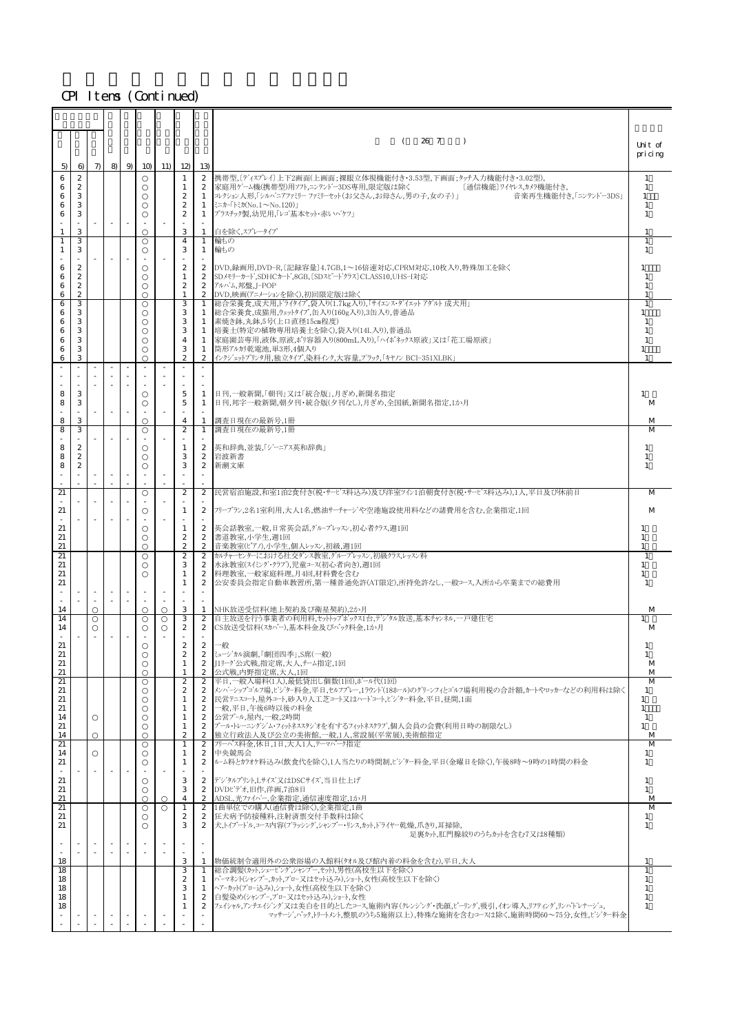|              |                                      |                          |                          |                          |                          |                                      |                                      | 26 7<br>(<br>$\rightarrow$                                                                                                                           | Unit of              |
|--------------|--------------------------------------|--------------------------|--------------------------|--------------------------|--------------------------|--------------------------------------|--------------------------------------|------------------------------------------------------------------------------------------------------------------------------------------------------|----------------------|
|              |                                      |                          |                          |                          |                          |                                      |                                      |                                                                                                                                                      | pricing              |
| 5)           | 6                                    | $\pi$                    |                          |                          | 8 9 10 11                | 12                                   | 13)                                  |                                                                                                                                                      |                      |
| 6<br>6       | $\boldsymbol{2}$<br>$\boldsymbol{2}$ |                          |                          |                          |                          | 1<br>1                               | 2                                    | 2 携帯型,〔ディスプレイ〕上下2画面(上画面:裸眼立体視機能付き・3.53型,下画面:タッチ入力機能付き・3.02型),<br> 家庭用ゲーム機(携帯型)用ソフト,ニンテンドー3DS専用,限定版は除く<br>〔通信機能〕ワイヤレス,カメラ機能付き,                        | -1<br>-1             |
| 6            | 3                                    |                          |                          |                          |                          | $\boldsymbol{2}$                     | $\mathbf{1}$                         | コレクション人形、「シルバニアファミリー ファミリーセット(お父さん、お母さん、男の子,女の子) <br>音楽再生機能付き,「ニンテント'-3DS」                                                                           | $\mathbf{1}$         |
| 6<br>6       | 3<br>3                               |                          |                          |                          |                          | $\mathbf{2}$<br>$\boldsymbol{2}$     | 1                                    | ミニカー「トミカ(No.1~No.120)」                                                                                                                               | -1<br>$\overline{1}$ |
|              |                                      |                          | $\sim$                   | $\sim$                   | $\sim$                   |                                      |                                      | 1  プラスチック製,幼児用,「レゴ基本セット・赤いバケツ」                                                                                                                       |                      |
| $\mathbf{1}$ | 3                                    |                          |                          |                          |                          | 3                                    | $\mathbf{1}$                         | 白を除く、スプレータイプ                                                                                                                                         |                      |
| 1            | З<br>З                               |                          |                          |                          |                          | $\overline{4}$<br>3                  | 1<br>1                               | 輪もの<br>輪もの                                                                                                                                           | -1                   |
|              |                                      |                          |                          |                          | $\sim$                   |                                      |                                      |                                                                                                                                                      |                      |
| 6<br>6       | $\boldsymbol{2}$<br>$\boldsymbol{z}$ |                          |                          |                          |                          | $\boldsymbol{2}$<br>$\mathbf{1}$     | $\mathbf{2}$<br>2                    | DVD,録画用,DVD-R,〔記録容量〕4.7GB,1~16倍速対応,CPRM対応,10枚入り,特殊加工を除く<br>SDメモリーカード,SDHCカード,8GB,〔SDスピードクラス〕CLASS10,UHSーI対応                                          | -1                   |
| 6            | $\boldsymbol{2}$                     |                          |                          |                          |                          | $\boldsymbol{2}$                     | $\boldsymbol{2}$                     | アルバム,邦盤,J-POP                                                                                                                                        |                      |
| 6<br>6       | $\mathbf{2}$<br>З                    |                          |                          |                          |                          | $\mathbf{1}$<br>3                    | $\mathbf{1}$                         | 2 DVD,映画(アニメーションを除く),初回限定版は除く<br>総合栄養食,成犬用,ドライタイプ,袋入り(1.7kg入り),「サイエンス・ダイエット アダハト 成犬用」                                                                | -1                   |
| 6            | 3                                    |                          |                          |                          |                          | 3                                    |                                      | 1  総合栄養食,成猫用,ウェットタイプ,缶入り(160g入り),3缶入り,普通品                                                                                                            | 1                    |
| 6<br>6       | 3<br>3                               |                          |                          |                          |                          | 3<br>3                               | 1<br>1                               | 素焼き鉢,丸鉢,5号(上口直径15㎝程度)<br> 培養土(特定の植物専用培養土を除く),袋入り(14L入り),普通品                                                                                          |                      |
| 6            | 3                                    |                          |                          |                          |                          | 4                                    | 1                                    | 家庭園芸専用,液体,原液,ポリ容器入り(800mL入り),「ハイポネックス原液」又は「花工場原液」                                                                                                    | -1                   |
| 6            | 3                                    |                          |                          |                          |                          | 3                                    | $\mathbf{1}$                         | 筒形アル加乾雷池,単3形,4個入り                                                                                                                                    | $\mathbf{1}$         |
| 6            | 3                                    |                          |                          |                          |                          | $\mathbf{2}$                         | $\boldsymbol{2}$                     | インクジェットプリンタ用,独立タイプ,染料インク,大容量,ブラック,「キヤノン BCI-351XLBK」                                                                                                 | $\overline{1}$       |
|              |                                      |                          |                          |                          |                          |                                      |                                      |                                                                                                                                                      |                      |
| 8            | 3                                    |                          |                          |                          |                          | 5                                    | 1                                    | 日刊,一般新聞,「朝刊」又は「統合版」,月ぎめ,新聞名指定                                                                                                                        | 1                    |
| 8            | 3                                    |                          |                          |                          |                          | 5                                    | $\mathbf{1}$                         | 日刊,邦字一般新聞,朝夕刊・統合版(夕刊なし),月ぎめ,全国紙,新聞名指定,1か月                                                                                                            | M                    |
| 8            | 3                                    |                          | $\sim$                   | $\sim$                   | $\sim$                   | $\overline{4}$                       | $\mathbf{1}$                         | 調査日現在の最新号,1冊                                                                                                                                         | M                    |
| 8            | 3                                    |                          |                          |                          |                          | 2                                    | $\mathbf{1}$                         | 調査日現在の最新号,1冊                                                                                                                                         | M                    |
|              |                                      |                          |                          |                          |                          |                                      |                                      |                                                                                                                                                      | 1                    |
| 8<br>8       | $\boldsymbol{z}$<br>$\boldsymbol{2}$ |                          |                          |                          |                          | 1<br>3                               |                                      | 2  英和辞典,並装,「ジーニアス英和辞典」<br>2 岩波新書                                                                                                                     | 1                    |
| 8            | $\boldsymbol{2}$                     |                          |                          |                          |                          | 3                                    | $\boldsymbol{2}$                     | 新潮文庫                                                                                                                                                 | $\mathbf{1}$         |
|              |                                      |                          |                          |                          | $\sim$                   |                                      | $\sim$                               |                                                                                                                                                      |                      |
| 21           |                                      |                          |                          |                          |                          | $\boldsymbol{2}$                     | 2                                    | 民営宿泊施設,和室1泊2食付き(税・サービス料込み)及び洋室ツイン1泊朝食付き(税・サービス料込み),1人,平日及び休前日                                                                                        | M                    |
| 21           |                                      |                          | $\sim$                   |                          | $\sim$                   | 1                                    | $\boldsymbol{2}$                     | フリープラン,2名1室利用,大人1名,燃油サーチャージや空港施設使用料などの諸費用を含む,企業指定,1回                                                                                                 | M                    |
|              |                                      |                          |                          |                          |                          |                                      |                                      |                                                                                                                                                      |                      |
| 21<br>21     |                                      |                          |                          |                          |                          | 1<br>$\boldsymbol{2}$                | $\mathbf{2}$<br>$\mathbf{2}$         | 英会話教室,一般,日常英会話, ゲループレッスン, 初心者クラス, 週1回<br> 書道教室,小学生,週1回                                                                                               | 1                    |
| 21           |                                      |                          |                          |                          |                          | $\boldsymbol{2}$                     | $\boldsymbol{2}$                     | 音楽教室(ピアノ),小学生,個人レッスン,初級,週1回                                                                                                                          | 1                    |
| 21<br>21     |                                      |                          |                          |                          |                          | $\mathbf{2}$<br>3                    | $\boldsymbol{2}$<br>$\boldsymbol{2}$ | カルチャーセンターにおける社交ダンス教室、グループレッスン,初級クラス,レッスン料                                                                                                            | -1<br>1              |
| 21           |                                      |                          |                          |                          |                          | 1                                    | $\boldsymbol{2}$                     | 水泳教室(スイミング・クラブ),児童コース(初心者向き),週1回<br>料理教室,一般家庭料理,月4回,材料費を含む                                                                                           | $\mathbf{1}$         |
| 21           |                                      |                          |                          |                          |                          | 1                                    | 2                                    | 公安委員会指定自動車教習所,第一種普通免許(AT限定),所持免許なし,一般コース,入所から卒業までの総費用                                                                                                | -1                   |
|              |                                      |                          |                          |                          |                          |                                      | ×                                    |                                                                                                                                                      |                      |
| 14           |                                      |                          |                          |                          |                          | 3                                    | $\mathbf{1}$                         | NHK放送受信料(地上契約及び衛星契約),2か月                                                                                                                             | M                    |
| 14<br>14     |                                      |                          |                          |                          |                          | 3<br>$\boldsymbol{2}$                | $\mathbf{2}$<br>2                    | 自主放送を行う事業者の利用料,セットトップボックス1台,デン゙タル放送,基本チャンネル、一戸建住宅<br>CS放送受信料(スカパー),基本料金及びパック料金,1か月                                                                   | M                    |
|              |                                      |                          |                          |                          |                          |                                      |                                      |                                                                                                                                                      |                      |
| 21<br>21     |                                      |                          |                          |                          |                          | $\boldsymbol{2}$<br>$\boldsymbol{2}$ | $\mathbf{2}$                         | 一般<br>2 ミュージカル演劇、「劇団四季」、S席(一般)                                                                                                                       | 1                    |
| 21           |                                      |                          |                          |                          |                          | 1                                    | 2                                    | J1リーグ公式戦,指定席,大人,チーム指定,1回                                                                                                                             | M                    |
| 21<br>21     |                                      |                          |                          |                          |                          | $\boldsymbol{2}$                     | $\mathbf{2}$                         | 公式戦,内野指定席,大人,1回<br> 平日,一般入場料(1人),最低貸出し個数(1回),ボール代(1回)                                                                                                | M<br>M               |
| 21           |                                      |                          |                          |                          |                          | $\boldsymbol{2}$                     | 2                                    | 2 ┃メンバーシップゴルフ場、ビジター料金、平日、セルフプレー、1ラウンド(18ホール)のグリーンフィとゴルフ場利用税の合計額、カートやロッカーなどの利用料は除く                                                                    | 1                    |
| 21           |                                      |                          |                          |                          |                          | 1                                    |                                      | 2 民営テニスコート、屋外コート、砂入り人工芝コート又はハードコート、ビジター料金、平日、昼間、1面                                                                                                   | 1                    |
| 21<br>14     |                                      |                          |                          |                          |                          | $\mathbf{1}$<br>1                    | $\boldsymbol{2}$<br>2                | 一般,平日,午後6時以後の料金<br>公営プール,屋内,一般,2時間                                                                                                                   | $\mathbf{1}$<br>-1   |
| 21           |                                      |                          |                          |                          |                          | 1                                    | $\boldsymbol{2}$                     | プール・トレーニングジム・フィットネススタジオを有するフィットネスクラブ,個人会員の会費(利用日時の制限なし)                                                                                              | $\mathbf{1}$         |
| 14<br>21     |                                      |                          |                          |                          |                          | $\boldsymbol{2}$<br>$\mathbf{1}$     | $\boldsymbol{2}$<br>2                | 独立行政法人及び公立の美術館,一般,1人,常設展(平常展),美術館指定<br>フリーパス料金,休日.1日,大人1人,テーマパーク指定                                                                                   | M<br>M               |
| 14           |                                      |                          |                          |                          |                          | 1                                    | $\boldsymbol{2}$                     | 中央競馬会                                                                                                                                                | $\mathbf{1}$         |
| 21           |                                      | $\overline{\phantom{a}}$ | $\overline{\phantom{a}}$ | $\overline{\phantom{a}}$ | $\overline{\phantom{a}}$ | 1                                    | $\boldsymbol{2}$                     | ル–ム料とカラオケ料込み(飲食代を除く),1人当たりの時間制,ビジター料金,平日(金曜日を除く),午後8時〜9時の1時間の料金                                                                                      | $\mathbf{1}$         |
| 21           |                                      |                          |                          |                          |                          | 3                                    |                                      | 2 デジタルプリント,Lサイズ又はDSCサイズ,当日仕上げ                                                                                                                        | 1                    |
| 21<br>21     |                                      |                          |                          |                          |                          | 3<br>$\overline{4}$                  | $\boldsymbol{2}$<br>$\boldsymbol{2}$ | DVDビデオ,旧作,洋画,7泊8日<br>ADSL,光ファイハ'ー,企業指定,通信速度指定,1か月                                                                                                    | $\mathbf{1}$<br>M    |
| 21           |                                      |                          |                          |                          |                          | $\mathbf{1}$                         | $\boldsymbol{2}$                     | 1曲単位での購入(通信費は除く),企業指定,1曲                                                                                                                             | M                    |
| 21           |                                      |                          |                          |                          |                          | $\boldsymbol{2}$                     | $\boldsymbol{2}$                     | 狂犬病予防接種料,注射済票交付手数料は除く                                                                                                                                | 1                    |
| 21           |                                      |                          |                          |                          |                          | 3                                    | $\mathbf{2}$                         | 犬,トイプードル,コース内容(ブラッシング,シャンプー・リンス,カット,ドライヤー乾燥,爪きり,耳掃除,<br>足裏カット,肛門腺絞りのうちカットを含む7又は8種類)                                                                  | $\mathbf{1}$         |
|              |                                      |                          |                          |                          |                          |                                      |                                      |                                                                                                                                                      |                      |
| 18           |                                      |                          | ×                        |                          | $\sim$                   | 3                                    | $\mathbf{1}$                         | 物価統制令適用外の公衆浴場の入館料(タオル及び館内着の料金を含む),平日,大人                                                                                                              |                      |
| 18           |                                      |                          |                          |                          |                          | 3                                    | $\mathbf{1}$                         | 総合調髪(カット,シェービング,シャンプー,セット),男性(高校生以下を除く)                                                                                                              | $\mathbf{1}$         |
| 18<br>18     |                                      |                          |                          |                          |                          | $\boldsymbol{2}$<br>3                | $\mathbf{1}$<br>1                    | パーマネント(シャンプー,カット,ブロー又はセット込み),ショート,女性(高校生以下を除く)<br>ヘアーカット(ブロー込み),ショート,女性(高校生以下を除く)                                                                    | 1<br>1               |
| 18           |                                      |                          |                          |                          |                          | 1                                    | $\mathbf{2}$                         | 白髪染め(シャンプー,ブロー又はセット込み),ショート,女性                                                                                                                       | -1                   |
| 18           |                                      |                          |                          |                          |                          | 1                                    | 2                                    | フェイシャル,アンチェイジング'又は美白を目的としたコース,施術内容(クレンジング・洗顔.ピーリング,吸引,イオン導入,リフティング,リンパドレナージュ,<br>マッサーン゙,ペック,トリートメント,整肌のうち5施術以上),特殊な施術を含むコースは除く,施術時間60~75分,女性,ピン゙ター料金 | 1                    |
|              |                                      |                          |                          |                          |                          |                                      |                                      |                                                                                                                                                      |                      |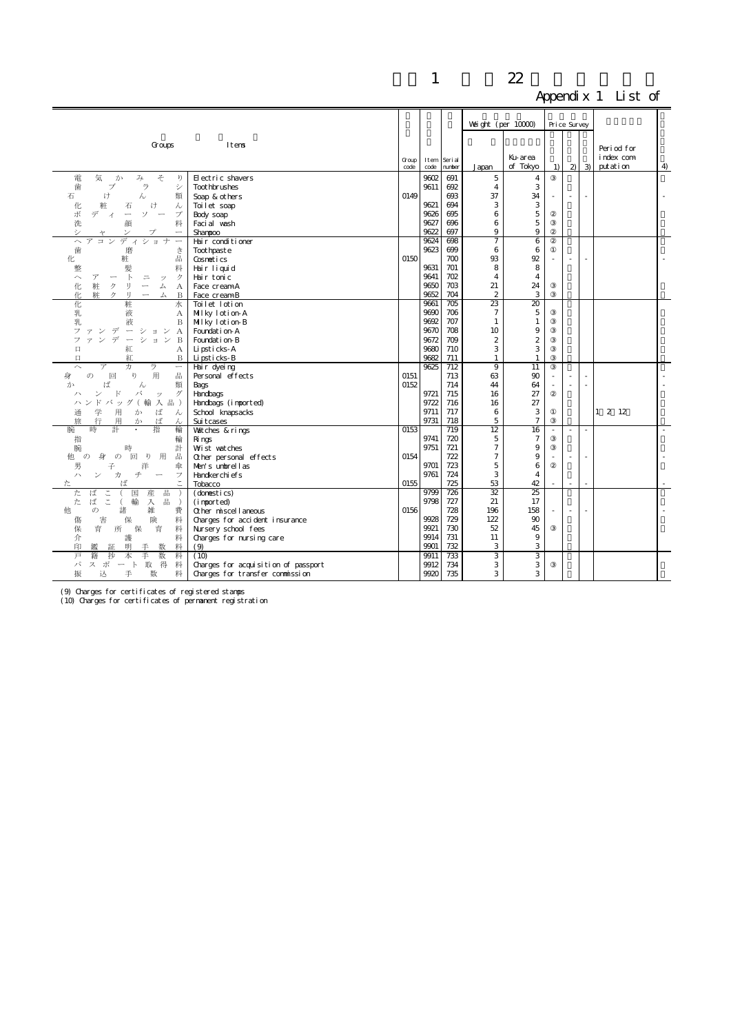|                                                                                                |                                     |       |              |                  |                         |                   |    |                          |                          | $\mu$ <sub>1</sub> $\mu$ $\mu$ $\mu$ $\alpha$ $\mu$ $\alpha$ $\mu$ $\alpha$ |                |
|------------------------------------------------------------------------------------------------|-------------------------------------|-------|--------------|------------------|-------------------------|-------------------|----|--------------------------|--------------------------|-----------------------------------------------------------------------------|----------------|
|                                                                                                |                                     |       |              |                  |                         |                   |    |                          |                          |                                                                             |                |
|                                                                                                |                                     |       |              |                  | Weight (per $10000$ )   |                   |    | Price Survey             |                          |                                                                             |                |
|                                                                                                |                                     |       |              |                  |                         |                   |    |                          |                          |                                                                             |                |
| Groups                                                                                         | Itens                               |       |              |                  |                         |                   |    |                          |                          | Period for                                                                  |                |
|                                                                                                |                                     | Group | Item         | Seri al          |                         | Ku-area           |    |                          |                          | index com                                                                   |                |
|                                                                                                |                                     | code  | code         | number           | Japan                   | of Tokyo          | 1) |                          | $2 \mid 3$               | putation                                                                    | $\overline{4}$ |
| そ<br>電<br>気<br>か<br>み<br>ŋ                                                                     | Electric shavers                    |       | 9602         | 691              | 5                       | $\overline{4}$    |    |                          |                          |                                                                             |                |
| 歯<br>ラ<br>ブ<br>シ                                                                               | <b>Toot hbrushes</b>                |       | 9611         | 692              | 4                       | 3                 |    |                          |                          |                                                                             |                |
| け<br>石<br>類<br>ん                                                                               | Soap & others                       | 0149  |              | 693              | 37                      | 34                |    | ä,                       |                          |                                                                             |                |
| 粧<br>化<br>け<br>石<br>ん                                                                          | Toil et soap                        |       | 9621         | 694              | 3                       | 3                 |    |                          |                          |                                                                             |                |
| ポ<br>デ<br>ソ<br>$\overline{\phantom{a}}$<br>プ<br>$\overbrace{\qquad \qquad }$<br>$\overline{A}$ | Body soap                           |       | 9626         | 695              | 6                       | $\mathbf 5$       |    |                          |                          |                                                                             |                |
| 洗<br>料<br>顔                                                                                    | Faci al wash                        |       | 9627         | 696              | 6                       | 5                 |    |                          |                          |                                                                             |                |
| シ                                                                                              | Shanpoo                             |       | 9622         | 697              | 9                       | 9                 |    |                          |                          |                                                                             |                |
| $\sim$<br>コン<br>デ<br>ショ<br>ィ                                                                   | Hair conditioner                    |       | 9624         | 698              | 7                       | 6                 |    |                          |                          |                                                                             |                |
| 歯<br>磨<br>き                                                                                    | Toot hpast e                        |       | 9623         | 699              | 6                       | 6                 |    |                          |                          |                                                                             |                |
| 品<br>粧<br>化                                                                                    | Cosnetics                           | 0150  |              | 700              | 93                      | 92                |    |                          |                          |                                                                             |                |
| 整<br>髪<br>料                                                                                    | Hair liquid                         |       | 9631         | 701              | 8                       | 8                 |    |                          |                          |                                                                             |                |
| $\mathbb{R}$<br>ク<br>$\widehat{\phantom{0}}$<br>$\overline{\gamma}$<br>$\equiv$<br>ッ           | Hair tonic                          |       | 9641         | 702              | $\overline{4}$          | $\overline{4}$    |    |                          |                          |                                                                             |                |
| 粧<br>ヶ<br>化<br>IJ<br>$\overbrace{\qquad \qquad }$<br>厶<br>А                                    | Face creamA                         |       | 9650         | 703              | 21                      | 24                |    |                          |                          |                                                                             |                |
| 1Ł.<br>耕<br>IJ<br>ヶ<br>厶<br>B<br>$\overline{\phantom{0}}$                                      | Face creamB                         |       | 9652         | 704              | $\mathbf{2}$            | 3                 |    |                          |                          |                                                                             |                |
| 粧<br>化<br>水                                                                                    | Toilet lotion                       |       | 9661         | $\overline{705}$ | $\overline{\mathbf{z}}$ | $\overline{20}$   |    |                          |                          |                                                                             |                |
| 乳<br>液<br>А                                                                                    | Milky lotion-A                      |       | 9690         | 706              | $\overline{7}$          | 5                 |    |                          |                          |                                                                             |                |
| 乳<br>液<br>B<br>$\overline{\phantom{m}}$                                                        | Milky lotion-B                      |       | 9692<br>9670 | 707<br>708       | 1                       | $\mathbf{1}$<br>9 |    |                          |                          |                                                                             |                |
| ション<br>フ<br>デ<br>$\mathbf{A}$<br>デ<br>ションB<br>$\overline{\phantom{m}}$                         | Foundation-A<br>Foundation-B        |       | 9672         | 709              | 10<br>2                 | $\boldsymbol{2}$  |    |                          |                          |                                                                             |                |
| 口<br>紅                                                                                         | Lipsticks-A                         |       | 9680         | 710              | 3                       | 3                 |    |                          |                          |                                                                             |                |
| А<br>紅<br>$\Box$<br>B                                                                          | Lipsticks-B                         |       | 9682         | 711              | $\mathbf{1}$            | 1                 |    |                          |                          |                                                                             |                |
| $\overline{\mathcal{F}}$<br>力<br>ラ<br>$\overline{\phantom{0}}$<br>$\sim$                       | Hair dyeing                         |       | 9625         | 712              | 9                       | 11                |    |                          |                          |                                                                             |                |
| 用<br>V <sub>0</sub><br>品<br>身<br>$\sigma$<br>回                                                 | Personal effects                    | 0151  |              | 713              | 63                      | 90                |    |                          |                          |                                                                             |                |
| ば<br>類<br>Ďэ<br>ん                                                                              | Bags                                | 0152  |              | 714              | 44                      | 64                |    |                          |                          |                                                                             |                |
| バ<br>ザ<br>R<br>ッ                                                                               | Handbags                            |       | 9721         | 715              | 16                      | 27                |    |                          |                          |                                                                             |                |
| ハンド バッグ (輸<br>入 品)                                                                             | Handbags (inported)                 |       | 9722         | 716              | 16                      | 27                |    |                          |                          |                                                                             |                |
| 学<br>用<br>ば<br>か<br>通<br>ん                                                                     | School knapsacks                    |       | 9711         | 717              | 6                       | 3                 |    |                          |                          | $1 \t2 \t12$                                                                |                |
| 行<br>用<br>ば<br>か<br>ん                                                                          | Suit cases                          |       | 9731         | 718              | 5                       | $\overline{7}$    |    |                          |                          |                                                                             |                |
| 指<br>輪<br>腕                                                                                    | Watches & rings                     | 0153  |              | 719              | 12                      | 16                |    | $\overline{\phantom{a}}$ | $\overline{\phantom{a}}$ |                                                                             | $\sim$         |
| 指<br>輪                                                                                         | Rings                               |       | 9741         | 720              | 5                       | $\overline{7}$    |    |                          |                          |                                                                             |                |
| 計<br>腕<br>時                                                                                    | Wist watches                        |       | 9751         | 721              | $\overline{7}$          | 9                 |    |                          |                          |                                                                             |                |
| $\mathcal{O}$<br>回り<br>用<br>他<br>身<br>品<br>$\sigma$                                            | Other personal effects              | 0154  |              | 722              | $\overline{7}$          | 9                 |    |                          |                          |                                                                             |                |
| 洋<br>男<br>子<br>傘                                                                               | Men's unbrellas                     |       | 9701         | 723              | 5                       | 6                 |    |                          |                          |                                                                             |                |
| 千<br>$\overline{\phantom{a}}$<br>力<br>フ<br>ハ<br>$\overline{\phantom{0}}$                       | Handkerchi ef s                     |       | 9761         | 724              | 3                       | $\overline{4}$    |    |                          |                          |                                                                             |                |
| Ιť                                                                                             | Tobacco                             | 0155  |              | 725              | 53                      | 42                |    | $\sim$                   |                          |                                                                             |                |
| た<br>ば<br>こ<br>国<br>産<br>出                                                                     | (domestics)                         |       | 9799         | 726              | 32                      | 25                |    |                          |                          |                                                                             |                |
| ば<br>$\tilde{a}$<br>た<br>輸<br>入<br>品<br>$\left($<br>雑                                          | (imported)                          |       | 9798         | 727              | 21                      | 17                |    |                          |                          |                                                                             |                |
| 諸<br>費<br>他<br>$\sigma$                                                                        | Other miscellaneous                 | 0156  |              | 728<br>729       | 196<br>122              | 158<br>90         |    | $\sim$                   |                          |                                                                             |                |
| 傷<br>害<br>険<br>料<br>保<br>育<br>保                                                                | Charges for accident insurance      |       | 9928<br>9921 | 730              | 52                      | 45                |    |                          |                          |                                                                             |                |
| 保<br>料<br>所<br>育                                                                               | Nursery school fees                 |       | 9914         | 731              | 11                      | 9                 |    |                          |                          |                                                                             |                |
| 介<br>護<br>料<br>印<br>明<br>料<br>手<br>数<br>鑑<br>証                                                 | Charges for nursing care<br>(9)     |       | 9901         | 732              | 3                       | 3                 |    |                          |                          |                                                                             |                |
| 抄<br>手<br>数<br>戸<br>籍<br>本<br>料                                                                | (10)                                |       | 9911         | 733              | 3                       | 3                 |    |                          |                          |                                                                             |                |
| パ<br>スポート取<br>得<br>料                                                                           | Charges for acquisition of passport |       | 9912         | 734              | 3                       | 3                 |    |                          |                          |                                                                             |                |
| 料<br>振<br>込<br>手<br>数                                                                          | Charges for transfer commission     |       | 9920         | 735              | 3                       | 3                 |    |                          |                          |                                                                             |                |
|                                                                                                |                                     |       |              |                  |                         |                   |    |                          |                          |                                                                             |                |

(9) Charges for certificates of registered stamps (10) Charges for certificates of permanent registration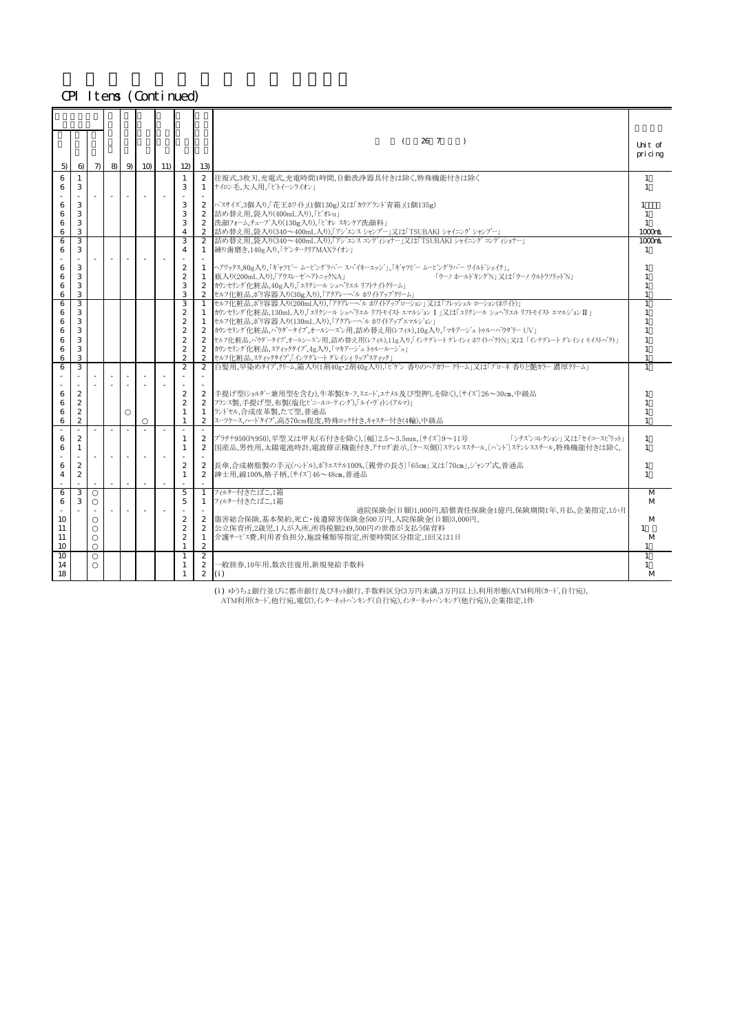| 5)       | 6                 |            |        |        | $7 \mid 8 \mid 9 \mid 10 \mid 11 \mid 12 \mid$ | 13                             | 26 7<br>$\rightarrow$                                                                                                                         | Thit of<br>pricing               |
|----------|-------------------|------------|--------|--------|------------------------------------------------|--------------------------------|-----------------------------------------------------------------------------------------------------------------------------------------------|----------------------------------|
| 6<br>6   | $\mathbf{1}$<br>3 |            |        |        | $\mathbf{1}$<br>3                              | 1                              | 2 住復式,3枚刃,充雷式,充雷時間1時間,自動洗浄器具付きは除く特殊機能付きは除く<br>ナイロン毛、大人用、「ヒトイーンライオン」                                                                           | $\overline{1}$<br>$\overline{1}$ |
|          |                   | $\sim$ $-$ |        |        |                                                |                                |                                                                                                                                               |                                  |
| 6<br>6   | 3<br>3            |            |        |        | 3<br>3                                         | $\mathbf{2}$                   | 2  バスサイズ,3個入り,「花王ホワイト」(1個130g)又は「カウブラント゛青箱」(1個135g)<br>詰め替え用,袋入り(400mL入り),「ビオレu」                                                              | 1<br>$\overline{1}$              |
| 6        | 3                 |            |        |        | 3                                              | $\mathbf{2}$                   | │洗顔フォーム,チューブ入り(130g入り),「ビオレ スキンケア洗顔料」                                                                                                         | 1                                |
| 6        | 3                 |            |        |        | $\overline{4}$                                 |                                | 2 詰め替え用,袋入り(340~400mL入り),「アジエンス シャンプー」又は「TSUBAKI シャイニング シャンプー」                                                                                | $1000$ rih                       |
| 6<br>6   | 3<br>3            |            |        |        | 3<br>$\overline{4}$                            | $\mathbf{2}$<br>$\mathbf{1}$   | 詰め替え用,袋入り(340~400mL入り),「アジエンス コンディショナー」又は「TSUBAKI シャイニングコンディショナー」<br> 練り歯磨き、140g入り、「デンタークリアMAXライオン」                                           | $1000$ rh<br>$\overline{1}$      |
|          |                   |            |        |        |                                                |                                |                                                                                                                                               |                                  |
| 6        | 3                 |            |        |        | $\mathbf{2}$                                   |                                | 1 ヘアワックス,80g入り,「キャツヒー ムーヒングラバー スパイキーエッショ,「キャツヒー ムービングラバー ワイルトシェイク」,                                                                           |                                  |
| 6<br>6   | 3<br>3            |            |        |        | $\mathbf{2}$<br>3                              | 1                              | 瓶入り(200mL入り),「アウスレーゼヘアトニックNA」<br>「ウーノ ホールトキングN」 又は「ウーノ ウルトラソリット゛N」<br>2 カウンセリング化粧品,40g入り,「エリクシール シュヘッJエル リフトナイトクリーム」                          |                                  |
| 6        | 3                 |            |        |        | 3                                              |                                | 2 セルフ化粧品, ポリ容器入り(30g入り), 「アクアレーヘ'ル ホワイトアップクリーム」                                                                                               |                                  |
| 6        | 3                 |            |        |        | 3                                              | 1                              | セルフ化粧品, ポリ容器入り(200ml入り), 「アクアレーヘ'ル ホワイトアップローション」又は「フレッシェル ローション(ホワイト)」                                                                        |                                  |
| 6<br>6   | 3<br>3            |            |        |        | $\mathbf{2}$<br>$\mathbf{2}$                   | $\mathbf{1}$                   | カウンセリング'化粧品,130mL入り,「エリクシール シュペリエル リフトモイスト エマルジョン I  又は「エリクシール シュペリエル リフトモイスト エマルジョン II 」<br>1 セルフ化粧品,ポリ容器入り(130mL入り),「アクアレーベル ホワイトアップエマルジョン」 |                                  |
| 6        | 3                 |            |        |        | $\mathbf{2}$                                   |                                | 2  カウンセリング化粧品,パウダータイプ,オールシーズン用,詰め替え用(レフィル),10g入り,「マキアーシュ トゥルーパウダリー UV」                                                                        |                                  |
| 6        | 3                 |            |        |        | $\mathbf{2}$                                   |                                | 2  セルフ化粧品,パウダータイプ,オールシーズン用,詰め替え用(レフィル),11g入り,「インテグレート グレイシィ ホワイトパクトN」又は「インテグレート グレイシィ モイストパクト」                                                |                                  |
| 6<br>6   | 3<br>3            |            |        |        | $\mathbf{2}$<br>$\mathbf{2}$                   | $\mathbf{2}$<br>$\mathbf{2}$   | カウンセリング化粧品,スティックタイプ,4g入り,「マキアージュトゥルールージュ」<br>セルフ化粧品,スティックタイプ,「インテグレート グレイシィ リップスティック」                                                         |                                  |
| 6        | 3                 |            |        |        | $\overline{2}$                                 |                                | 白髪用,早染めタイプ,クリーム,箱入り(1剤40g・2剤40g入り),「ビゲン 香りのヘアカラー クリーム」又は「ブローネ 香りと艶カラー 濃厚クリーム」                                                                 |                                  |
|          |                   |            |        |        |                                                |                                |                                                                                                                                               |                                  |
| 6        | $\boldsymbol{2}$  |            |        |        | $\boldsymbol{2}$                               |                                | 2  手提げ型(ショルダー兼用型を含む),牛革製(カーフ,スエード,エナメル及び型押しを除く),〔サイズ〕26~30㎝,中級品                                                                               |                                  |
| 6        | $\boldsymbol{z}$  |            |        |        | $\mathbf{2}$                                   |                                | 2 フランス製,手提げ型,布製(塩化ビニールコーティング),「ルイ・ヴィトン(アルマ)」                                                                                                  |                                  |
| 6        | $\mathbf{2}$      |            |        |        | $\mathbf{1}$                                   | 1                              | ラントセル,合成皮革製,たて型,普通品                                                                                                                           | -1                               |
| 6        | $\mathbf{2}$      | $\sim$     | $\sim$ | $\sim$ | 1                                              |                                | 2  スーツケース,ハートタイプ,高さ70cm程度,特殊ロック付き,キャスター付き(4輪),中級品                                                                                             | $\overline{1}$                   |
| 6        | $\mathbf{2}$      |            |        |        | 1                                              | $\mathbf{2}$                   | 「シチズンコレクション」又は「セイコースピリット」<br> プラチナ950(Pt950),平型又は甲丸(石付きを除く),〔幅〕2.5~3.5mm,〔サイズ〕9~11号                                                           | $\overline{1}$                   |
| 6        | 1                 |            |        |        | -1                                             | $\mathbf{2}$                   | 国産品,男性用,太陽電池時計,電波修正機能付き,アナログ表示,〔ケース(側)〕ステンレススチール,〔バンド〕ステンレススチール,特殊機能付きは除く,                                                                    | $\mathbf{1}$                     |
| 6        | $\mathbf{2}$      | $\sim$     |        |        | $\mathbf{2}$                                   | $\mathbf{2}$                   | 長傘,合成樹脂製の手元(ハンドル),ポリエステル100%,[親骨の長さ]「65cm」又は「70cm」,ジャンプ式,普通品                                                                                  | $\mathbf{1}$                     |
| 4        | $\boldsymbol{z}$  |            |        |        | 1                                              |                                | 2 紳士用,綿100%,格子柄, [サイズ] 46~48cm,普通品                                                                                                            | $\mathbf{1}$                     |
| 6        | 3                 |            |        |        | 5                                              |                                | 1 フィルター付きたばこ,1箱                                                                                                                               | M                                |
| 6        | 3                 |            |        |        | 5                                              |                                | 1 フィルター付きたばこ,1箱                                                                                                                               | M                                |
|          |                   |            |        |        |                                                |                                | 通院保険金(日額)1,000円,賠償責任保険金1億円,保険期間1年,月払,企業指定,1か月                                                                                                 |                                  |
| 10<br>11 |                   |            |        |        | $\boldsymbol{2}$<br>$\mathbf{2}$               | $\overline{2}$                 | 2 傷害総合保険,基本契約,死亡・後遺障害保険金500万円,入院保険金(日額)3,000円,<br>公立保育所,2歳児,1人が入所,所得税額249,500円の世帯が支払う保育料                                                      | M<br>1                           |
| 11       |                   |            |        |        | $\mathbf{2}$                                   | $\mathbf{1}$                   | 介護サービス費,利用者負担分,施設種類等指定,所要時間区分指定,1回又は1日                                                                                                        | M                                |
| 10       |                   |            |        |        |                                                | $\mathbf{2}$                   |                                                                                                                                               | 1                                |
| 10<br>14 |                   |            |        |        | 1<br>1                                         | $\overline{2}$<br>$\mathbf{2}$ | 一般旅券,10年用,数次往復用,新規発給手数料                                                                                                                       | $\mathbf{1}$<br>$\mathbf{1}$     |
| 18       |                   |            |        |        | $\mathbf{1}$                                   |                                | 2(i)                                                                                                                                          | M                                |
|          |                   |            |        |        |                                                |                                |                                                                                                                                               |                                  |

(i) ゆうちょ銀行並びに都市銀行及びネッ銀行,手数料区分(3万円未満,3万円以上),利用形態(ATM利用(カード,自行宛),<br>- ATM利用(カード,他行宛,電信),インターネットバンキング(自行宛),インターネットバンキング(他行宛)),企業指定,1件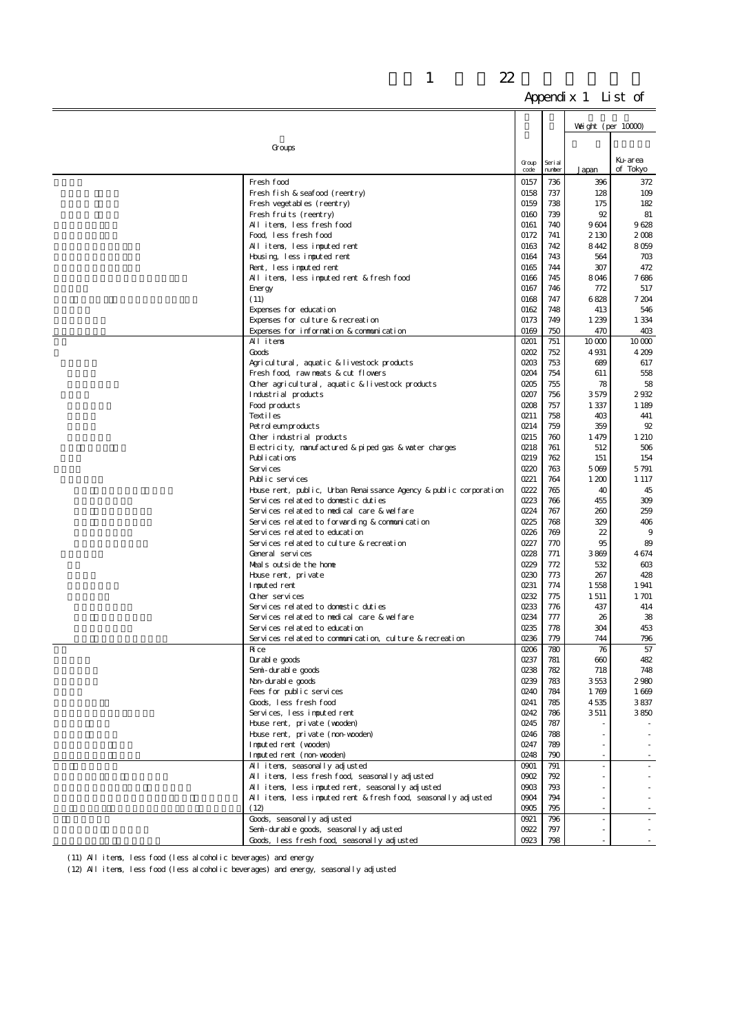|                                                                   |               |                   | Weight (per $10000$ )    |              |
|-------------------------------------------------------------------|---------------|-------------------|--------------------------|--------------|
| Groups                                                            |               |                   |                          |              |
|                                                                   |               |                   |                          | Ku-area      |
|                                                                   | Group<br>code | Seri al<br>number | Japan                    | of Tokyo     |
| Fresh food                                                        | 0157          | 736               | 396                      | 372          |
| Fresh fish & seafood (reentry)                                    | 0158          | 737               | 128                      | 109          |
| Fresh veget ables (reentry)                                       | 0159          | 738               | 175                      | 182          |
| Fresh fruits (reentry)                                            | 0160          | 739               | 92                       | 81           |
| All items, less fresh food                                        | 0161          | 740               | 9604                     | 9628         |
| Food less fresh food                                              | 0172          | 741               | 2 1 3 0                  | 2008         |
| All items, less imputed rent                                      | 0163          | 742               | 8442                     | 8059         |
| Housing, less imputed rent                                        | 0164          | 743               | 564                      | 703          |
| Rent, less imputed rent                                           | 0165          | 744               | 307                      | 472          |
| All items, less imputed rent & fresh food                         | 0166          | 745               | 8046                     | 7686         |
| Energy                                                            | 0167          | 746               | 772                      | 517          |
| (11)                                                              | 0168          | 747               | 6828                     | 7 204        |
| Expenses for education                                            | 0162          | 748               | 413                      | 546          |
| Expenses for culture & recreation                                 | 0173          | 749               | 1 2 3 9                  | 1 3 3 4      |
| Expenses for information & communication<br>All items             | 0169<br>0201  | 750<br>751        | 470<br>10000             | 403<br>10000 |
| Goods                                                             | 0202          | 752               | 4 9 31                   | 4209         |
| Agricultural, aquatic & livestock products                        | 0203          | 753               | 689                      | 617          |
| Fresh food, raw neats & cut flowers                               | 0204          | 754               | 611                      | 558          |
| Other agricultural, aquatic & livestock products                  | 0205          | 755               | 78                       | 58           |
| Industrial products                                               | 0207          | 756               | 3579                     | 2932         |
| Food products                                                     | 0208          | 757               | 1 3 3 7                  | 1 1 8 9      |
| Textiles                                                          | 0211          | 758               | 403                      | 441          |
| Pet rol eum products                                              | 0214          | 759               | 359                      | 92           |
| Other industrial products                                         | 0215          | 760               | 1479                     | 1 210        |
| Electricity, nanufactured & piped gas & water charges             | 0218          | 761               | 512                      | 506          |
| Publications                                                      | 0219          | 762               | 151                      | 154          |
| Services                                                          | 0220          | 763               | 5069                     | 5791         |
| Public services                                                   | 0221          | 764               | 1 200                    | 1 1 1 7      |
| House rent, public, Urban Renaissance Agency & public corporation | 0222          | 765               | 40                       | 45           |
| Services related to domestic duties                               | 0223          | 766               | 455                      | 309          |
| Services related to medical care & welfare                        | 0224          | 767               | 260                      | 259          |
| Services related to forwarding & communication                    | 0225          | 768               | 329                      | 406          |
| Services related to education                                     | 0226          | 769               | 22                       | 9            |
| Services related to culture & recreation<br>General services      | 0227          | 770               | 95                       | 89           |
| Meals outside the home                                            | 0228<br>0229  | 771<br>772        | 3869<br>532              | 4674<br>603  |
|                                                                   | 0230          | 773               | 267                      | 428          |
| House rent, private<br>I mouted rent                              | 0231          | 774               | 1558                     | 1941         |
| Other services                                                    | 0232          | 775               | 1511                     | 1 701        |
| Services related to domestic duties                               | 0233          | 776               | 437                      | 414          |
| Services related to nedical care & welfare                        | 0234          | 777               | 26                       | 38           |
| Services related to education                                     | 0235          | 778               | 304                      | 453          |
| Services related to communication, culture & recreation           | 0236          | 779               | 744                      | 796          |
| Ri ce                                                             | 0206          | 780               | 76                       | 57           |
| Durable goods                                                     | 0237          | 781               | 660                      | 482          |
| Seni-durable goods                                                | 0238          | 782               | 718                      | 748          |
| Non-durable goods                                                 | 0239          | 783               | 3553                     | 2980         |
| Fees for public services                                          | 0240          | 784               | 1769                     | 1669         |
| Goods, less fresh food                                            | 0241          | 785               | 4535                     | 3837         |
| Services, less imputed rent                                       | 0242          | 786               | 3511                     | 3850         |
| House rent, private (wooden)                                      | 0245          | 787               |                          |              |
| House rent, private (non-wooden)                                  | 0246          | 788               |                          |              |
| Inputed rent (wooden)                                             | 0247          | 789               |                          |              |
| Inputed rent (non-wooden)<br>All items, seasonally adjusted       | 0248<br>0901  | 790<br>791        |                          |              |
| All items, less fresh food, seasonally adjusted                   | 0902          | 792               |                          |              |
| All items, less imputed rent, seasonally adjusted                 | 0903          | 793               |                          |              |
| All items, less imputed rent & fresh food, seasonally adjusted    | 0904          | 794               |                          |              |
| (12)                                                              | 0905          | 795               |                          |              |
| Goods, seasonally adjusted                                        | 0921          | 796               | $\overline{\phantom{a}}$ |              |
| Semi-durable goods, seasonally adjusted                           | 0922          | 797               | $\sim$                   |              |
| Goods, less fresh food, seasonally adjusted                       | 0923          | 798               |                          |              |

(11) All items, less food (less alcoholic beverages) and energy

(12) All items, less food (less alcoholic beverages) and energy, seasonally adjusted